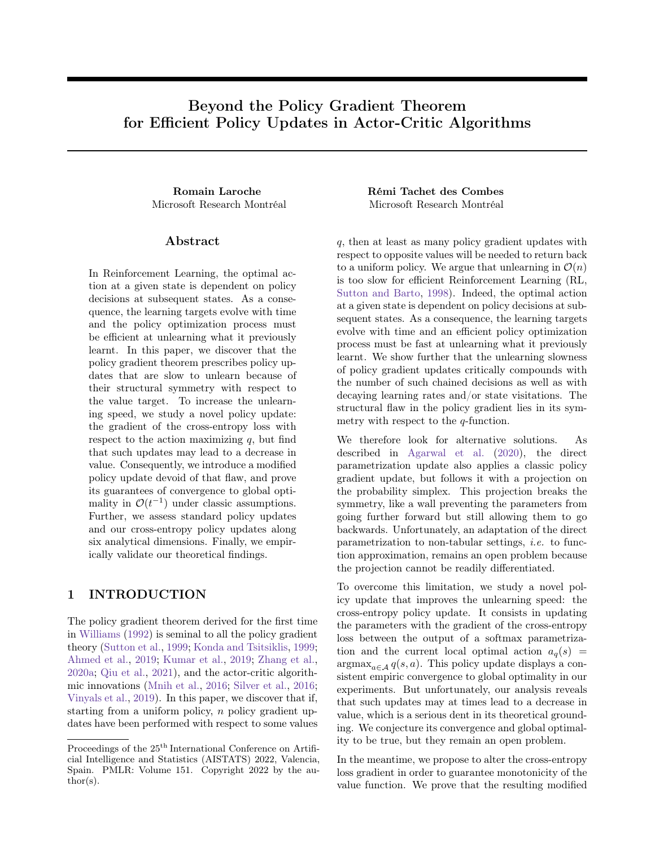# Beyond the Policy Gradient Theorem for Efficient Policy Updates in Actor-Critic Algorithms

Microsoft Research Montréal Microsoft Research Montréal

# Abstract

In Reinforcement Learning, the optimal action at a given state is dependent on policy decisions at subsequent states. As a consequence, the learning targets evolve with time and the policy optimization process must be efficient at unlearning what it previously learnt. In this paper, we discover that the policy gradient theorem prescribes policy updates that are slow to unlearn because of their structural symmetry with respect to the value target. To increase the unlearning speed, we study a novel policy update: the gradient of the cross-entropy loss with respect to the action maximizing  $q$ , but find that such updates may lead to a decrease in value. Consequently, we introduce a modified policy update devoid of that flaw, and prove its guarantees of convergence to global optimality in  $\mathcal{O}(t^{-1})$  under classic assumptions. Further, we assess standard policy updates and our cross-entropy policy updates along six analytical dimensions. Finally, we empirically validate our theoretical findings.

# 1 INTRODUCTION

The policy gradient theorem derived for the first time in [Williams](#page-10-0) [\(1992\)](#page-10-0) is seminal to all the policy gradient theory [\(Sutton et al.,](#page-10-1) [1999;](#page-10-1) [Konda and Tsitsiklis,](#page-9-0) [1999;](#page-9-0) [Ahmed et al.,](#page-9-1) [2019;](#page-9-1) [Kumar et al.,](#page-9-2) [2019;](#page-9-2) [Zhang et al.,](#page-10-2) [2020a;](#page-10-2) [Qiu et al.,](#page-9-3) [2021\)](#page-9-3), and the actor-critic algorithmic innovations [\(Mnih et al.,](#page-9-4) [2016;](#page-9-4) [Silver et al.,](#page-10-3) [2016;](#page-10-3) [Vinyals et al.,](#page-10-4) [2019\)](#page-10-4). In this paper, we discover that if, starting from a uniform policy,  $n$  policy gradient updates have been performed with respect to some values

Romain Laroche Rémi Tachet des Combes

q, then at least as many policy gradient updates with respect to opposite values will be needed to return back to a uniform policy. We argue that unlearning in  $\mathcal{O}(n)$ is too slow for efficient Reinforcement Learning (RL, [Sutton and Barto,](#page-10-5) [1998\)](#page-10-5). Indeed, the optimal action at a given state is dependent on policy decisions at subsequent states. As a consequence, the learning targets evolve with time and an efficient policy optimization process must be fast at unlearning what it previously learnt. We show further that the unlearning slowness of policy gradient updates critically compounds with the number of such chained decisions as well as with decaying learning rates and/or state visitations. The structural flaw in the policy gradient lies in its symmetry with respect to the  $q$ -function.

We therefore look for alternative solutions. As described in [Agarwal et al.](#page-9-5) [\(2020\)](#page-9-5), the direct parametrization update also applies a classic policy gradient update, but follows it with a projection on the probability simplex. This projection breaks the symmetry, like a wall preventing the parameters from going further forward but still allowing them to go backwards. Unfortunately, an adaptation of the direct parametrization to non-tabular settings, i.e. to function approximation, remains an open problem because the projection cannot be readily differentiated.

To overcome this limitation, we study a novel policy update that improves the unlearning speed: the cross-entropy policy update. It consists in updating the parameters with the gradient of the cross-entropy loss between the output of a softmax parametrization and the current local optimal action  $a_q(s)$  =  $\argmax_{a \in \mathcal{A}} q(s, a)$ . This policy update displays a consistent empiric convergence to global optimality in our experiments. But unfortunately, our analysis reveals that such updates may at times lead to a decrease in value, which is a serious dent in its theoretical grounding. We conjecture its convergence and global optimality to be true, but they remain an open problem.

In the meantime, we propose to alter the cross-entropy loss gradient in order to guarantee monotonicity of the value function. We prove that the resulting modified

Proceedings of the  $25<sup>th</sup>$  International Conference on Artificial Intelligence and Statistics (AISTATS) 2022, Valencia, Spain. PMLR: Volume 151. Copyright 2022 by the au- $\text{thor}(s)$ .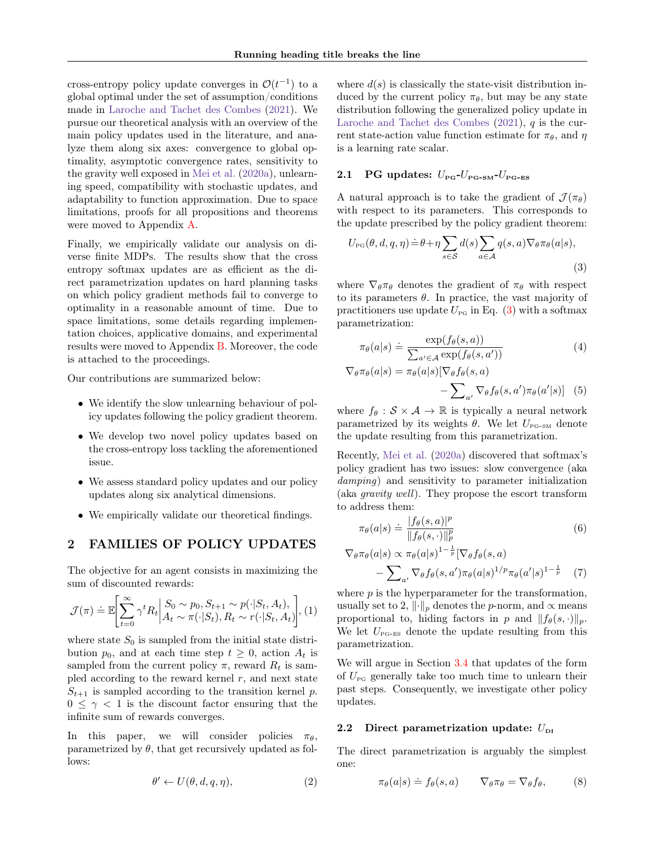cross-entropy policy update converges in  $\mathcal{O}(t^{-1})$  to a global optimal under the set of assumption/conditions made in [Laroche and Tachet des Combes](#page-9-6) [\(2021\)](#page-9-6). We pursue our theoretical analysis with an overview of the main policy updates used in the literature, and analyze them along six axes: convergence to global optimality, asymptotic convergence rates, sensitivity to the gravity well exposed in [Mei et al.](#page-9-7) [\(2020a\)](#page-9-7), unlearning speed, compatibility with stochastic updates, and adaptability to function approximation. Due to space limitations, proofs for all propositions and theorems were moved to Appendix [A.](#page-11-0)

Finally, we empirically validate our analysis on diverse finite MDPs. The results show that the cross entropy softmax updates are as efficient as the direct parametrization updates on hard planning tasks on which policy gradient methods fail to converge to optimality in a reasonable amount of time. Due to space limitations, some details regarding implementation choices, applicative domains, and experimental results were moved to Appendix [B.](#page-29-0) Moreover, the code is attached to the proceedings.

Our contributions are summarized below:

- We identify the slow unlearning behaviour of policy updates following the policy gradient theorem.
- We develop two novel policy updates based on the cross-entropy loss tackling the aforementioned issue.
- We assess standard policy updates and our policy updates along six analytical dimensions.
- We empirically validate our theoretical findings.

# <span id="page-1-2"></span>2 FAMILIES OF POLICY UPDATES

The objective for an agent consists in maximizing the sum of discounted rewards:

$$
\mathcal{J}(\pi) \doteq \mathbb{E}\left[\sum_{t=0}^{\infty} \gamma^t R_t \middle| \begin{aligned} S_0 &\sim p_0, S_{t+1} \sim p(\cdot | S_t, A_t), \\ A_t &\sim \pi(\cdot | S_t), R_t \sim r(\cdot | S_t, A_t) \end{aligned} \right], (1)
$$

where state  $S_0$  is sampled from the initial state distribution  $p_0$ , and at each time step  $t \geq 0$ , action  $A_t$  is sampled from the current policy  $\pi$ , reward  $R_t$  is sampled according to the reward kernel  $r$ , and next state  $S_{t+1}$  is sampled according to the transition kernel p.  $0 \leq \gamma < 1$  is the discount factor ensuring that the infinite sum of rewards converges.

In this paper, we will consider policies  $\pi_{\theta}$ , parametrized by  $\theta$ , that get recursively updated as follows:

$$
\theta' \leftarrow U(\theta, d, q, \eta), \tag{2}
$$

where  $d(s)$  is classically the state-visit distribution induced by the current policy  $\pi_{\theta}$ , but may be any state distribution following the generalized policy update in [Laroche and Tachet des Combes](#page-9-6)  $(2021)$ , q is the current state-action value function estimate for  $\pi_{\theta}$ , and  $\eta$ is a learning rate scalar.

# 2.1 PG updates:  $U_{\text{PG}}$ - $U_{\text{PG-SM}}$ - $U_{\text{PG-ES}}$

A natural approach is to take the gradient of  $\mathcal{J}(\pi_{\theta})$ with respect to its parameters. This corresponds to the update prescribed by the policy gradient theorem:

<span id="page-1-0"></span>
$$
U_{\rm PG}(\theta, d, q, \eta) \doteq \theta + \eta \sum_{s \in \mathcal{S}} d(s) \sum_{a \in \mathcal{A}} q(s, a) \nabla_{\theta} \pi_{\theta}(a|s),
$$
\n(3)

where  $\nabla_{\theta} \pi_{\theta}$  denotes the gradient of  $\pi_{\theta}$  with respect to its parameters  $\theta$ . In practice, the vast majority of practitioners use update  $U_{\text{PG}}$  in Eq. [\(3\)](#page-1-0) with a softmax parametrization:

<span id="page-1-1"></span>
$$
\pi_{\theta}(a|s) \doteq \frac{\exp(f_{\theta}(s,a))}{\sum_{a' \in \mathcal{A}} \exp(f_{\theta}(s,a'))}
$$
(4)

$$
\nabla_{\theta} \pi_{\theta}(a|s) = \pi_{\theta}(a|s) [\nabla_{\theta} f_{\theta}(s, a) - \sum_{a'} \nabla_{\theta} f_{\theta}(s, a') \pi_{\theta}(a'|s)] \quad (5)
$$

where  $f_{\theta}: \mathcal{S} \times \mathcal{A} \rightarrow \mathbb{R}$  is typically a neural network parametrized by its weights  $\theta$ . We let  $U_{\text{PG-SM}}$  denote the update resulting from this parametrization.

Recently, [Mei et al.](#page-9-7) [\(2020a\)](#page-9-7) discovered that softmax's policy gradient has two issues: slow convergence (aka damping) and sensitivity to parameter initialization (aka gravity well). They propose the escort transform to address them:

<span id="page-1-3"></span>
$$
\pi_{\theta}(a|s) \doteq \frac{|f_{\theta}(s,a)|^p}{||f_{\theta}(s,\cdot)||_p^p} \tag{6}
$$

$$
\nabla_{\theta} \pi_{\theta}(a|s) \propto \pi_{\theta}(a|s)^{1-\frac{1}{p}} [\nabla_{\theta} f_{\theta}(s, a) - \sum_{a'} \nabla_{\theta} f_{\theta}(s, a') \pi_{\theta}(a|s)^{1/p} \pi_{\theta}(a'|s)^{1-\frac{1}{p}} \quad (7)
$$

where  $p$  is the hyperparameter for the transformation, usually set to 2,  $\lVert \cdot \rVert_p$  denotes the p-norm, and  $\propto$  means proportional to, hiding factors in p and  $|| f_{\theta}(s, \cdot) ||_p$ . We let  $U_{\text{PG-ES}}$  denote the update resulting from this parametrization.

We will argue in Section [3.4](#page-4-0) that updates of the form of  $U_{\text{PG}}$  generally take too much time to unlearn their past steps. Consequently, we investigate other policy updates.

### 2.2 Direct parametrization update:  $U_{\text{DI}}$

The direct parametrization is arguably the simplest one:

$$
\pi_{\theta}(a|s) \doteq f_{\theta}(s,a) \qquad \nabla_{\theta}\pi_{\theta} = \nabla_{\theta}f_{\theta}, \tag{8}
$$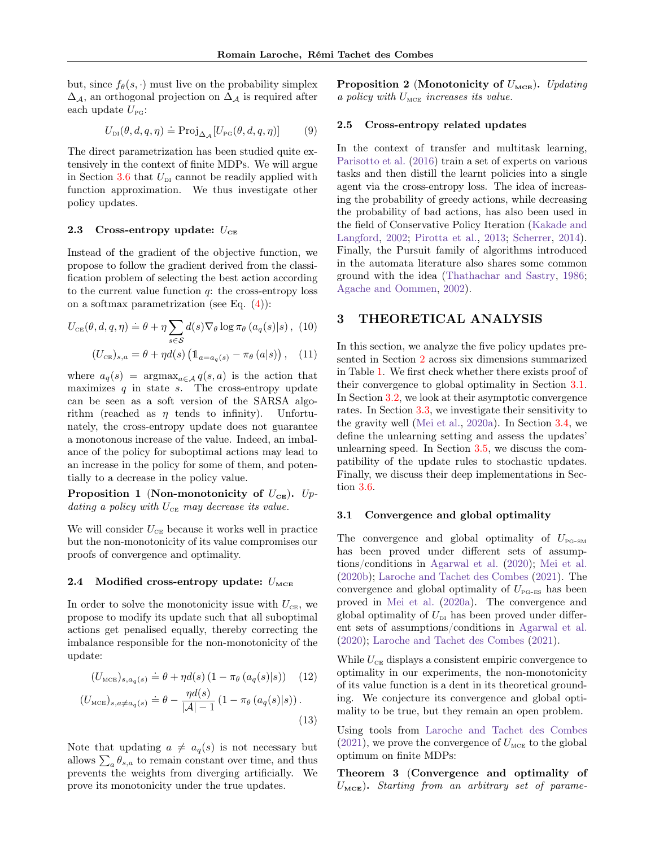but, since  $f_{\theta}(s, \cdot)$  must live on the probability simplex  $\Delta_{\mathcal{A}}$ , an orthogonal projection on  $\Delta_{\mathcal{A}}$  is required after each update  $U_{\text{pg}}$ :

$$
U_{\text{DI}}(\theta, d, q, \eta) \doteq \text{Proj}_{\Delta_{\mathcal{A}}}[U_{\text{PG}}(\theta, d, q, \eta)] \tag{9}
$$

The direct parametrization has been studied quite extensively in the context of finite MDPs. We will argue in Section [3.6](#page-5-0) that  $U_{\text{DI}}$  cannot be readily applied with function approximation. We thus investigate other policy updates.

#### 2.3 Cross-entropy update:  $U_{CE}$

Instead of the gradient of the objective function, we propose to follow the gradient derived from the classification problem of selecting the best action according to the current value function  $q$ : the cross-entropy loss on a softmax parametrization (see Eq.  $(4)$ ):

$$
U_{CE}(\theta, d, q, \eta) \doteq \theta + \eta \sum_{s \in \mathcal{S}} d(s) \nabla_{\theta} \log \pi_{\theta} (a_q(s)|s), (10)
$$

$$
(U_{CE})_{s,a} = \theta + \eta d(s) \left( \mathbb{1}_{a=a_q(s)} - \pi_{\theta} (a|s) \right), (11)
$$

where  $a_q(s)$  = argmax<sub>a∈A</sub>  $q(s, a)$  is the action that maximizes  $q$  in state  $s$ . The cross-entropy update can be seen as a soft version of the SARSA algorithm (reached as  $\eta$  tends to infinity). Unfortunately, the cross-entropy update does not guarantee a monotonous increase of the value. Indeed, an imbalance of the policy for suboptimal actions may lead to an increase in the policy for some of them, and potentially to a decrease in the policy value.

<span id="page-2-3"></span>Proposition 1 (Non-monotonicity of  $U_{CE}$ ). Updating a policy with  $U_{\scriptscriptstyle{\text{CE}}}$  may decrease its value.

We will consider  $U_{\scriptscriptstyle{\text{CE}}}$  because it works well in practice but the non-monotonicity of its value compromises our proofs of convergence and optimality.

### 2.4 Modified cross-entropy update:  $U_{\text{MCE}}$

In order to solve the monotonicity issue with  $U_{CE}$ , we propose to modify its update such that all suboptimal actions get penalised equally, thereby correcting the imbalance responsible for the non-monotonicity of the update:

$$
(U_{\text{MCE}})_{s,a_q(s)} \doteq \theta + \eta d(s) \left(1 - \pi_{\theta} \left(a_q(s)|s\right)\right) \tag{12}
$$

$$
(U_{\text{MCE}})_{s,a \neq a_q(s)} \doteq \theta - \frac{\eta d(s)}{|\mathcal{A}| - 1} \left( 1 - \pi_{\theta} \left( a_q(s) | s \right) \right). \tag{13}
$$

Note that updating  $a \neq a_q(s)$  is not necessary but allows  $\sum_a \theta_{s,a}$  to remain constant over time, and thus prevents the weights from diverging artificially. We prove its monotonicity under the true updates.

<span id="page-2-2"></span>Proposition 2 (Monotonicity of  $U_{\text{MCE}}$ ). Updating a policy with  $U_{\text{MCE}}$  increases its value.

### 2.5 Cross-entropy related updates

In the context of transfer and multitask learning, [Parisotto et al.](#page-9-8) [\(2016\)](#page-9-8) train a set of experts on various tasks and then distill the learnt policies into a single agent via the cross-entropy loss. The idea of increasing the probability of greedy actions, while decreasing the probability of bad actions, has also been used in the field of Conservative Policy Iteration [\(Kakade and](#page-9-9) [Langford,](#page-9-9) [2002;](#page-9-9) [Pirotta et al.,](#page-9-10) [2013;](#page-9-10) [Scherrer,](#page-10-6) [2014\)](#page-10-6). Finally, the Pursuit family of algorithms introduced in the automata literature also shares some common ground with the idea [\(Thathachar and Sastry,](#page-10-7) [1986;](#page-10-7) [Agache and Oommen,](#page-9-11) [2002\)](#page-9-11).

# 3 THEORETICAL ANALYSIS

In this section, we analyze the five policy updates presented in Section [2](#page-1-2) across six dimensions summarized in Table [1.](#page-3-0) We first check whether there exists proof of their convergence to global optimality in Section [3.1.](#page-2-0) In Section [3.2,](#page-3-1) we look at their asymptotic convergence rates. In Section [3.3,](#page-3-2) we investigate their sensitivity to the gravity well [\(Mei et al.,](#page-9-7) [2020a\)](#page-9-7). In Section [3.4,](#page-4-0) we define the unlearning setting and assess the updates' unlearning speed. In Section [3.5,](#page-5-1) we discuss the compatibility of the update rules to stochastic updates. Finally, we discuss their deep implementations in Section [3.6.](#page-5-0)

#### <span id="page-2-0"></span>3.1 Convergence and global optimality

The convergence and global optimality of  $U_{\text{PG-SM}}$ has been proved under different sets of assumptions/conditions in [Agarwal et al.](#page-9-5) [\(2020\)](#page-9-5); [Mei et al.](#page-9-12) [\(2020b\)](#page-9-12); [Laroche and Tachet des Combes](#page-9-6) [\(2021\)](#page-9-6). The convergence and global optimality of  $U_{\text{PG-ES}}$  has been proved in [Mei et al.](#page-9-7) [\(2020a\)](#page-9-7). The convergence and global optimality of  $U_{\text{DI}}$  has been proved under different sets of assumptions/conditions in [Agarwal et al.](#page-9-5) [\(2020\)](#page-9-5); [Laroche and Tachet des Combes](#page-9-6) [\(2021\)](#page-9-6).

While  $U_{CE}$  displays a consistent empiric convergence to optimality in our experiments, the non-monotonicity of its value function is a dent in its theoretical grounding. We conjecture its convergence and global optimality to be true, but they remain an open problem.

Using tools from [Laroche and Tachet des Combes](#page-9-6)  $(2021)$ , we prove the convergence of  $U_{\text{MCE}}$  to the global optimum on finite MDPs:

<span id="page-2-1"></span>Theorem 3 (Convergence and optimality of  $U<sub>MEE</sub>$ ). Starting from an arbitrary set of parame-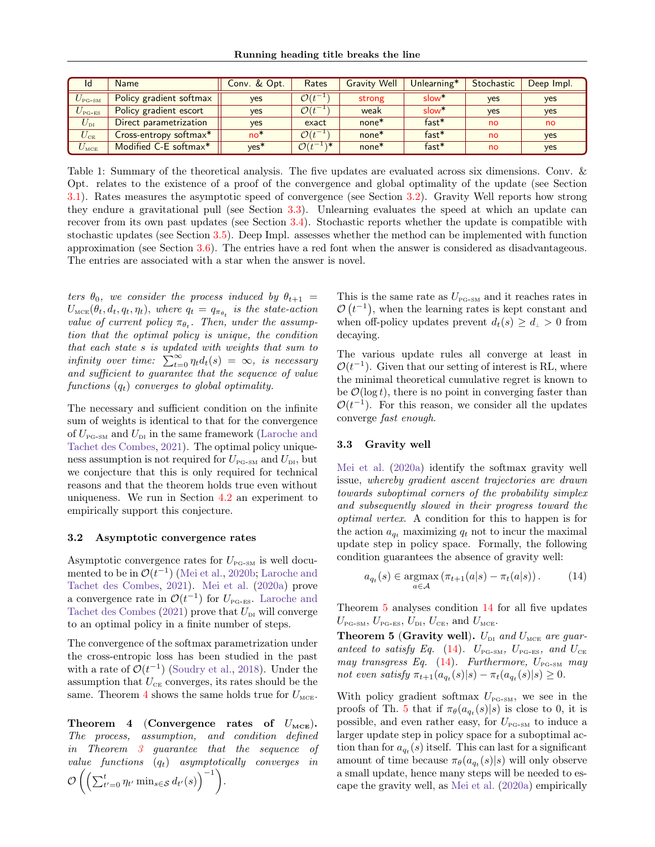<span id="page-3-0"></span>

| Id                                     | <b>Name</b>             | Conv. & Opt.     | Rates                              | <b>Gravity Well</b> | Unlearning*       | Stochastic | Deep Impl. |
|----------------------------------------|-------------------------|------------------|------------------------------------|---------------------|-------------------|------------|------------|
| $U_{\rm{PG-SM}}$                       | Policy gradient softmax | ves              | $\mathcal{O}(t^{-1})$              | strong              | slow <sup>*</sup> | <b>ves</b> | <b>ves</b> |
| $U_{\scriptscriptstyle{\text{PG-ES}}}$ | Policy gradient escort  | ves              | $\mathcal{O}(t^{-1})$              | weak                | slow <sup>*</sup> | <b>ves</b> | <b>ves</b> |
| $U_{\mathrm{DI}}$                      | Direct parametrization  | <b>ves</b>       | exact                              | $none*$             | $fast*$           | no.        | no         |
| $U_{\scriptscriptstyle\rm CE}$         | Cross-entropy softmax*  | $no*$            | $\mathcal{O}(t^{-1})$              | $none*$             | $fast*$           | <b>no</b>  | <b>ves</b> |
| $U_{\mbox{\tiny{MCE}}}$                | Modified C-E softmax*   | ves <sup>*</sup> | $\overline{\mathcal{O}(t^{-1})^*}$ | $none*$             | $fast*$           | no         | <b>ves</b> |

Table 1: Summary of the theoretical analysis. The five updates are evaluated across six dimensions. Conv. & Opt. relates to the existence of a proof of the convergence and global optimality of the update (see Section [3.1\)](#page-2-0). Rates measures the asymptotic speed of convergence (see Section [3.2\)](#page-3-1). Gravity Well reports how strong they endure a gravitational pull (see Section [3.3\)](#page-3-2). Unlearning evaluates the speed at which an update can recover from its own past updates (see Section [3.4\)](#page-4-0). Stochastic reports whether the update is compatible with stochastic updates (see Section [3.5\)](#page-5-1). Deep Impl. assesses whether the method can be implemented with function approximation (see Section [3.6\)](#page-5-0). The entries have a red font when the answer is considered as disadvantageous. The entries are associated with a star when the answer is novel.

ters  $\theta_0$ , we consider the process induced by  $\theta_{t+1}$  =  $U_{\text{mce}}(\theta_t, d_t, q_t, \eta_t)$ , where  $q_t = q_{\pi_{\theta_t}}$  is the state-action value of current policy  $\pi_{\theta_t}$ . Then, under the assumption that the optimal policy is unique, the condition that each state s is updated with weights that sum to infinity over time:  $\sum_{t=0}^{\infty} \eta_t d_t(s) = \infty$ , is necessary and sufficient to guarantee that the sequence of value functions  $(q_t)$  converges to global optimality.

The necessary and sufficient condition on the infinite sum of weights is identical to that for the convergence of  $U_{\text{PG-SM}}$  and  $U_{\text{DI}}$  in the same framework [\(Laroche and](#page-9-6) [Tachet des Combes,](#page-9-6) [2021\)](#page-9-6). The optimal policy uniqueness assumption is not required for  $U_{\text{PG-SM}}$  and  $U_{\text{DI}}$ , but we conjecture that this is only required for technical reasons and that the theorem holds true even without uniqueness. We run in Section [4.2](#page-6-0) an experiment to empirically support this conjecture.

#### <span id="page-3-1"></span>3.2 Asymptotic convergence rates

Asymptotic convergence rates for  $U_{\text{PG-SM}}$  is well documented to be in  $\mathcal{O}(t^{-1})$  [\(Mei et al.,](#page-9-12) [2020b;](#page-9-12) [Laroche and](#page-9-6) [Tachet des Combes,](#page-9-6) [2021\)](#page-9-6). [Mei et al.](#page-9-7) [\(2020a\)](#page-9-7) prove a convergence rate in  $\mathcal{O}(t^{-1})$  for  $U_{\text{PG-ES}}$ . [Laroche and](#page-9-6) [Tachet des Combes](#page-9-6) [\(2021\)](#page-9-6) prove that  $U_{\text{DI}}$  will converge to an optimal policy in a finite number of steps.

The convergence of the softmax parametrization under the cross-entropic loss has been studied in the past with a rate of  $\mathcal{O}(t^{-1})$  [\(Soudry et al.,](#page-10-8) [2018\)](#page-10-8). Under the assumption that  $U_{CE}$  converges, its rates should be the same. Theorem [4](#page-3-3) shows the same holds true for  $U_{\text{MCE}}$ .

<span id="page-3-3"></span>Theorem 4 (Convergence rates of  $U_{\text{MCE}}$ ). The process, assumption, and condition defined in Theorem [3](#page-2-1) guarantee that the sequence of value functions  $(q_t)$  asymptotically converges in  $\mathcal{O}\left(\left(\sum_{t'=0}^t \eta_{t'}\min_{s\in\mathcal{S}}d_{t'}(s)\right)^{-1}\right).$ 

This is the same rate as  $U_{\text{PG-SM}}$  and it reaches rates in  $\mathcal{O}(t^{-1})$ , when the learning rates is kept constant and when off-policy updates prevent  $d_t(s) \geq d_t > 0$  from decaying.

The various update rules all converge at least in  $\mathcal{O}(t^{-1})$ . Given that our setting of interest is RL, where the minimal theoretical cumulative regret is known to be  $\mathcal{O}(\log t)$ , there is no point in converging faster than  $\mathcal{O}(t^{-1})$ . For this reason, we consider all the updates converge fast enough.

#### <span id="page-3-2"></span>3.3 Gravity well

[Mei et al.](#page-9-7) [\(2020a\)](#page-9-7) identify the softmax gravity well issue, whereby gradient ascent trajectories are drawn towards suboptimal corners of the probability simplex and subsequently slowed in their progress toward the optimal vertex. A condition for this to happen is for the action  $a_{q_t}$  maximizing  $q_t$  not to incur the maximal update step in policy space. Formally, the following condition guarantees the absence of gravity well:

<span id="page-3-5"></span>
$$
a_{q_t}(s) \in \underset{a \in \mathcal{A}}{\operatorname{argmax}} \left( \pi_{t+1}(a|s) - \pi_t(a|s) \right). \tag{14}
$$

Theorem [5](#page-3-4) analyses condition [14](#page-3-5) for all five updates  $U_{\text{PG-SM}}, U_{\text{PG-ES}}, U_{\text{DI}}, U_{\text{CE}}, \text{ and } U_{\text{MCE}}.$ 

<span id="page-3-4"></span>**Theorem 5 (Gravity well).**  $U_{\text{DL}}$  and  $U_{\text{MCE}}$  are guar-anteed to satisfy Eq. [\(14\)](#page-3-5).  $U_{\text{PG-SM}}$ ,  $U_{\text{PG-ES}}$ , and  $U_{\text{CE}}$ may transgress Eq.  $(14)$ . Furthermore,  $U_{\text{PG-SM}}$  may not even satisfy  $\pi_{t+1}(a_{q_t}(s)|s) - \pi_t(a_{q_t}(s)|s) \geq 0.$ 

With policy gradient softmax  $U_{\text{PG-SM}}$ , we see in the proofs of Th. [5](#page-3-4) that if  $\pi_{\theta}(a_{q_t}(s)|s)$  is close to 0, it is possible, and even rather easy, for  $U_{P_{\text{G-SM}}}$  to induce a larger update step in policy space for a suboptimal action than for  $a_{q_t}(s)$  itself. This can last for a significant amount of time because  $\pi_{\theta}(a_{q_t}(s)|s)$  will only observe a small update, hence many steps will be needed to escape the gravity well, as [Mei et al.](#page-9-7) [\(2020a\)](#page-9-7) empirically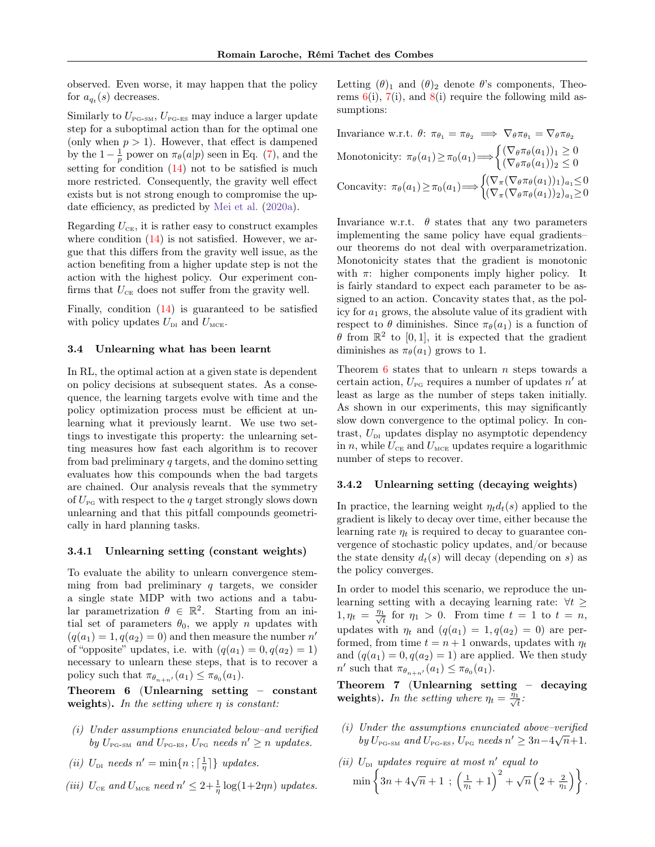observed. Even worse, it may happen that the policy for  $a_{q_t}(s)$  decreases.

Similarly to  $U_{\text{PG-SM}}$ ,  $U_{\text{PG-ES}}$  may induce a larger update step for a suboptimal action than for the optimal one (only when  $p > 1$ ). However, that effect is dampened by the  $1-\frac{1}{p}$  power on  $\pi_{\theta}(a|p)$  seen in Eq. [\(7\)](#page-1-3), and the setting for condition [\(14\)](#page-3-5) not to be satisfied is much more restricted. Consequently, the gravity well effect exists but is not strong enough to compromise the update efficiency, as predicted by [Mei et al.](#page-9-7) [\(2020a\)](#page-9-7).

Regarding  $U_{\text{CE}}$ , it is rather easy to construct examples where condition  $(14)$  is not satisfied. However, we argue that this differs from the gravity well issue, as the action benefiting from a higher update step is not the action with the highest policy. Our experiment confirms that  $U_{CE}$  does not suffer from the gravity well.

Finally, condition [\(14\)](#page-3-5) is guaranteed to be satisfied with policy updates  $U_{\text{DI}}$  and  $U_{\text{MCE}}$ .

#### <span id="page-4-0"></span>3.4 Unlearning what has been learnt

In RL, the optimal action at a given state is dependent on policy decisions at subsequent states. As a consequence, the learning targets evolve with time and the policy optimization process must be efficient at unlearning what it previously learnt. We use two settings to investigate this property: the unlearning setting measures how fast each algorithm is to recover from bad preliminary q targets, and the domino setting evaluates how this compounds when the bad targets are chained. Our analysis reveals that the symmetry of  $U_{\text{PG}}$  with respect to the q target strongly slows down unlearning and that this pitfall compounds geometrically in hard planning tasks.

#### 3.4.1 Unlearning setting (constant weights)

To evaluate the ability to unlearn convergence stemming from bad preliminary  $q$  targets, we consider a single state MDP with two actions and a tabular parametrization  $\theta \in \mathbb{R}^2$ . Starting from an initial set of parameters  $\theta_0$ , we apply n updates with  $(q(a_1) = 1, q(a_2) = 0)$  and then measure the number n' of "opposite" updates, i.e. with  $(q(a_1) = 0, q(a_2) = 1)$ necessary to unlearn these steps, that is to recover a policy such that  $\pi_{\theta_{n+n'}}(a_1) \leq \pi_{\theta_0}(a_1)$ .

<span id="page-4-1"></span>Theorem 6 (Unlearning setting – constant weights). In the setting where  $\eta$  is constant:

- (i) Under assumptions enunciated below–and verified by  $U_{\text{PG-SM}}$  and  $U_{\text{PG-ES}}$ ,  $U_{\text{PG}}$  needs  $n' \geq n$  updates.
- (*ii*)  $U_{\text{DI}}$  needs  $n' = \min\{n; \lceil \frac{1}{\eta} \rceil\}$  updates.
- (iii)  $U_{\text{CE}}$  and  $U_{\text{MCE}}$  need  $n' \leq 2 + \frac{1}{\eta} \log(1 + 2\eta n)$  updates.

Letting  $(\theta)_1$  and  $(\theta)_2$  denote  $\theta$ 's components, Theorems  $6(i)$  $6(i)$ ,  $7(i)$  $7(i)$ , and  $8(i)$  $8(i)$  require the following mild assumptions:

Invariance w.r.t. 
$$
\theta: \pi_{\theta_1} = \pi_{\theta_2} \implies \nabla_{\theta} \pi_{\theta_1} = \nabla_{\theta} \pi_{\theta_2}
$$
  
\nMonotonicity:  $\pi_{\theta}(a_1) \geq \pi_0(a_1) \Longrightarrow \begin{cases} (\nabla_{\theta} \pi_{\theta}(a_1))_1 \geq 0 \\ (\nabla_{\theta} \pi_{\theta}(a_1))_2 \leq 0 \end{cases}$   
\nConcavity:  $\pi_{\theta}(a_1) \geq \pi_0(a_1) \Longrightarrow \begin{cases} (\nabla_{\pi} (\nabla_{\theta} \pi_{\theta}(a_1))_1)_{a_1} \leq 0 \\ (\nabla_{\pi} (\nabla_{\theta} \pi_{\theta}(a_1))_2)_{a_1} \geq 0 \end{cases}$ 

Invariance w.r.t.  $\theta$  states that any two parameters implementing the same policy have equal gradients– our theorems do not deal with overparametrization. Monotonicity states that the gradient is monotonic with  $\pi$ : higher components imply higher policy. It is fairly standard to expect each parameter to be assigned to an action. Concavity states that, as the policy for  $a_1$  grows, the absolute value of its gradient with respect to  $\theta$  diminishes. Since  $\pi_{\theta}(a_1)$  is a function of  $\theta$  from  $\mathbb{R}^2$  to [0, 1], it is expected that the gradient diminishes as  $\pi_{\theta}(a_1)$  grows to 1.

Theorem  $6$  states that to unlearn  $n$  steps towards a certain action,  $U_{\text{PG}}$  requires a number of updates  $n'$  at least as large as the number of steps taken initially. As shown in our experiments, this may significantly slow down convergence to the optimal policy. In contrast,  $U_{\text{DI}}$  updates display no asymptotic dependency in n, while  $U_{CE}$  and  $U_{MCE}$  updates require a logarithmic number of steps to recover.

### 3.4.2 Unlearning setting (decaying weights)

In practice, the learning weight  $\eta_t d_t(s)$  applied to the gradient is likely to decay over time, either because the learning rate  $\eta_t$  is required to decay to guarantee convergence of stochastic policy updates, and/or because the state density  $d_t(s)$  will decay (depending on s) as the policy converges.

In order to model this scenario, we reproduce the unlearning setting with a decaying learning rate:  $\forall t \geq$  $1, \eta_t = \frac{\eta_1}{\sqrt{4}}$  $\frac{1}{t}$  for  $\eta_1 > 0$ . From time  $t = 1$  to  $t = n$ , updates with  $\eta_t$  and  $(q(a_1) = 1, q(a_2) = 0)$  are performed, from time  $t = n + 1$  onwards, updates with  $\eta_t$ and  $(q(a_1) = 0, q(a_2) = 1)$  are applied. We then study  $n'$  such that  $\pi_{\theta_{n+n'}}(a_1) \leq \pi_{\theta_0}(a_1)$ .

<span id="page-4-2"></span>Theorem 7 (Unlearning setting – decaying weights). In the setting where  $\eta_t = \frac{\eta_1}{\sqrt{t}}$  $\frac{1}{t}$ :

- (i) Under the assumptions enunciated above–verified by  $U_{\text{PG-SM}}$  and  $U_{\text{PG-ES}}$ ,  $U_{\text{PG}}$  needs  $n' \geq 3n-4\sqrt{n+1}$ .
- (ii)  $U_{\text{DI}}$  updates require at most n' equal to  $\min\left\{3n+4\sqrt{n}+1\right.\,;\,\left(\frac{1}{\eta_1}+1\right)^2+\sqrt{n}\left(2+\frac{2}{\eta_1}\right)\right\}.$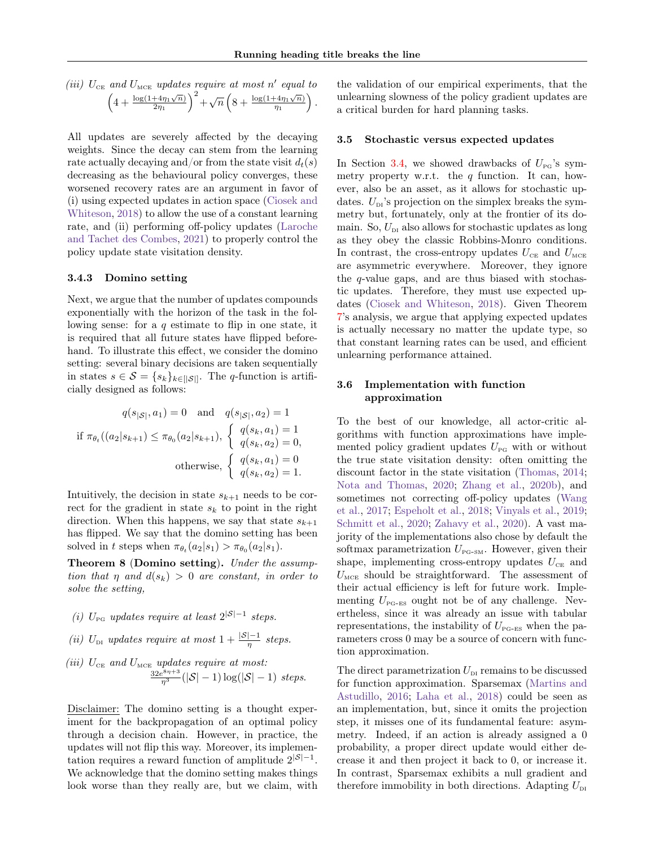(iii) 
$$
U_{\text{CE}}
$$
 and  $U_{\text{MCE}}$  updates require at most  $n'$  equal to\n
$$
\left(4 + \frac{\log(1+4\eta_1\sqrt{n})}{2\eta_1}\right)^2 + \sqrt{n}\left(8 + \frac{\log(1+4\eta_1\sqrt{n})}{\eta_1}\right).
$$

All updates are severely affected by the decaying weights. Since the decay can stem from the learning rate actually decaying and/or from the state visit  $d_t(s)$ decreasing as the behavioural policy converges, these worsened recovery rates are an argument in favor of (i) using expected updates in action space [\(Ciosek and](#page-9-13) [Whiteson,](#page-9-13) [2018\)](#page-9-13) to allow the use of a constant learning rate, and (ii) performing off-policy updates [\(Laroche](#page-9-6) [and Tachet des Combes,](#page-9-6) [2021\)](#page-9-6) to properly control the policy update state visitation density.

#### 3.4.3 Domino setting

Next, we argue that the number of updates compounds exponentially with the horizon of the task in the following sense: for a  $q$  estimate to flip in one state, it is required that all future states have flipped beforehand. To illustrate this effect, we consider the domino setting: several binary decisions are taken sequentially in states  $s \in \mathcal{S} = \{s_k\}_{k \in [\lvert \mathcal{S} \rvert]}$ . The q-function is artificially designed as follows:

$$
q(s_{|\mathcal{S}|}, a_1) = 0 \text{ and } q(s_{|\mathcal{S}|}, a_2) = 1
$$
  
if  $\pi_{\theta_t}((a_2|s_{k+1}) \le \pi_{\theta_0}(a_2|s_{k+1}), \begin{cases} q(s_k, a_1) = 1\\ q(s_k, a_2) = 0, \end{cases}$   
otherwise, 
$$
\begin{cases} q(s_k, a_1) = 0\\ q(s_k, a_2) = 1. \end{cases}
$$

Intuitively, the decision in state  $s_{k+1}$  needs to be correct for the gradient in state  $s_k$  to point in the right direction. When this happens, we say that state  $s_{k+1}$ has flipped. We say that the domino setting has been solved in t steps when  $\pi_{\theta_t}(a_2|s_1) > \pi_{\theta_0}(a_2|s_1)$ .

<span id="page-5-2"></span>Theorem 8 (Domino setting). Under the assumption that  $\eta$  and  $d(s_k) > 0$  are constant, in order to solve the setting,

- (i)  $U_{\text{PG}}$  updates require at least  $2^{|S|-1}$  steps.
- (ii)  $U_{\text{DI}}$  updates require at most  $1 + \frac{|\mathcal{S}| 1}{\eta}$  steps.

(iii) 
$$
U_{\text{CE}}
$$
 and  $U_{\text{MCE}}$  updates require at most:  

$$
\frac{32e^{8\eta+3}}{\eta^3}(|\mathcal{S}|-1)\log(|\mathcal{S}|-1) \text{ steps.}
$$

Disclaimer: Disclaimer: The domino setting is a thought experiment for the backpropagation of an optimal policy through a decision chain. However, in practice, the updates will not flip this way. Moreover, its implementation requires a reward function of amplitude  $2^{|S|-1}$ . We acknowledge that the domino setting makes things look worse than they really are, but we claim, with

the validation of our empirical experiments, that the unlearning slowness of the policy gradient updates are a critical burden for hard planning tasks.

#### <span id="page-5-1"></span>3.5 Stochastic versus expected updates

In Section [3.4,](#page-4-0) we showed drawbacks of  $U_{\text{pg}}$ 's symmetry property w.r.t. the  $q$  function. It can, however, also be an asset, as it allows for stochastic updates.  $U_{\text{DI}}$ 's projection on the simplex breaks the symmetry but, fortunately, only at the frontier of its domain. So,  $U_{\text{DI}}$  also allows for stochastic updates as long as they obey the classic Robbins-Monro conditions. In contrast, the cross-entropy updates  $U_{CE}$  and  $U_{MCE}$ are asymmetric everywhere. Moreover, they ignore the q-value gaps, and are thus biased with stochastic updates. Therefore, they must use expected updates [\(Ciosek and Whiteson,](#page-9-13) [2018\)](#page-9-13). Given Theorem [7'](#page-4-2)s analysis, we argue that applying expected updates is actually necessary no matter the update type, so that constant learning rates can be used, and efficient unlearning performance attained.

# <span id="page-5-0"></span>3.6 Implementation with function approximation

To the best of our knowledge, all actor-critic algorithms with function approximations have implemented policy gradient updates  $U_{\text{PG}}$  with or without the true state visitation density: often omitting the discount factor in the state visitation [\(Thomas,](#page-10-9) [2014;](#page-10-9) [Nota and Thomas,](#page-9-14) [2020;](#page-9-14) [Zhang et al.,](#page-10-10) [2020b\)](#page-10-10), and sometimes not correcting off-policy updates [\(Wang](#page-10-11) [et al.,](#page-10-11) [2017;](#page-10-11) [Espeholt et al.,](#page-9-15) [2018;](#page-9-15) [Vinyals et al.,](#page-10-4) [2019;](#page-10-4) [Schmitt et al.,](#page-10-12) [2020;](#page-10-12) [Zahavy et al.,](#page-10-13) [2020\)](#page-10-13). A vast majority of the implementations also chose by default the softmax parametrization  $U_{\text{PG-SM}}$ . However, given their shape, implementing cross-entropy updates  $U_{CE}$  and  $U_{\text{MCE}}$  should be straightforward. The assessment of their actual efficiency is left for future work. Implementing  $U_{\text{PG-ES}}$  ought not be of any challenge. Nevertheless, since it was already an issue with tabular representations, the instability of  $U_{\text{PG-ES}}$  when the parameters cross 0 may be a source of concern with function approximation.

The direct parametrization  $U_{\text{\tiny{DI}}}$  remains to be discussed for function approximation. Sparsemax [\(Martins and](#page-9-16) [Astudillo,](#page-9-16) [2016;](#page-9-16) [Laha et al.,](#page-9-17) [2018\)](#page-9-17) could be seen as an implementation, but, since it omits the projection step, it misses one of its fundamental feature: asymmetry. Indeed, if an action is already assigned a 0 probability, a proper direct update would either decrease it and then project it back to 0, or increase it. In contrast, Sparsemax exhibits a null gradient and therefore immobility in both directions. Adapting  $U_{\text{DI}}$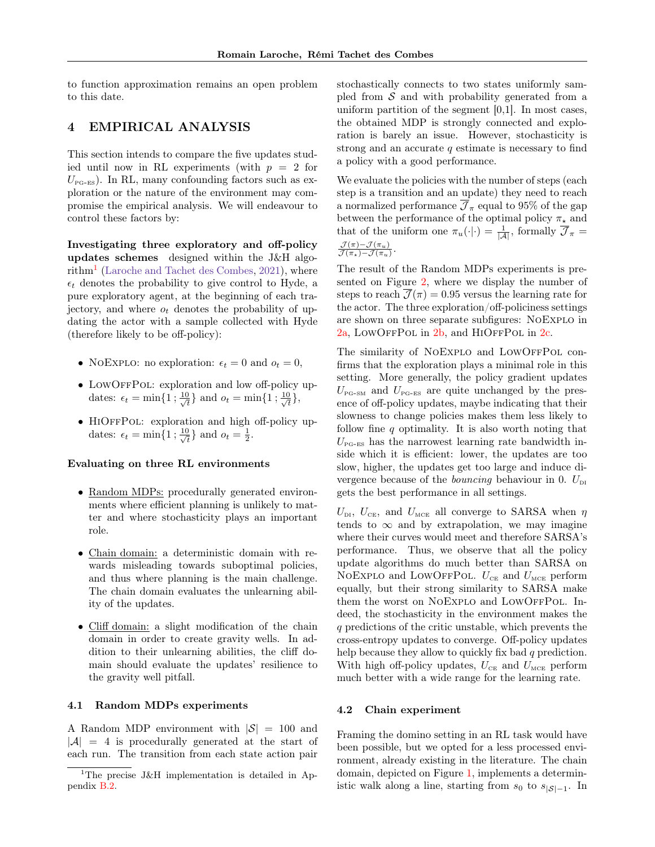to function approximation remains an open problem to this date.

# 4 EMPIRICAL ANALYSIS

This section intends to compare the five updates studied until now in RL experiments (with  $p = 2$  for  $U_{\text{PG-ES}}$ ). In RL, many confounding factors such as exploration or the nature of the environment may compromise the empirical analysis. We will endeavour to control these factors by:

Investigating three exploratory and off-policy updates schemes designed within the J&H algo- $\text{rithm}^1$  $\text{rithm}^1$  [\(Laroche and Tachet des Combes,](#page-9-6) [2021\)](#page-9-6), where  $\epsilon_t$  denotes the probability to give control to Hyde, a pure exploratory agent, at the beginning of each trajectory, and where  $o_t$  denotes the probability of updating the actor with a sample collected with Hyde (therefore likely to be off-policy):

- NOEXPLO: no exploration:  $\epsilon_t = 0$  and  $o_t = 0$ ,
- LOWOFFPOL: exploration and low off-policy updates:  $\epsilon_t = \min\{1 \; ; \frac{10}{\sqrt{t}}\}$  $\frac{1}{t}$ } and  $o_t = \min\{1; \frac{10}{\sqrt{t}}\}$  $\frac{1}{t}\},$
- HiOffPol: exploration and high off-policy updates:  $\epsilon_t = \min\{1 \; ; \frac{10}{\sqrt{t}}\}$  $\frac{1}{t}$  and  $o_t = \frac{1}{2}$ .

#### Evaluating on three RL environments

- Random MDPs: procedurally generated environments where efficient planning is unlikely to matter and where stochasticity plays an important role.
- Chain domain: a deterministic domain with rewards misleading towards suboptimal policies, and thus where planning is the main challenge. The chain domain evaluates the unlearning ability of the updates.
- Cliff domain: a slight modification of the chain domain in order to create gravity wells. In addition to their unlearning abilities, the cliff domain should evaluate the updates' resilience to the gravity well pitfall.

# 4.1 Random MDPs experiments

A Random MDP environment with  $|S| = 100$  and  $|\mathcal{A}| = 4$  is procedurally generated at the start of each run. The transition from each state action pair stochastically connects to two states uniformly sampled from  $S$  and with probability generated from a uniform partition of the segment [0,1]. In most cases, the obtained MDP is strongly connected and exploration is barely an issue. However, stochasticity is strong and an accurate  $q$  estimate is necessary to find a policy with a good performance.

We evaluate the policies with the number of steps (each step is a transition and an update) they need to reach a normalized performance  $\mathcal{J}_{\pi}$  equal to 95% of the gap between the performance of the optimal policy  $\pi_{\star}$  and that of the uniform one  $\pi_u(\cdot|\cdot) = \frac{1}{|\mathcal{A}|}$ , formally  $\overline{\mathcal{J}}_{\pi} =$  $\mathcal{J}(\pi) - \mathcal{J}(\pi_u)$  $\frac{\mathcal{J}(\pi) - \mathcal{J}(\pi_u)}{\mathcal{J}(\pi_\star) - \mathcal{J}(\pi_u)}$ 

The result of the Random MDPs experiments is presented on Figure [2,](#page-7-0) where we display the number of steps to reach  $\overline{\mathcal{J}}(\pi) = 0.95$  versus the learning rate for the actor. The three exploration/off-policiness settings are shown on three separate subfigures: NoExplo in [2a,](#page-7-1) LOWOFFPOL in [2b,](#page-7-2) and HIOFFPOL in [2c.](#page-7-3)

The similarity of NOEXPLO and LOWOFFPOL confirms that the exploration plays a minimal role in this setting. More generally, the policy gradient updates  $U_{\text{PG-SM}}$  and  $U_{\text{PG-ES}}$  are quite unchanged by the presence of off-policy updates, maybe indicating that their slowness to change policies makes them less likely to follow fine  $q$  optimality. It is also worth noting that  $U_{\text{PG-ES}}$  has the narrowest learning rate bandwidth inside which it is efficient: lower, the updates are too slow, higher, the updates get too large and induce divergence because of the *bouncing* behaviour in 0.  $U_{\text{DI}}$ gets the best performance in all settings.

 $U_{\text{\tiny{DL}}}$ ,  $U_{\text{CE}}$ , and  $U_{\text{\tiny{MCE}}}$  all converge to SARSA when  $\eta$ tends to  $\infty$  and by extrapolation, we may imagine where their curves would meet and therefore SARSA's performance. Thus, we observe that all the policy update algorithms do much better than SARSA on NOEXPLO and LOWOFFPOL.  $U_{CE}$  and  $U_{MCE}$  perform equally, but their strong similarity to SARSA make them the worst on NOEXPLO and LOWOFFPOL. Indeed, the stochasticity in the environment makes the q predictions of the critic unstable, which prevents the cross-entropy updates to converge. Off-policy updates help because they allow to quickly fix bad q prediction. With high off-policy updates,  $U_{CE}$  and  $U_{MCE}$  perform much better with a wide range for the learning rate.

### <span id="page-6-0"></span>4.2 Chain experiment

Framing the domino setting in an RL task would have been possible, but we opted for a less processed environment, already existing in the literature. The chain domain, depicted on Figure [1,](#page-7-4) implements a deterministic walk along a line, starting from  $s_0$  to  $s_{|S|-1}$ . In

<span id="page-6-1"></span><sup>&</sup>lt;sup>1</sup>The precise J&H implementation is detailed in Appendix [B.2.](#page-29-1)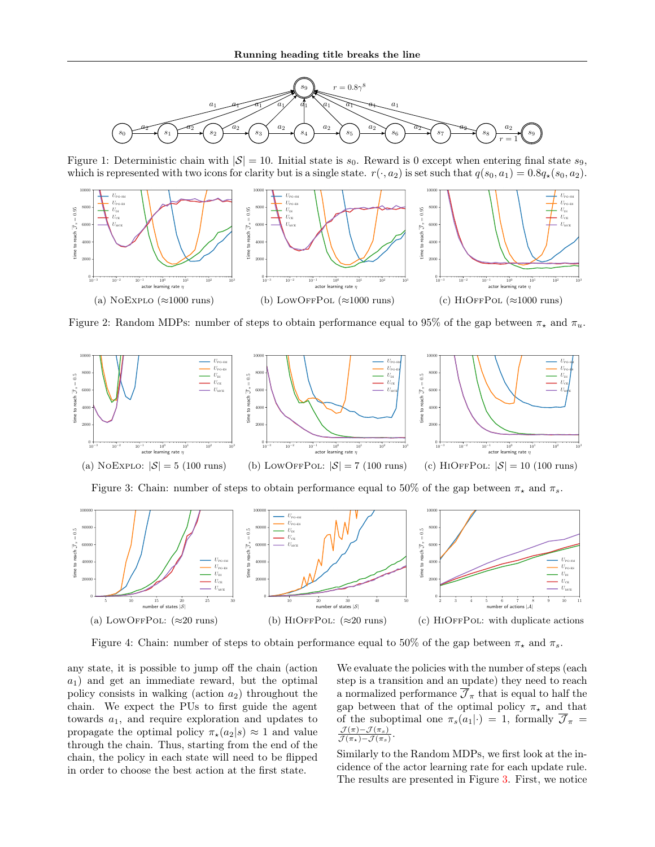<span id="page-7-4"></span>

Figure 1: Deterministic chain with  $|S| = 10$ . Initial state is  $s_0$ . Reward is 0 except when entering final state  $s_9$ , which is represented with two icons for clarity but is a single state.  $r(\cdot, a_2)$  is set such that  $q(s_0, a_1) = 0.8q_*(s_0, a_2)$ .

<span id="page-7-1"></span><span id="page-7-0"></span>

<span id="page-7-3"></span><span id="page-7-2"></span>Figure 2: Random MDPs: number of steps to obtain performance equal to 95% of the gap between  $\pi_{\star}$  and  $\pi_{u}$ .

<span id="page-7-8"></span><span id="page-7-5"></span>

<span id="page-7-6"></span>Figure 3: Chain: number of steps to obtain performance equal to 50% of the gap between  $\pi_{\star}$  and  $\pi_{s}$ .

<span id="page-7-9"></span>

Figure 4: Chain: number of steps to obtain performance equal to 50% of the gap between  $\pi_{\star}$  and  $\pi_{s}$ .

any state, it is possible to jump off the chain (action  $a_1$ ) and get an immediate reward, but the optimal policy consists in walking (action  $a_2$ ) throughout the chain. We expect the PUs to first guide the agent towards  $a_1$ , and require exploration and updates to propagate the optimal policy  $\pi_{\star}(a_2|s) \approx 1$  and value through the chain. Thus, starting from the end of the chain, the policy in each state will need to be flipped in order to choose the best action at the first state.

<span id="page-7-11"></span><span id="page-7-10"></span><span id="page-7-7"></span>We evaluate the policies with the number of steps (each step is a transition and an update) they need to reach a normalized performance  $\overline{\mathcal{J}}_{\pi}$  that is equal to half the gap between that of the optimal policy  $\pi_{\star}$  and that of the suboptimal one  $\pi_s(a_1|\cdot) = 1$ , formally  $\overline{\mathcal{J}}_{\pi}$  =  $\mathcal{J}(\pi) - \mathcal{J}(\pi_s)$  $\mathcal{J}(\pi_{\star})-\mathcal{J}(\pi_{s})$ .

Similarly to the Random MDPs, we first look at the incidence of the actor learning rate for each update rule. The results are presented in Figure [3.](#page-7-5) First, we notice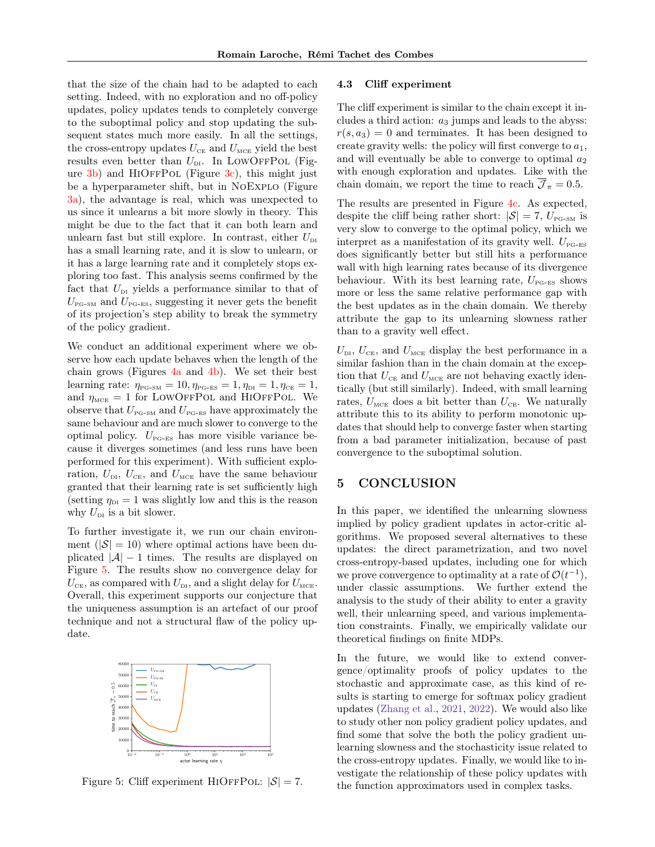that the size of the chain had to be adapted to each setting. Indeed, with no exploration and no off-policy updates, policy updates tends to completely converge to the suboptimal policy and stop updating the subsequent states much more easily. In all the settings, the cross-entropy updates  $U_{CE}$  and  $U_{MCE}$  yield the best results even better than  $U_{\text{DI}}$ . In LOWOFFPOL (Figure  $3b$ ) and HIOFFPOL (Figure  $3c$ ), this might just be a hyperparameter shift, but in NoExplo (Figure [3a\)](#page-7-8), the advantage is real, which was unexpected to us since it unlearns a bit more slowly in theory. This might be due to the fact that it can both learn and unlearn fast but still explore. In contrast, either  $U_{\text{DI}}$ has a small learning rate, and it is slow to unlearn, or it has a large learning rate and it completely stops exploring too fast. This analysis seems confirmed by the fact that  $U_{\text{DI}}$  yields a performance similar to that of  $U_{\text{PG-SM}}$  and  $U_{\text{PG-ES}}$ , suggesting it never gets the benefit of its projection's step ability to break the symmetry of the policy gradient.

We conduct an additional experiment where we observe how each update behaves when the length of the chain grows (Figures  $4a$  and  $4b$ ). We set their best learning rate:  $\eta_{\text{PG-SM}} = 10, \eta_{\text{PG-ES}} = 1, \eta_{\text{DI}} = 1, \eta_{\text{CE}} = 1,$ and  $\eta_{\text{MCE}} = 1$  for LOWOFFPOL and HIOFFPOL. We observe that  $U_{\text{PG-SM}}$  and  $U_{\text{PG-ES}}$  have approximately the same behaviour and are much slower to converge to the optimal policy.  $U_{P_{\text{G-ES}}}$  has more visible variance because it diverges sometimes (and less runs have been performed for this experiment). With sufficient exploration,  $U_{\text{DI}}$ ,  $U_{\text{CE}}$ , and  $U_{\text{MCE}}$  have the same behaviour granted that their learning rate is set sufficiently high (setting  $\eta_{\text{DI}} = 1$  was slightly low and this is the reason why  $U_{\text{DI}}$  is a bit slower.

To further investigate it, we run our chain environment  $(|\mathcal{S}| = 10)$  where optimal actions have been duplicated  $|\mathcal{A}| - 1$  times. The results are displayed on Figure [5.](#page-8-0) The results show no convergence delay for  $U_{\text{CE}}$ , as compared with  $U_{\text{DL}}$ , and a slight delay for  $U_{\text{MCE}}$ . Overall, this experiment supports our conjecture that the uniqueness assumption is an artefact of our proof technique and not a structural flaw of the policy update.

<span id="page-8-0"></span>

Figure 5: Cliff experiment HIOFFPOL:  $|S| = 7$ .

#### 4.3 Cliff experiment

The cliff experiment is similar to the chain except it includes a third action:  $a_3$  jumps and leads to the abyss:  $r(s, a_3) = 0$  and terminates. It has been designed to create gravity wells: the policy will first converge to  $a_1$ , and will eventually be able to converge to optimal  $a_2$ with enough exploration and updates. Like with the chain domain, we report the time to reach  $\overline{\mathcal{J}}_{\pi} = 0.5$ .

The results are presented in Figure [4c.](#page-7-11) As expected, despite the cliff being rather short:  $|S| = 7$ ,  $U_{\text{PG-SM}}$  is very slow to converge to the optimal policy, which we interpret as a manifestation of its gravity well.  $U_{\text{PG-ES}}$ does significantly better but still hits a performance wall with high learning rates because of its divergence behaviour. With its best learning rate,  $U_{\text{PG-ES}}$  shows more or less the same relative performance gap with the best updates as in the chain domain. We thereby attribute the gap to its unlearning slowness rather than to a gravity well effect.

 $U_{\text{DL}}$ ,  $U_{\text{CE}}$ , and  $U_{\text{MCE}}$  display the best performance in a similar fashion than in the chain domain at the exception that  $U_{CE}$  and  $U_{MCE}$  are not behaving exactly identically (but still similarly). Indeed, with small learning rates,  $U_{\text{MCE}}$  does a bit better than  $U_{\text{CE}}$ . We naturally attribute this to its ability to perform monotonic updates that should help to converge faster when starting from a bad parameter initialization, because of past convergence to the suboptimal solution.

# 5 CONCLUSION

In this paper, we identified the unlearning slowness implied by policy gradient updates in actor-critic algorithms. We proposed several alternatives to these updates: the direct parametrization, and two novel cross-entropy-based updates, including one for which we prove convergence to optimality at a rate of  $\mathcal{O}(t^{-1}),$ under classic assumptions. We further extend the analysis to the study of their ability to enter a gravity well, their unlearning speed, and various implementation constraints. Finally, we empirically validate our theoretical findings on finite MDPs.

In the future, we would like to extend convergence/optimality proofs of policy updates to the stochastic and approximate case, as this kind of results is starting to emerge for softmax policy gradient updates [\(Zhang et al.,](#page-10-14) [2021,](#page-10-14) [2022\)](#page-10-15). We would also like to study other non policy gradient policy updates, and find some that solve the both the policy gradient unlearning slowness and the stochasticity issue related to the cross-entropy updates. Finally, we would like to investigate the relationship of these policy updates with the function approximators used in complex tasks.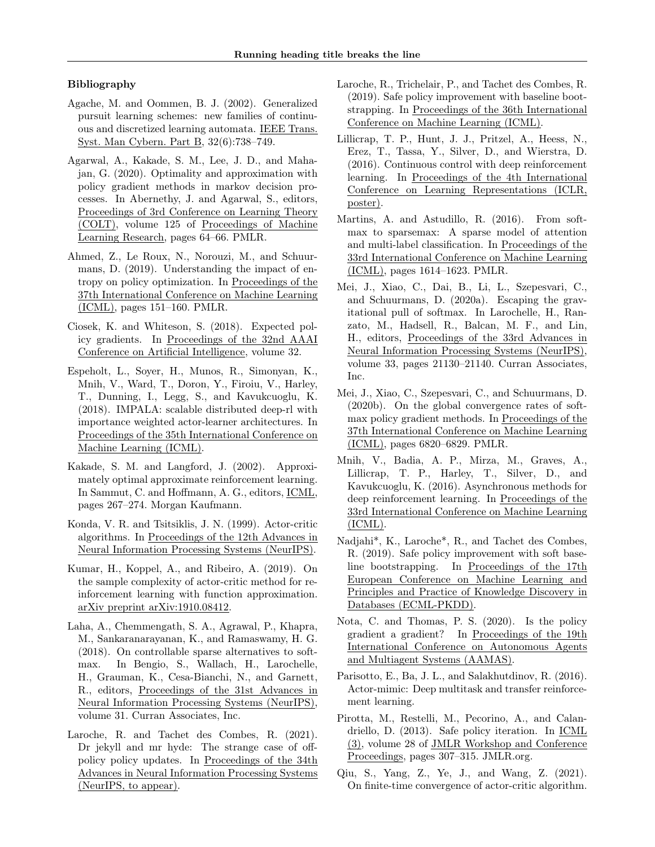# Bibliography

- <span id="page-9-11"></span>Agache, M. and Oommen, B. J. (2002). Generalized pursuit learning schemes: new families of continuous and discretized learning automata. IEEE Trans. Syst. Man Cybern. Part B, 32(6):738–749.
- <span id="page-9-5"></span>Agarwal, A., Kakade, S. M., Lee, J. D., and Mahajan, G. (2020). Optimality and approximation with policy gradient methods in markov decision processes. In Abernethy, J. and Agarwal, S., editors, Proceedings of 3rd Conference on Learning Theory (COLT), volume 125 of Proceedings of Machine Learning Research, pages 64–66. PMLR.
- <span id="page-9-1"></span>Ahmed, Z., Le Roux, N., Norouzi, M., and Schuurmans, D. (2019). Understanding the impact of entropy on policy optimization. In Proceedings of the 37th International Conference on Machine Learning (ICML), pages 151–160. PMLR.
- <span id="page-9-13"></span>Ciosek, K. and Whiteson, S. (2018). Expected policy gradients. In Proceedings of the 32nd AAAI Conference on Artificial Intelligence, volume 32.
- <span id="page-9-15"></span>Espeholt, L., Soyer, H., Munos, R., Simonyan, K., Mnih, V., Ward, T., Doron, Y., Firoiu, V., Harley, T., Dunning, I., Legg, S., and Kavukcuoglu, K. (2018). IMPALA: scalable distributed deep-rl with importance weighted actor-learner architectures. In Proceedings of the 35th International Conference on Machine Learning (ICML).
- <span id="page-9-9"></span>Kakade, S. M. and Langford, J. (2002). Approximately optimal approximate reinforcement learning. In Sammut, C. and Hoffmann, A. G., editors, ICML, pages 267–274. Morgan Kaufmann.
- <span id="page-9-0"></span>Konda, V. R. and Tsitsiklis, J. N. (1999). Actor-critic algorithms. In Proceedings of the 12th Advances in Neural Information Processing Systems (NeurIPS).
- <span id="page-9-2"></span>Kumar, H., Koppel, A., and Ribeiro, A. (2019). On the sample complexity of actor-critic method for reinforcement learning with function approximation. arXiv preprint arXiv:1910.08412.
- <span id="page-9-17"></span>Laha, A., Chemmengath, S. A., Agrawal, P., Khapra, M., Sankaranarayanan, K., and Ramaswamy, H. G. (2018). On controllable sparse alternatives to softmax. In Bengio, S., Wallach, H., Larochelle, H., Grauman, K., Cesa-Bianchi, N., and Garnett, R., editors, Proceedings of the 31st Advances in Neural Information Processing Systems (NeurIPS), volume 31. Curran Associates, Inc.
- <span id="page-9-6"></span>Laroche, R. and Tachet des Combes, R. (2021). Dr jekyll and mr hyde: The strange case of offpolicy policy updates. In Proceedings of the 34th Advances in Neural Information Processing Systems (NeurIPS, to appear).
- <span id="page-9-18"></span>Laroche, R., Trichelair, P., and Tachet des Combes, R. (2019). Safe policy improvement with baseline bootstrapping. In Proceedings of the 36th International Conference on Machine Learning (ICML).
- <span id="page-9-20"></span>Lillicrap, T. P., Hunt, J. J., Pritzel, A., Heess, N., Erez, T., Tassa, Y., Silver, D., and Wierstra, D. (2016). Continuous control with deep reinforcement learning. In Proceedings of the 4th International Conference on Learning Representations (ICLR, poster).
- <span id="page-9-16"></span>Martins, A. and Astudillo, R. (2016). From softmax to sparsemax: A sparse model of attention and multi-label classification. In Proceedings of the 33rd International Conference on Machine Learning (ICML), pages 1614–1623. PMLR.
- <span id="page-9-7"></span>Mei, J., Xiao, C., Dai, B., Li, L., Szepesvari, C., and Schuurmans, D. (2020a). Escaping the gravitational pull of softmax. In Larochelle, H., Ranzato, M., Hadsell, R., Balcan, M. F., and Lin, H., editors, Proceedings of the 33rd Advances in Neural Information Processing Systems (NeurIPS), volume 33, pages 21130–21140. Curran Associates, Inc.
- <span id="page-9-12"></span>Mei, J., Xiao, C., Szepesvari, C., and Schuurmans, D. (2020b). On the global convergence rates of softmax policy gradient methods. In Proceedings of the 37th International Conference on Machine Learning (ICML), pages 6820–6829. PMLR.
- <span id="page-9-4"></span>Mnih, V., Badia, A. P., Mirza, M., Graves, A., Lillicrap, T. P., Harley, T., Silver, D., and Kavukcuoglu, K. (2016). Asynchronous methods for deep reinforcement learning. In Proceedings of the 33rd International Conference on Machine Learning (ICML).
- <span id="page-9-19"></span>Nadjahi\*, K., Laroche\*, R., and Tachet des Combes, R. (2019). Safe policy improvement with soft baseline bootstrapping. In Proceedings of the 17th European Conference on Machine Learning and Principles and Practice of Knowledge Discovery in Databases (ECML-PKDD).
- <span id="page-9-14"></span>Nota, C. and Thomas, P. S. (2020). Is the policy gradient a gradient? In Proceedings of the 19th International Conference on Autonomous Agents and Multiagent Systems (AAMAS).
- <span id="page-9-8"></span>Parisotto, E., Ba, J. L., and Salakhutdinov, R. (2016). Actor-mimic: Deep multitask and transfer reinforcement learning.
- <span id="page-9-10"></span>Pirotta, M., Restelli, M., Pecorino, A., and Calandriello, D. (2013). Safe policy iteration. In ICML (3), volume 28 of JMLR Workshop and Conference Proceedings, pages 307–315. JMLR.org.
- <span id="page-9-3"></span>Qiu, S., Yang, Z., Ye, J., and Wang, Z. (2021). On finite-time convergence of actor-critic algorithm.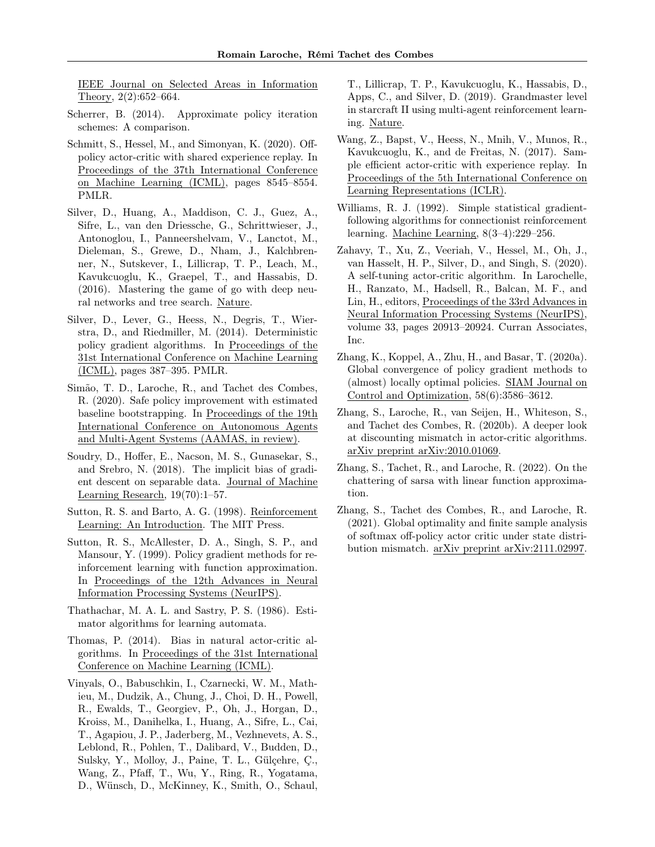IEEE Journal on Selected Areas in Information Theory, 2(2):652–664.

- <span id="page-10-6"></span>Scherrer, B. (2014). Approximate policy iteration schemes: A comparison.
- <span id="page-10-12"></span>Schmitt, S., Hessel, M., and Simonyan, K. (2020). Offpolicy actor-critic with shared experience replay. In Proceedings of the 37th International Conference on Machine Learning (ICML), pages 8545–8554. PMLR.
- <span id="page-10-3"></span>Silver, D., Huang, A., Maddison, C. J., Guez, A., Sifre, L., van den Driessche, G., Schrittwieser, J., Antonoglou, I., Panneershelvam, V., Lanctot, M., Dieleman, S., Grewe, D., Nham, J., Kalchbrenner, N., Sutskever, I., Lillicrap, T. P., Leach, M., Kavukcuoglu, K., Graepel, T., and Hassabis, D. (2016). Mastering the game of go with deep neural networks and tree search. Nature.
- <span id="page-10-17"></span>Silver, D., Lever, G., Heess, N., Degris, T., Wierstra, D., and Riedmiller, M. (2014). Deterministic policy gradient algorithms. In Proceedings of the 31st International Conference on Machine Learning (ICML), pages 387–395. PMLR.
- <span id="page-10-16"></span>Simão, T. D., Laroche, R., and Tachet des Combes, R. (2020). Safe policy improvement with estimated baseline bootstrapping. In Proceedings of the 19th International Conference on Autonomous Agents and Multi-Agent Systems (AAMAS, in review).
- <span id="page-10-8"></span>Soudry, D., Hoffer, E., Nacson, M. S., Gunasekar, S., and Srebro, N. (2018). The implicit bias of gradient descent on separable data. Journal of Machine Learning Research, 19(70):1–57.
- <span id="page-10-5"></span>Sutton, R. S. and Barto, A. G. (1998). Reinforcement Learning: An Introduction. The MIT Press.
- <span id="page-10-1"></span>Sutton, R. S., McAllester, D. A., Singh, S. P., and Mansour, Y. (1999). Policy gradient methods for reinforcement learning with function approximation. In Proceedings of the 12th Advances in Neural Information Processing Systems (NeurIPS).
- <span id="page-10-7"></span>Thathachar, M. A. L. and Sastry, P. S. (1986). Estimator algorithms for learning automata.
- <span id="page-10-9"></span>Thomas, P. (2014). Bias in natural actor-critic algorithms. In Proceedings of the 31st International Conference on Machine Learning (ICML).
- <span id="page-10-4"></span>Vinyals, O., Babuschkin, I., Czarnecki, W. M., Mathieu, M., Dudzik, A., Chung, J., Choi, D. H., Powell, R., Ewalds, T., Georgiev, P., Oh, J., Horgan, D., Kroiss, M., Danihelka, I., Huang, A., Sifre, L., Cai, T., Agapiou, J. P., Jaderberg, M., Vezhnevets, A. S., Leblond, R., Pohlen, T., Dalibard, V., Budden, D., Sulsky, Y., Molloy, J., Paine, T. L., Gülçehre, Ç., Wang, Z., Pfaff, T., Wu, Y., Ring, R., Yogatama, D., Wünsch, D., McKinney, K., Smith, O., Schaul,

T., Lillicrap, T. P., Kavukcuoglu, K., Hassabis, D., Apps, C., and Silver, D. (2019). Grandmaster level in starcraft II using multi-agent reinforcement learning. Nature.

- <span id="page-10-11"></span>Wang, Z., Bapst, V., Heess, N., Mnih, V., Munos, R., Kavukcuoglu, K., and de Freitas, N. (2017). Sample efficient actor-critic with experience replay. In Proceedings of the 5th International Conference on Learning Representations (ICLR).
- <span id="page-10-0"></span>Williams, R. J. (1992). Simple statistical gradientfollowing algorithms for connectionist reinforcement learning. Machine Learning, 8(3–4):229–256.
- <span id="page-10-13"></span>Zahavy, T., Xu, Z., Veeriah, V., Hessel, M., Oh, J., van Hasselt, H. P., Silver, D., and Singh, S. (2020). A self-tuning actor-critic algorithm. In Larochelle, H., Ranzato, M., Hadsell, R., Balcan, M. F., and Lin, H., editors, Proceedings of the 33rd Advances in Neural Information Processing Systems (NeurIPS), volume 33, pages 20913–20924. Curran Associates, Inc.
- <span id="page-10-2"></span>Zhang, K., Koppel, A., Zhu, H., and Basar, T. (2020a). Global convergence of policy gradient methods to (almost) locally optimal policies. SIAM Journal on Control and Optimization, 58(6):3586–3612.
- <span id="page-10-10"></span>Zhang, S., Laroche, R., van Seijen, H., Whiteson, S., and Tachet des Combes, R. (2020b). A deeper look at discounting mismatch in actor-critic algorithms. arXiv preprint arXiv:2010.01069.
- <span id="page-10-15"></span>Zhang, S., Tachet, R., and Laroche, R. (2022). On the chattering of sarsa with linear function approximation.
- <span id="page-10-14"></span>Zhang, S., Tachet des Combes, R., and Laroche, R. (2021). Global optimality and finite sample analysis of softmax off-policy actor critic under state distribution mismatch. arXiv preprint arXiv:2111.02997.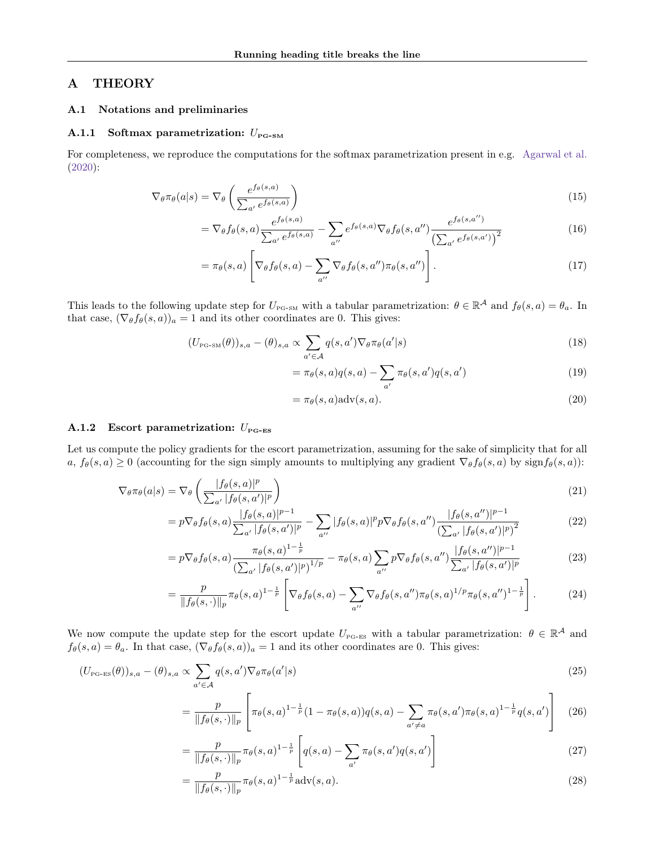# <span id="page-11-0"></span>A THEORY

### A.1 Notations and preliminaries

### A.1.1 Softmax parametrization:  $U_{\text{PG-SM}}$

For completeness, we reproduce the computations for the softmax parametrization present in e.g. [Agarwal et al.](#page-9-5) [\(2020\)](#page-9-5):

$$
\nabla_{\theta} \pi_{\theta}(a|s) = \nabla_{\theta} \left( \frac{e^{f_{\theta}(s,a)}}{\sum_{a'} e^{f_{\theta}(s,a)}} \right)
$$
\n(15)

$$
= \nabla_{\theta} f_{\theta}(s, a) \frac{e^{f_{\theta}(s, a)}}{\sum_{a'} e^{f_{\theta}(s, a)}} - \sum_{a''} e^{f_{\theta}(s, a)} \nabla_{\theta} f_{\theta}(s, a'') \frac{e^{f_{\theta}(s, a'')}}{\left(\sum_{a'} e^{f_{\theta}(s, a')}\right)^2}
$$
(16)

$$
= \pi_{\theta}(s, a) \left[ \nabla_{\theta} f_{\theta}(s, a) - \sum_{a''} \nabla_{\theta} f_{\theta}(s, a'') \pi_{\theta}(s, a'') \right]. \tag{17}
$$

This leads to the following update step for  $U_{P_{\text{G-SM}}}$  with a tabular parametrization:  $\theta \in \mathbb{R}^{\mathcal{A}}$  and  $f_{\theta}(s, a) = \theta_a$ . In that case,  $(\nabla_{\theta} f_{\theta}(s, a))_a = 1$  and its other coordinates are 0. This gives:

$$
(U_{\text{PG-SM}}(\theta))_{s,a} - (\theta)_{s,a} \propto \sum_{a' \in \mathcal{A}} q(s,a') \nabla_{\theta} \pi_{\theta}(a'|s)
$$
\n(18)

$$
= \pi_{\theta}(s, a)q(s, a) - \sum_{a'} \pi_{\theta}(s, a')q(s, a')
$$
\n(19)

$$
= \pi_{\theta}(s, a) \text{adv}(s, a). \tag{20}
$$

# A.1.2 Escort parametrization:  $U_{\text{PG-ES}}$

Let us compute the policy gradients for the escort parametrization, assuming for the sake of simplicity that for all  $a, f_{\theta}(s, a) \geq 0$  (accounting for the sign simply amounts to multiplying any gradient  $\nabla_{\theta} f_{\theta}(s, a)$  by sign $f_{\theta}(s, a)$ ):

$$
\nabla_{\theta} \pi_{\theta}(a|s) = \nabla_{\theta} \left( \frac{|f_{\theta}(s, a)|^p}{\sum_{a'} |f_{\theta}(s, a')|^p} \right)
$$
\n(21)

$$
=p\nabla_{\theta}f_{\theta}(s,a)\frac{|f_{\theta}(s,a)|^{p-1}}{\sum_{a'}|f_{\theta}(s,a')|^{p}}-\sum_{a''}|f_{\theta}(s,a)|^{p}p\nabla_{\theta}f_{\theta}(s,a'')\frac{|f_{\theta}(s,a'')|^{p-1}}{(\sum_{a'}|f_{\theta}(s,a')|^{p})^{2}}
$$
(22)

$$
= p \nabla_{\theta} f_{\theta}(s, a) \frac{\pi_{\theta}(s, a)^{1-\frac{1}{p}}}{\left(\sum_{a'} |f_{\theta}(s, a')|^p\right)^{1/p}} - \pi_{\theta}(s, a) \sum_{a''} p \nabla_{\theta} f_{\theta}(s, a'') \frac{|f_{\theta}(s, a'')|^{p-1}}{\sum_{a'} |f_{\theta}(s, a')|^p}
$$
(23)

$$
= \frac{p}{\|f_{\theta}(s,\cdot)\|_{p}} \pi_{\theta}(s,a)^{1-\frac{1}{p}} \left[ \nabla_{\theta} f_{\theta}(s,a) - \sum_{a''} \nabla_{\theta} f_{\theta}(s,a'') \pi_{\theta}(s,a)^{1/p} \pi_{\theta}(s,a'')^{1-\frac{1}{p}} \right].
$$
 (24)

We now compute the update step for the escort update  $U_{P\text{G-ES}}$  with a tabular parametrization:  $\theta \in \mathbb{R}^{\mathcal{A}}$  and  $f_{\theta}(s, a) = \theta_a$ . In that case,  $(\nabla_{\theta} f_{\theta}(s, a))_a = 1$  and its other coordinates are 0. This gives:

$$
(U_{\text{PG-ES}}(\theta))_{s,a} - (\theta)_{s,a} \propto \sum_{a' \in \mathcal{A}} q(s,a') \nabla_{\theta} \pi_{\theta}(a'|s)
$$
\n(25)

$$
= \frac{p}{\|f_{\theta}(s,\cdot)\|_{p}} \left[ \pi_{\theta}(s,a)^{1-\frac{1}{p}}(1-\pi_{\theta}(s,a))q(s,a)-\sum_{a'\neq a} \pi_{\theta}(s,a')\pi_{\theta}(s,a)^{1-\frac{1}{p}}q(s,a') \right] \tag{26}
$$

$$
= \frac{p}{\|f_{\theta}(s,\cdot)\|_{p}} \pi_{\theta}(s,a)^{1-\frac{1}{p}} \left[ q(s,a) - \sum_{a'} \pi_{\theta}(s,a') q(s,a') \right]
$$
(27)

$$
= \frac{p}{\|f_{\theta}(s,\cdot)\|_{p}} \pi_{\theta}(s,a)^{1-\frac{1}{p}} \text{adv}(s,a). \tag{28}
$$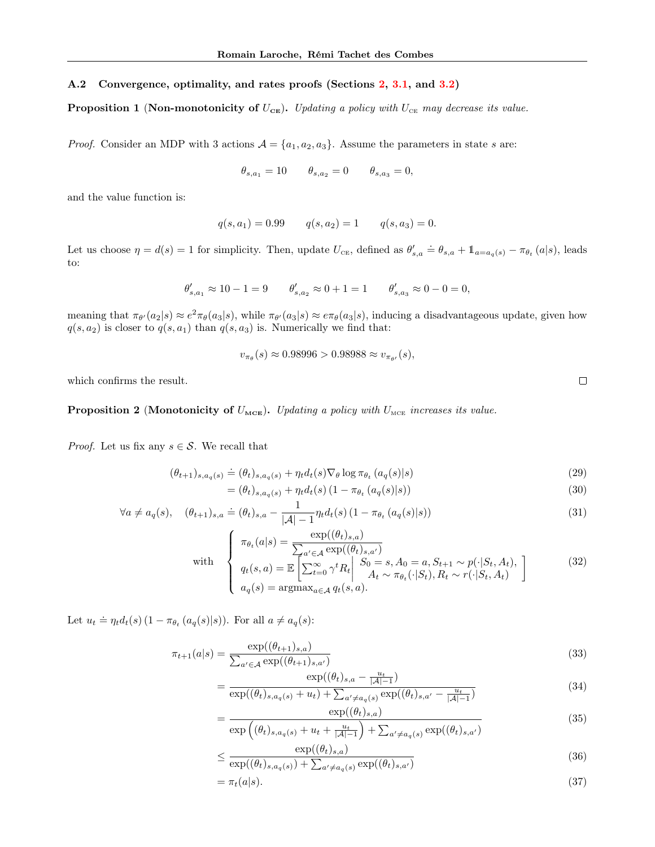### A.2 Convergence, optimality, and rates proofs (Sections [2,](#page-1-2) [3.1,](#page-2-0) and [3.2\)](#page-3-1)

**Proposition 1** (Non-monotonicity of  $U_{\text{CE}}$ ). Updating a policy with  $U_{\text{CE}}$  may decrease its value.

*Proof.* Consider an MDP with 3 actions  $A = \{a_1, a_2, a_3\}$ . Assume the parameters in state s are:

$$
\theta_{s,a_1} = 10
$$
  $\theta_{s,a_2} = 0$   $\theta_{s,a_3} = 0$ ,

and the value function is:

$$
q(s, a_1) = 0.99
$$
  $q(s, a_2) = 1$   $q(s, a_3) = 0.$ 

Let us choose  $\eta = d(s) = 1$  for simplicity. Then, update  $U_{\text{CE}}$ , defined as  $\theta'_{s,a} \doteq \theta_{s,a} + \mathbb{1}_{a=a_q(s)} - \pi_{\theta_t}(a|s)$ , leads to:

$$
\theta'_{s,a_1}\approx 10-1=9\qquad \theta'_{s,a_2}\approx 0+1=1\qquad \theta'_{s,a_3}\approx 0-0=0,
$$

meaning that  $\pi_{\theta}(a_2|s) \approx e^2 \pi_{\theta}(a_3|s)$ , while  $\pi_{\theta}(a_3|s) \approx e \pi_{\theta}(a_3|s)$ , inducing a disadvantageous update, given how  $q(s, a_2)$  is closer to  $q(s, a_1)$  than  $q(s, a_3)$  is. Numerically we find that:

 $v_{\pi_{\theta}}(s) \approx 0.98996 > 0.98988 \approx v_{\pi_{\theta'}}(s),$ 

which confirms the result.

**Proposition 2** (Monotonicity of  $U_{\text{MCE}}$ ). Updating a policy with  $U_{\text{MCE}}$  increases its value.

*Proof.* Let us fix any  $s \in \mathcal{S}$ . We recall that

$$
(\theta_{t+1})_{s,a_q(s)} \doteq (\theta_t)_{s,a_q(s)} + \eta_t d_t(s) \nabla_{\theta} \log \pi_{\theta_t} (a_q(s)|s)
$$
\n
$$
(29)
$$

$$
= (\theta_t)_{s, a_q(s)} + \eta_t d_t(s) (1 - \pi_{\theta_t} (a_q(s)|s))
$$
\n(30)

$$
\forall a \neq a_q(s), \quad (\theta_{t+1})_{s,a} \doteq (\theta_t)_{s,a} - \frac{1}{|\mathcal{A}| - 1} \eta_t d_t(s) (1 - \pi_{\theta_t} (a_q(s)|s))
$$
(31)

with  
\n
$$
\begin{cases}\n\pi_{\theta_t}(a|s) = \frac{\exp((\theta_t)_{s,a})}{\sum_{a' \in \mathcal{A}} \exp((\theta_t)_{s,a'})} \\
q_t(s,a) = \mathbb{E}\left[\sum_{t=0}^{\infty} \gamma^t R_t \middle| \begin{array}{l} S_0 = s, A_0 = a, S_{t+1} \sim p(\cdot|S_t, A_t), \\ A_t \sim \pi_{\theta_t}(\cdot|S_t), R_t \sim r(\cdot|S_t, A_t) \end{array}\right] \\
a_q(s) = \operatorname{argmax}_{a \in \mathcal{A}} q_t(s,a).\n\end{cases}
$$
\n(32)

Let  $u_t \doteq \eta_t d_t(s) (1 - \pi_{\theta_t}(a_q(s)|s))$ . For all  $a \neq a_q(s)$ :

$$
\pi_{t+1}(a|s) = \frac{\exp((\theta_{t+1})_{s,a})}{\sum_{a' \in \mathcal{A}} \exp((\theta_{t+1})_{s,a'})}
$$
(33)

$$
= \frac{\exp((\theta_t)_{s,a} - \frac{u_t}{|\mathcal{A}|-1})}{\exp((\theta_t)_{s,a_q(s)} + u_t) + \sum_{a' \neq a_q(s)} \exp((\theta_t)_{s,a'} - \frac{u_t}{|\mathcal{A}|-1})}
$$
(34)

$$
= \frac{\exp((\theta_t)_{s,a})}{\exp((\theta_t)_{s,a_q(s)} + u_t + \frac{u_t}{|\mathcal{A}|-1}) + \sum_{a' \neq a_q(s)} \exp((\theta_t)_{s,a'})}
$$
(35)

<span id="page-12-0"></span>
$$
\leq \frac{\exp((\theta_t)_{s,a})}{\exp((\theta_t)_{s,a_q(s)}) + \sum_{a' \neq a_q(s)} \exp((\theta_t)_{s,a'})} \tag{36}
$$

$$
= \pi_t(a|s). \tag{37}
$$

<span id="page-12-1"></span> $\Box$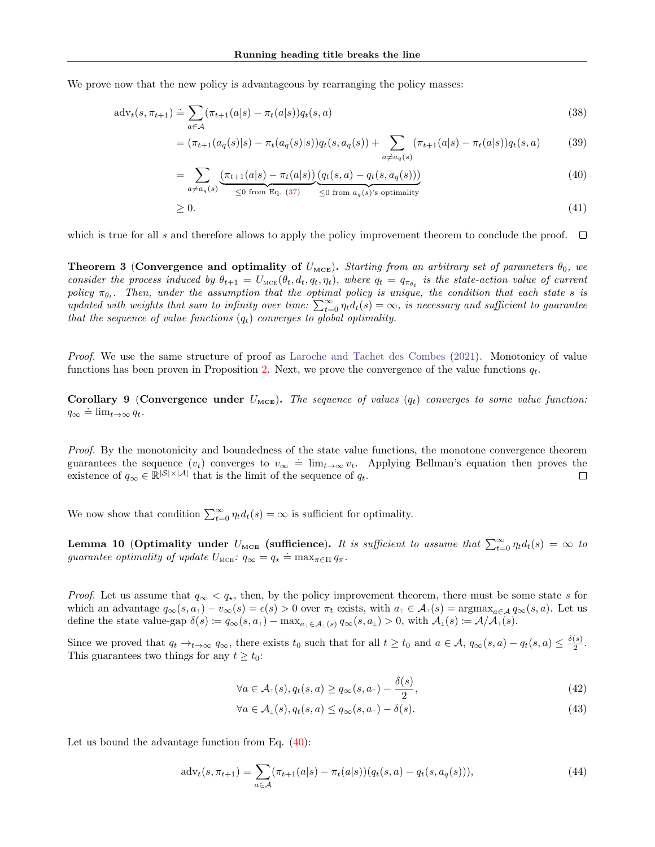We prove now that the new policy is advantageous by rearranging the policy masses:

$$
\mathrm{adv}_t(s, \pi_{t+1}) \doteq \sum_{a \in \mathcal{A}} (\pi_{t+1}(a|s) - \pi_t(a|s)) q_t(s, a)
$$
\n
$$
(38)
$$

$$
= (\pi_{t+1}(a_q(s)|s) - \pi_t(a_q(s)|s))q_t(s, a_q(s)) + \sum_{a \neq a_q(s)} (\pi_{t+1}(a|s) - \pi_t(a|s))q_t(s, a)
$$
(39)

<span id="page-13-0"></span>
$$
= \sum_{a \neq a_q(s)} \underbrace{(\pi_{t+1}(a|s) - \pi_t(a|s))}_{\leq 0 \text{ from Eq. (37)}} \underbrace{(q_t(s,a) - q_t(s,a_q(s)))}_{\leq 0 \text{ from } a_q(s) \text{'s optimality}}
$$
\n
$$
(40)
$$

$$
\geq 0.\tag{41}
$$

which is true for all s and therefore allows to apply the policy improvement theorem to conclude the proof.  $\Box$ 

**Theorem 3 (Convergence and optimality of**  $U_{\text{MCE}}$ ). Starting from an arbitrary set of parameters  $\theta_0$ , we consider the process induced by  $\theta_{t+1} = U_{\text{MCE}}(\theta_t, d_t, q_t, \eta_t)$ , where  $q_t = q_{\pi_{\theta_t}}$  is the state-action value of current policy  $\pi_{\theta_t}$ . Then, under the assumption that the optimal policy is unique, the condition that each state s is updated with weights that sum to infinity over time:  $\sum_{t=0}^{\infty} \eta_t d_t(s) = \infty$ , is necessary and sufficient to guarantee that the sequence of value functions  $(q_t)$  converges to global optimality.

Proof. We use the same structure of proof as [Laroche and Tachet des Combes](#page-9-6) [\(2021\)](#page-9-6). Monotonicy of value functions has been proven in Proposition [2.](#page-2-2) Next, we prove the convergence of the value functions  $q_t$ .

Corollary 9 (Convergence under  $U_{\text{MCE}}$ ). The sequence of values  $(q_t)$  converges to some value function:  $q_{\infty} \doteq \lim_{t \to \infty} q_t.$ 

Proof. By the monotonicity and boundedness of the state value functions, the monotone convergence theorem guarantees the sequence  $(v_t)$  converges to  $v_\infty = \lim_{t\to\infty} v_t$ . Applying Bellman's equation then proves the existence of  $q_{\infty} \in \mathbb{R}^{|\mathcal{S}| \times |\mathcal{A}|}$  that is the limit of the sequence of  $q_t$ .

We now show that condition  $\sum_{t=0}^{\infty} \eta_t d_t(s) = \infty$  is sufficient for optimality.

<span id="page-13-1"></span>**Lemma 10 (Optimality under**  $U_{\text{MCE}}$  **(sufficience).** It is sufficient to assume that  $\sum_{t=0}^{\infty} \eta_t d_t(s) = \infty$  to guarantee optimality of update  $U_{\text{MCE}}$ :  $q_{\infty} = q_{\star} = \max_{\pi \in \Pi} q_{\pi}$ .

*Proof.* Let us assume that  $q_{\infty} < q_{\star}$ , then, by the policy improvement theorem, there must be some state s for which an advantage  $q_{\infty}(s, a_{\tau}) - v_{\infty}(s) = \epsilon(s) > 0$  over  $\pi_t$  exists, with  $a_{\tau} \in A_{\tau}(s) = \operatorname{argmax}_{a \in A} q_{\infty}(s, a)$ . Let us define the state value-gap  $\delta(s) \coloneqq q_{\infty}(s, a_{\tau}) - \max_{a_{\bot} \in \mathcal{A}_{\bot}(s)} q_{\infty}(s, a_{\bot}) > 0$ , with  $\mathcal{A}_{\bot}(s) \coloneqq \mathcal{A}/\mathcal{A}_{\tau}(s)$ .

Since we proved that  $q_t \to_{t \to \infty} q_\infty$ , there exists  $t_0$  such that for all  $t \geq t_0$  and  $a \in \mathcal{A}$ ,  $q_\infty(s, a) - q_t(s, a) \leq \frac{\delta(s)}{2}$  $rac{(s)}{2}$ . This guarantees two things for any  $t \geq t_0$ :

$$
\forall a \in \mathcal{A}_{\tau}(s), q_t(s, a) \ge q_{\infty}(s, a_{\tau}) - \frac{\delta(s)}{2},\tag{42}
$$

$$
\forall a \in \mathcal{A}_\perp(s), q_t(s, a) \le q_\infty(s, a_\tau) - \delta(s). \tag{43}
$$

Let us bound the advantage function from Eq.  $(40)$ :

$$
adv_t(s, \pi_{t+1}) = \sum_{a \in \mathcal{A}} (\pi_{t+1}(a|s) - \pi_t(a|s)) (q_t(s, a) - q_t(s, a_q(s))),
$$
\n(44)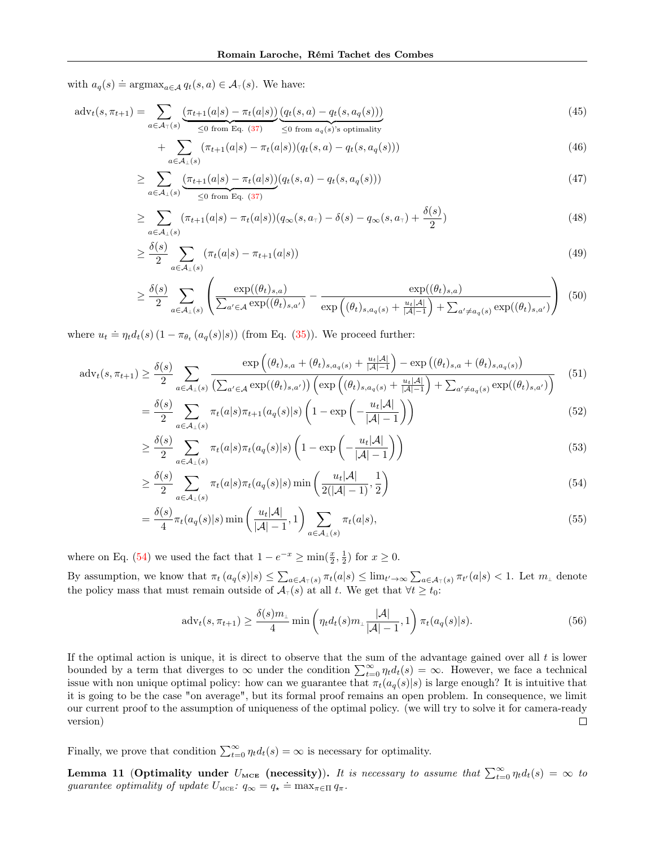with  $a_q(s) \doteq \operatorname{argmax}_{a \in \mathcal{A}} q_t(s, a) \in \mathcal{A}_{\tau}(s)$ . We have:

$$
\mathrm{adv}_{t}(s,\pi_{t+1}) = \sum_{a \in \mathcal{A}_{\top}(s)} \underbrace{(\pi_{t+1}(a|s) - \pi_{t}(a|s))}_{\leq 0 \text{ from Eq. (37)}} \underbrace{(q_{t}(s,a) - q_{t}(s,a_{q}(s)))}_{\leq 0 \text{ from } a_{q}(s)'s \text{ optimality}}
$$
\n
$$
(45)
$$

$$
+\sum_{a\in\mathcal{A}_{\perp}(s)}(\pi_{t+1}(a|s)-\pi_t(a|s))(q_t(s,a)-q_t(s,a_q(s)))\tag{46}
$$

$$
\geq \sum_{a \in \mathcal{A}_{\perp}(s)} \underbrace{(\pi_{t+1}(a|s) - \pi_t(a|s))}_{\leq 0 \text{ from Eq. (37)}} (q_t(s, a) - q_t(s, a_q(s))) \tag{47}
$$

$$
\geq \sum_{a \in \mathcal{A}_{\perp}(s)} (\pi_{t+1}(a|s) - \pi_t(a|s)) (q_{\infty}(s, a_{\tau}) - \delta(s) - q_{\infty}(s, a_{\tau}) + \frac{\delta(s)}{2})
$$
\n(48)

$$
\geq \frac{\delta(s)}{2} \sum_{a \in \mathcal{A}_{\perp}(s)} (\pi_t(a|s) - \pi_{t+1}(a|s)) \tag{49}
$$

$$
\geq \frac{\delta(s)}{2} \sum_{a \in \mathcal{A}_{\perp}(s)} \left( \frac{\exp((\theta_t)_{s,a})}{\sum_{a' \in \mathcal{A}} \exp((\theta_t)_{s,a'})} - \frac{\exp((\theta_t)_{s,a})}{\exp((\theta_t)_{s,a_{q}(s)} + \frac{u_t|\mathcal{A}|}{|\mathcal{A}|-1}) + \sum_{a' \neq a_{q}(s)} \exp((\theta_t)_{s,a'})} \right) (50)
$$

where  $u_t \doteq \eta_t d_t(s) (1 - \pi_{\theta_t}(a_q(s)|s))$  (from Eq. [\(35\)](#page-12-1)). We proceed further:

$$
\mathrm{adv}_{t}(s,\pi_{t+1}) \geq \frac{\delta(s)}{2} \sum_{a \in \mathcal{A}_{\perp}(s)} \frac{\exp\left((\theta_{t})_{s,a} + (\theta_{t})_{s,a_{q}(s)} + \frac{u_{t}|A|}{|\mathcal{A}|-1}\right) - \exp\left((\theta_{t})_{s,a} + (\theta_{t})_{s,a_{q}(s)}\right)}{\left(\sum_{a' \in \mathcal{A}} \exp((\theta_{t})_{s,a'})\right) \left(\exp\left((\theta_{t})_{s,a_{q}(s)} + \frac{u_{t}|A|}{|\mathcal{A}|-1}\right) + \sum_{a' \neq a_{q}(s)} \exp((\theta_{t})_{s,a'})\right)} \tag{51}
$$

$$
= \frac{\delta(s)}{2} \sum_{a \in \mathcal{A}_{\perp}(s)} \pi_t(a|s) \pi_{t+1}(a_q(s)|s) \left(1 - \exp\left(-\frac{u_t|\mathcal{A}|}{|\mathcal{A}|-1}\right)\right) \tag{52}
$$

$$
\geq \frac{\delta(s)}{2} \sum_{a \in \mathcal{A}_{\perp}(s)} \pi_t(a|s) \pi_t(a_q(s)|s) \left(1 - \exp\left(-\frac{u_t|\mathcal{A}|}{|\mathcal{A}|-1}\right)\right) \tag{53}
$$

$$
\geq \frac{\delta(s)}{2} \sum_{a \in \mathcal{A}_{\perp}(s)} \pi_t(a|s) \pi_t(a_q(s)|s) \min\left(\frac{u_t|\mathcal{A}|}{2(|\mathcal{A}|-1)}, \frac{1}{2}\right) \tag{54}
$$

$$
= \frac{\delta(s)}{4} \pi_t(a_q(s)|s) \min\left(\frac{u_t|\mathcal{A}|}{|\mathcal{A}|-1}, 1\right) \sum_{a \in \mathcal{A}_\perp(s)} \pi_t(a|s), \tag{55}
$$

where on Eq. [\(54\)](#page-14-0) we used the fact that  $1 - e^{-x} \ge \min(\frac{x}{2}, \frac{1}{2})$  for  $x \ge 0$ .

By assumption, we know that  $\pi_t(a_q(s)|s) \leq \sum_{a \in A_\tau(s)} \pi_t(a|s) \leq \lim_{t \to \infty} \sum_{a \in A_\tau(s)} \pi_{t'}(a|s) < 1$ . Let  $m_\bot$  denote the policy mass that must remain outside of  $\mathcal{A}_{\tau}(s)$  at all t. We get that  $\forall t \geq t_0$ :

<span id="page-14-0"></span>
$$
adv_t(s, \pi_{t+1}) \ge \frac{\delta(s)m_\perp}{4} \min\left(\eta_t d_t(s)m_\perp \frac{|\mathcal{A}|}{|\mathcal{A}|-1}, 1\right) \pi_t(a_q(s)|s). \tag{56}
$$

If the optimal action is unique, it is direct to observe that the sum of the advantage gained over all  $t$  is lower bounded by a term that diverges to  $\infty$  under the condition  $\sum_{t=0}^{\infty} \eta_t d_t(s) = \infty$ . However, we face a technical issue with non unique optimal policy: how can we guarantee that  $\pi_t(a_q(s)|s)$  is large enough? It is intuitive that it is going to be the case "on average", but its formal proof remains an open problem. In consequence, we limit our current proof to the assumption of uniqueness of the optimal policy. (we will try to solve it for camera-ready version)  $\Box$ 

Finally, we prove that condition  $\sum_{t=0}^{\infty} \eta_t d_t(s) = \infty$  is necessary for optimality.

**Lemma 11** (Optimality under  $U_{\text{MCE}}$  (necessity)). It is necessary to assume that  $\sum_{t=0}^{\infty} \eta_t d_t(s) = \infty$  to guarantee optimality of update  $U_{\text{MCE}}$ :  $q_{\infty} = q_{\star} = \max_{\pi \in \Pi} q_{\pi}$ .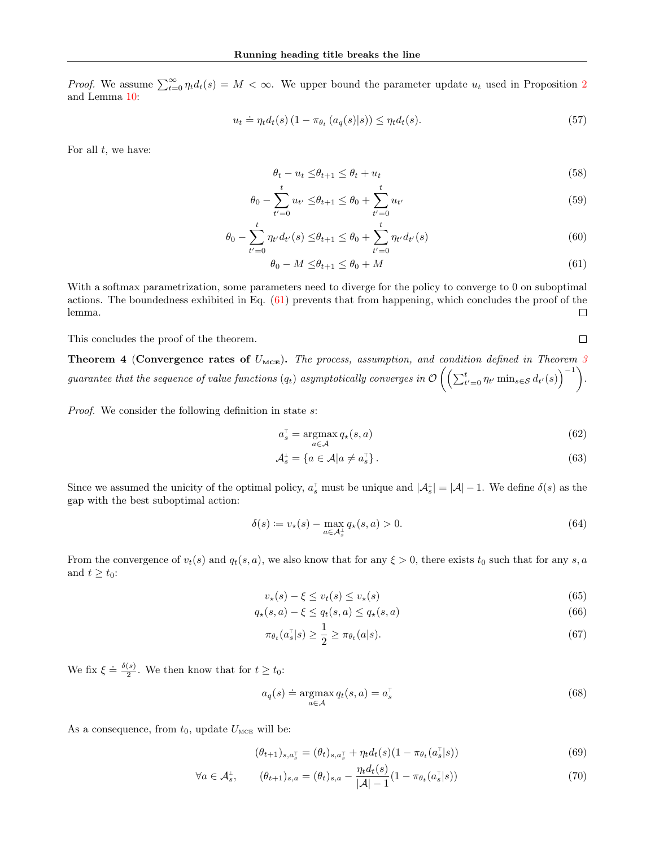*Proof.* We assume  $\sum_{t=0}^{\infty} \eta_t d_t(s) = M < \infty$ . We upper bound the parameter update  $u_t$  used in Proposition [2](#page-2-2) and Lemma [10:](#page-13-1)

$$
u_t \doteq \eta_t d_t(s) \left(1 - \pi_{\theta_t} \left(a_q(s)|s\right)\right) \leq \eta_t d_t(s). \tag{57}
$$

For all  $t$ , we have:

$$
\theta_t - u_t \le \theta_{t+1} \le \theta_t + u_t \tag{58}
$$

$$
\theta_0 - \sum_{t'=0}^t u_{t'} \le \theta_{t+1} \le \theta_0 + \sum_{t'=0}^t u_{t'}
$$
\n(59)

$$
\theta_0 - \sum_{t'=0}^t \eta_{t'} d_{t'}(s) \le \theta_{t+1} \le \theta_0 + \sum_{t'=0}^t \eta_{t'} d_{t'}(s)
$$
\n(60)

$$
\theta_0 - M \le \theta_{t+1} \le \theta_0 + M \tag{61}
$$

With a softmax parametrization, some parameters need to diverge for the policy to converge to 0 on suboptimal actions. The boundedness exhibited in Eq.  $(61)$  prevents that from happening, which concludes the proof of the lemma.  $\Box$ 

This concludes the proof of the theorem.

**Theorem 4 (Convergence rates of**  $U_{\text{MCE}}$ **).** The process, assumption, and condition defined in Theorem [3](#page-2-1) guarantee that the sequence of value functions  $(q_t)$  asymptotically converges in  $\mathcal{O}\left(\left(\sum_{t'=0}^t \eta_{t'}\min_{s\in\mathcal{S}}d_{t'}(s)\right)^{-1}\right)$ .

Proof. We consider the following definition in state s:

$$
a_s^\top = \operatorname*{argmax}_{a \in \mathcal{A}} q_\star(s, a) \tag{62}
$$

<span id="page-15-0"></span> $\Box$ 

$$
\mathcal{A}_s^{\perp} = \{ a \in \mathcal{A} | a \neq a_s^{\perp} \}.
$$
\n(63)

Since we assumed the unicity of the optimal policy,  $a_s^{\dagger}$  must be unique and  $|A_s^{\dagger}| = |A| - 1$ . We define  $\delta(s)$  as the gap with the best suboptimal action:

$$
\delta(s) := v_{\star}(s) - \max_{a \in \mathcal{A}_s} q_{\star}(s, a) > 0. \tag{64}
$$

From the convergence of  $v_t(s)$  and  $q_t(s, a)$ , we also know that for any  $\xi > 0$ , there exists  $t_0$  such that for any s, a and  $t \geq t_0$ :

$$
v_{\star}(s) - \xi \le v_t(s) \le v_{\star}(s) \tag{65}
$$

$$
q_{\star}(s,a) - \xi \le q_t(s,a) \le q_{\star}(s,a)
$$
\n
$$
(66)
$$

$$
\pi_{\theta_t}(a_s^{\top}|s) \ge \frac{1}{2} \ge \pi_{\theta_t}(a|s). \tag{67}
$$

We fix  $\xi \doteq \frac{\delta(s)}{2}$  $\frac{1}{2}$ . We then know that for  $t \geq t_0$ :

$$
a_q(s) \doteq \underset{a \in \mathcal{A}}{\operatorname{argmax}} q_t(s, a) = a_s^{\top}
$$
\n(68)

As a consequence, from  $t_0$ , update  $U_{\text{MCE}}$  will be:

$$
(\theta_{t+1})_{s,a_s^-} = (\theta_t)_{s,a_s^-} + \eta_t d_t(s) (1 - \pi_{\theta_t}(a_s^-|s))
$$
\n(69)

$$
\forall a \in \mathcal{A}_s^{\perp}, \qquad (\theta_{t+1})_{s,a} = (\theta_t)_{s,a} - \frac{\eta_t d_t(s)}{|\mathcal{A}| - 1} (1 - \pi_{\theta_t}(a_s^{\top}|s)) \tag{70}
$$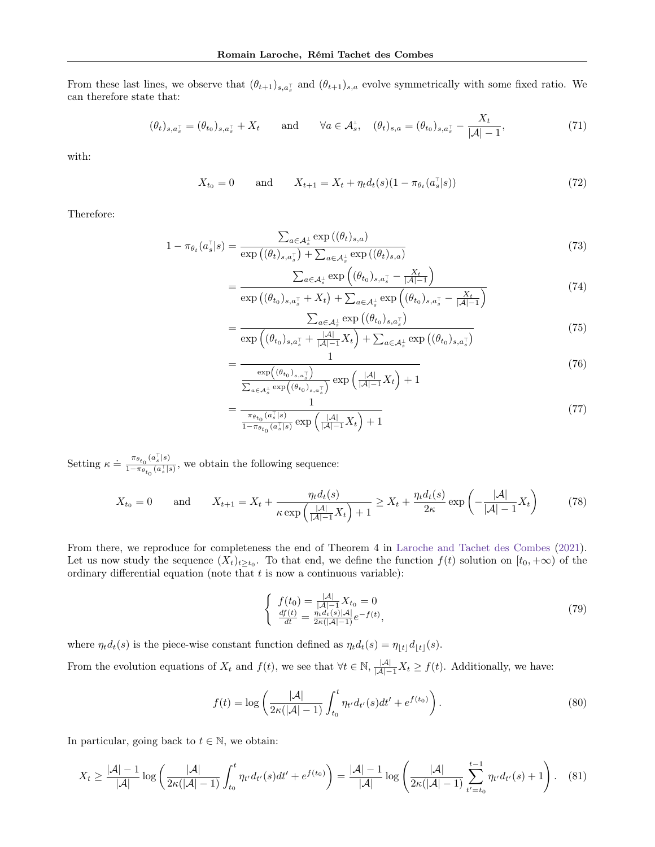From these last lines, we observe that  $(\theta_{t+1})_{s,a_s}$  and  $(\theta_{t+1})_{s,a}$  evolve symmetrically with some fixed ratio. We can therefore state that:

$$
(\theta_t)_{s,a_s^{\top}} = (\theta_{t_0})_{s,a_s^{\top}} + X_t \quad \text{and} \quad \forall a \in \mathcal{A}_s^{\perp}, \quad (\theta_t)_{s,a} = (\theta_{t_0})_{s,a_s^{\top}} - \frac{X_t}{|\mathcal{A}| - 1}, \tag{71}
$$

with:

$$
X_{t_0} = 0 \quad \text{and} \quad X_{t+1} = X_t + \eta_t d_t(s) (1 - \pi_{\theta_t}(a_s^{\top}|s)) \tag{72}
$$

Therefore:

$$
1 - \pi_{\theta_t}(a_s^{\top}|s) = \frac{\sum_{a \in \mathcal{A}_s^{\perp}} \exp((\theta_t)_{s,a})}{\exp((\theta_t)_{s,a_s^{\top}}) + \sum_{a \in \mathcal{A}_s^{\perp}} \exp((\theta_t)_{s,a})}
$$
(73)

$$
= \frac{\sum_{a\in\mathcal{A}_s^{\perp}} \exp\left((\theta_{t_0})_{s,a_s^{\top}} - \frac{X_t}{|\mathcal{A}|-1}\right)}{\exp\left((\theta_{t_0})_{s,a_s^{\top}} + X_t\right) + \sum_{a\in\mathcal{A}_s^{\perp}} \exp\left((\theta_{t_0})_{s,a_s^{\top}} - \frac{X_t}{|\mathcal{A}|-1}\right)}\tag{74}
$$

$$
\frac{\sum_{a\in\mathcal{A}_s^{\perp}} \exp\left((\theta_{t_0})_{s,a_s^{\top}}\right)}{\exp\left((\theta_{t_0})_{s,a_s^{\top}} + \frac{|\mathcal{A}|}{|\mathcal{A}|-1} X_t\right) + \sum_{a\in\mathcal{A}^{\perp}} \exp\left((\theta_{t_0})_{s,a_s^{\top}}\right)}\tag{75}
$$

$$
\frac{\exp\left((\theta_{t_0})_{s,a_s^-} + \frac{|\mathcal{A}|}{|\mathcal{A}| - 1} X_t\right) + \sum_{a \in \mathcal{A}_s^{\perp}} \exp\left((\theta_{t_0})_{s,a_s^-}\right)}{1} \tag{76}
$$

$$
\frac{\exp((\theta_{t_0})_{s,a_s^-})}{\sum_{a \in A_s^{\perp}} \exp((\theta_{t_0})_{s,a_s^-})} \exp\left(\frac{|\mathcal{A}|}{|\mathcal{A}|-1} X_t\right) + 1
$$
\n(10)

$$
=\frac{1}{\frac{\pi_{\theta_{t_0}}(a_s^{\top}|s)}{1-\pi_{\theta_{t_0}}(a_s^{\top}|s)}}\exp\left(\frac{|\mathcal{A}|}{|\mathcal{A}|-1}X_t\right)+1
$$
\n
$$
(77)
$$

Setting  $\kappa \doteq \frac{\pi_{\theta_{t_0}}(a_s^{\top}|s)}{1-\pi_{\theta_{t_0}}(a_s^{\top}|s)}$  $\frac{n_{\theta_{t_0}}(\alpha_s|\epsilon)}{1-\pi_{\theta_{t_0}}(a_s^{\top}|\epsilon)},$  we obtain the following sequence:

 $= -$ 

=

$$
X_{t_0} = 0 \quad \text{and} \quad X_{t+1} = X_t + \frac{\eta_t d_t(s)}{\kappa \exp\left(\frac{|\mathcal{A}|}{|\mathcal{A}|-1} X_t\right) + 1} \ge X_t + \frac{\eta_t d_t(s)}{2\kappa} \exp\left(-\frac{|\mathcal{A}|}{|\mathcal{A}|-1} X_t\right) \tag{78}
$$

From there, we reproduce for completeness the end of Theorem 4 in [Laroche and Tachet des Combes](#page-9-6) [\(2021\)](#page-9-6). Let us now study the sequence  $(X_t)_{t\geq t_0}$ . To that end, we define the function  $f(t)$  solution on  $[t_0, +\infty)$  of the ordinary differential equation (note that  $t$  is now a continuous variable):

$$
\begin{cases}\nf(t_0) = \frac{|A|}{|A|-1} X_{t_0} = 0\\ \n\frac{df(t)}{dt} = \frac{\eta_t d_t(s)|A|}{2\kappa(|A|-1)} e^{-f(t)},\n\end{cases} \tag{79}
$$

where  $\eta_t d_t(s)$  is the piece-wise constant function defined as  $\eta_t d_t(s) = \eta_{\lfloor t \rfloor} d_{\lfloor t \rfloor}(s)$ .

From the evolution equations of  $X_t$  and  $f(t)$ , we see that  $\forall t \in \mathbb{N}$ ,  $\frac{|A|}{|A|-1}X_t \ge f(t)$ . Additionally, we have:

$$
f(t) = \log \left( \frac{|\mathcal{A}|}{2\kappa(|\mathcal{A}| - 1)} \int_{t_0}^t \eta_{t'} d_{t'}(s) dt' + e^{f(t_0)} \right).
$$
 (80)

In particular, going back to  $t \in \mathbb{N}$ , we obtain:

$$
X_t \ge \frac{|\mathcal{A}| - 1}{|\mathcal{A}|} \log \left( \frac{|\mathcal{A}|}{2\kappa(|\mathcal{A}| - 1)} \int_{t_0}^t \eta_{t'} d_{t'}(s) dt' + e^{f(t_0)} \right) = \frac{|\mathcal{A}| - 1}{|\mathcal{A}|} \log \left( \frac{|\mathcal{A}|}{2\kappa(|\mathcal{A}| - 1)} \sum_{t' = t_0}^{t - 1} \eta_{t'} d_{t'}(s) + 1 \right). \tag{81}
$$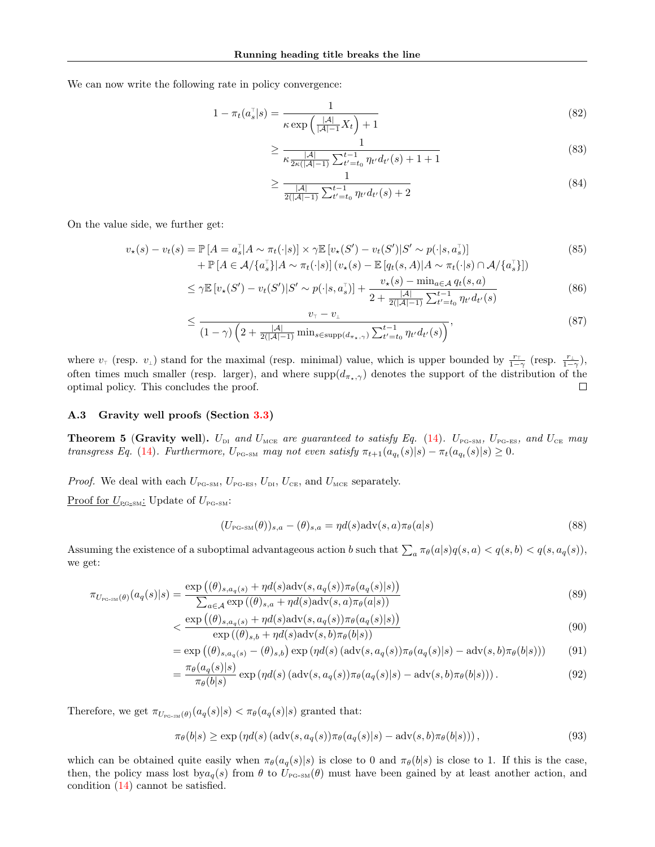We can now write the following rate in policy convergence:

$$
1 - \pi_t(a_s^{\top}|s) = \frac{1}{\kappa \exp\left(\frac{|\mathcal{A}|}{|\mathcal{A}|-1}X_t\right) + 1} \tag{82}
$$

$$
\geq \frac{1}{\kappa \frac{|\mathcal{A}|}{2\kappa(|\mathcal{A}|-1)} \sum_{t'=t_0}^{t-1} \eta_{t'} d_{t'}(s) + 1 + 1} \tag{83}
$$

$$
\geq \frac{1}{\frac{|\mathcal{A}|}{2(|\mathcal{A}|-1)}\sum_{t'=t_0}^{t-1} \eta_{t'} d_{t'}(s)+2}
$$
(84)

On the value side, we further get:

$$
v_{\star}(s) - v_{t}(s) = \mathbb{P}\left[A = a_{s}^{\top}|A \sim \pi_{t}(\cdot|s)| \times \gamma \mathbb{E}\left[v_{\star}(S') - v_{t}(S')|S' \sim p(\cdot|s, a_{s}^{\top})\right] \right. \\ \left. + \mathbb{P}\left[A \in \mathcal{A}/\{a_{s}^{\top}\}|A \sim \pi_{t}(\cdot|s)\right](v_{\star}(s) - \mathbb{E}\left[q_{t}(s, A)|A \sim \pi_{t}(\cdot|s) \cap \mathcal{A}/\{a_{s}^{\top}\}\right])\right)
$$
\n
$$
(85)
$$

$$
\leq \gamma \mathbb{E} \left[ v_{\star}(S') - v_t(S') \middle| S' \sim p(\cdot | s, a_s^{\top}) \right] + \frac{v_{\star}(s) - \min_{a \in \mathcal{A}} q_t(s, a)}{2 + \frac{|\mathcal{A}|}{2(|\mathcal{A}| - 1)} \sum_{t' = t_0}^{t - 1} \eta_{t'} d_{t'}(s)} \tag{86}
$$

$$
\leq \frac{v_{\tau} - v_{\bot}}{(1 - \gamma) \left(2 + \frac{|\mathcal{A}|}{2(|\mathcal{A}| - 1)} \min_{s \in \text{supp}(d_{\pi_{\star}, \gamma})} \sum_{t' = t_0}^{t - 1} \eta_{t'} d_{t'}(s)\right)},
$$
(87)

where  $v_{\perp}$  (resp.  $v_{\perp}$ ) stand for the maximal (resp. minimal) value, which is upper bounded by  $\frac{r_{\perp}}{1-\gamma}$  (resp.  $\frac{r_{\perp}}{1-\gamma}$ ), often times much smaller (resp. larger), and where  $\text{supp}(d_{\pi_{\star},\gamma})$  denotes the support of the distribution of the optimal policy. This concludes the proof.  $\Box$ 

#### A.3 Gravity well proofs (Section [3.3\)](#page-3-2)

**Theorem 5 (Gravity well).**  $U_{\text{DI}}$  and  $U_{\text{MCE}}$  are guaranteed to satisfy Eq. [\(14\)](#page-3-5).  $U_{\text{PG-SM}}$ ,  $U_{\text{PG-ES}}$ , and  $U_{\text{CE}}$  may transgress Eq. [\(14\)](#page-3-5). Furthermore,  $U_{P_{\text{G-SM}}}$  may not even satisfy  $\pi_{t+1}(a_{q_t}(s)|s) - \pi_t(a_{q_t}(s)|s) \geq 0$ .

*Proof.* We deal with each  $U_{\text{PG-SM}}$ ,  $U_{\text{PG-ES}}$ ,  $U_{\text{DI}}$ ,  $U_{\text{CE}}$ , and  $U_{\text{MCE}}$  separately. Proof for  $U_{\text{PG-SM}}$ : Update of  $U_{\text{PG-SM}}$ :

$$
(U_{\text{PG-SM}}(\theta))_{s,a} - (\theta)_{s,a} = \eta d(s) \text{adv}(s,a) \pi_{\theta}(a|s)
$$
\n(88)

Assuming the existence of a suboptimal advantageous action b such that  $\sum_a \pi_{\theta}(a|s)q(s, a) < q(s, b) < q(s, a_q(s))$ , we get:

$$
\pi_{U_{\text{PC-SM}}(\theta)}(a_q(s)|s) = \frac{\exp((\theta)_{s,a_q(s)} + \eta d(s) \operatorname{adv}(s, a_q(s)) \pi_{\theta}(a_q(s)|s))}{\sum_{a \in \mathcal{A}} \exp((\theta)_{s,a} + \eta d(s) \operatorname{adv}(s, a) \pi_{\theta}(a|s))}
$$
(89)

$$
\langle \frac{\exp\left((\theta)_{s,a_q(s)} + \eta d(s) \operatorname{adv}(s, a_q(s))\pi_{\theta}(a_q(s)|s)\right)}{\exp\left((\theta)_{s,b} + \eta d(s) \operatorname{adv}(s, b)\pi_{\theta}(b|s)\right)} \tag{90}
$$

$$
= \exp\left((\theta)_{s,a_q(s)} - (\theta)_{s,b}\right) \exp\left(\eta d(s) \left(\mathrm{adv}(s, a_q(s))\pi_\theta(a_q(s)|s) - \mathrm{adv}(s, b)\pi_\theta(b|s)\right)\right) \tag{91}
$$

$$
= \frac{\pi_{\theta}(a_q(s)|s)}{\pi_{\theta}(b|s)} \exp\left(\eta d(s) \left(\operatorname{adv}(s, a_q(s))\pi_{\theta}(a_q(s)|s) - \operatorname{adv}(s, b)\pi_{\theta}(b|s)\right)\right). \tag{92}
$$

Therefore, we get  $\pi_{U_{\text{PC-SM}}(\theta)}(a_q(s)|s) < \pi_{\theta}(a_q(s)|s)$  granted that:

$$
\pi_{\theta}(b|s) \ge \exp\left(\eta d(s) \left(\operatorname{adv}(s, a_q(s))\pi_{\theta}(a_q(s)|s) - \operatorname{adv}(s, b)\pi_{\theta}(b|s)\right)\right),\tag{93}
$$

which can be obtained quite easily when  $\pi_{\theta}(a_q(s)|s)$  is close to 0 and  $\pi_{\theta}(b|s)$  is close to 1. If this is the case, then, the policy mass lost by  $a_q(s)$  from  $\theta$  to  $U_{P\text{G-SM}}(\theta)$  must have been gained by at least another action, and condition [\(14\)](#page-3-5) cannot be satisfied.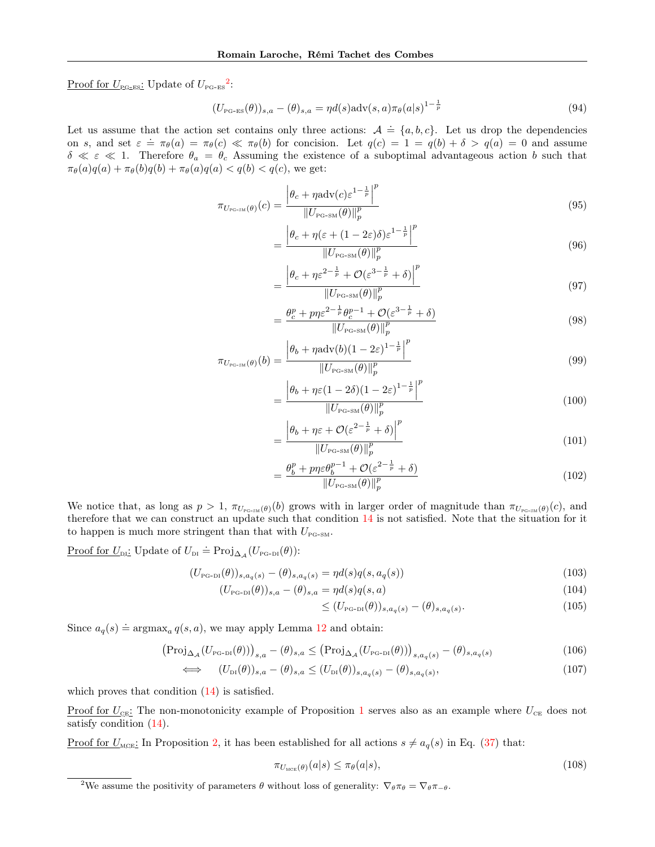Proof for  $U_{\text{PG-ES}}$ : Update of  $U_{\text{PG-ES}}^2$  $U_{\text{PG-ES}}^2$ :

$$
(U_{\text{PG-ES}}(\theta))_{s,a} - (\theta)_{s,a} = \eta d(s) \text{adv}(s,a) \pi_{\theta}(a|s)^{1-\frac{1}{p}}
$$
\n
$$
(94)
$$

Let us assume that the action set contains only three actions:  $A = \{a, b, c\}$ . Let us drop the dependencies on s, and set  $\varepsilon = \pi_{\theta}(a) = \pi_{\theta}(c) \ll \pi_{\theta}(b)$  for concision. Let  $q(c) = 1 = q(b) + \delta > q(a) = 0$  and assume  $\delta \ll \varepsilon \ll 1$ . Therefore  $\theta_a = \theta_c$  Assuming the existence of a suboptimal advantageous action b such that  $\pi_{\theta}(a)q(a) + \pi_{\theta}(b)q(b) + \pi_{\theta}(a)q(a) < q(b) < q(c)$ , we get:

=

=

$$
\pi_{U_{\rm PC-SM}}(\theta)(c) = \frac{\left|\theta_c + \eta \text{adv}(c)\varepsilon^{1-\frac{1}{p}}\right|^p}{\|U_{\rm PG-SM}(\theta)\|_p^p}
$$
(95)

$$
= \frac{\left|\theta_c + \eta(\varepsilon + (1 - 2\varepsilon)\delta)\varepsilon^{1 - \frac{1}{p}}\right|^p}{\|U_{\text{PG-SM}}(\theta)\|_p^p} \tag{96}
$$

$$
\frac{\left|\theta_c + \eta \varepsilon^{2 - \frac{1}{p}} + \mathcal{O}(\varepsilon^{3 - \frac{1}{p}} + \delta)\right|^p}{\|U_{\text{PG-SM}}(\theta)\|_p^p}
$$
\n(97)

$$
= \frac{\theta_c^p + p\eta \varepsilon^{2-\frac{1}{p}} \theta_c^{p-1} + \mathcal{O}(\varepsilon^{3-\frac{1}{p}} + \delta)}{\|U_{\text{PG-SM}}(\theta)\|_p^p}
$$
(98)

$$
\pi_{U_{\text{PC-SM}}(\theta)}(b) = \frac{\left|\theta_b + \eta \text{adv}(b)(1 - 2\varepsilon)^{1 - \frac{1}{p}}\right|^p}{\|U_{\text{PG-SM}}(\theta)\|_p^p}
$$
\n(99)

$$
= \frac{\left|\theta_b + \eta \varepsilon (1 - 2\delta)(1 - 2\varepsilon)^{1 - \frac{1}{p}}\right|^p}{\|U_{\text{PG-SM}}(\theta)\|_p^p} \tag{100}
$$

$$
= \frac{\left|\theta_b + \eta \varepsilon + \mathcal{O}(\varepsilon^{2-\frac{1}{p}} + \delta)\right|^p}{\|U_{\text{PG-SM}}(\theta)\|_p^p} \tag{101}
$$

$$
=\frac{\theta_b^p + p\eta \varepsilon \theta_b^{p-1} + \mathcal{O}(\varepsilon^{2-\frac{1}{p}} + \delta)}{\|U_{\text{PG-SM}}(\theta)\|_p^p}
$$
(102)

We notice that, as long as  $p > 1$ ,  $\pi_{U_{p_{\text{G-SM}}}(\theta)}(b)$  grows with in larger order of magnitude than  $\pi_{U_{p_{\text{G-SM}}}(\theta)}(c)$ , and therefore that we can construct an update such that condition [14](#page-3-5) is not satisfied. Note that the situation for it to happen is much more stringent than that with  $U_{\text{PG-SM}}$ .

Proof for  $U_{\text{DI}}$ : Update of  $U_{\text{DI}} \doteq \text{Proj}_{\Delta_{\mathcal{A}}}(U_{\text{PG-DI}}(\theta))$ :

$$
(U_{\rm PG-DI}(\theta))_{s,a_q(s)} - (\theta)_{s,a_q(s)} = \eta d(s) q(s,a_q(s))
$$
\n(103)

$$
(U_{\text{PG-DI}}(\theta))_{s,a} - (\theta)_{s,a} = \eta d(s) q(s,a)
$$
\n(104)

$$
\leq (U_{\text{PG-DI}}(\theta))_{s,a_q(s)} - (\theta)_{s,a_q(s)}.
$$
\n(105)

Since  $a_q(s) \doteq \text{argmax}_q q(s, a)$ , we may apply Lemma [12](#page-25-0) and obtain:

$$
\left(\text{Proj}_{\Delta_{\mathcal{A}}}(U_{\text{PG-DI}}(\theta))\right)_{s,a} - (\theta)_{s,a} \leq \left(\text{Proj}_{\Delta_{\mathcal{A}}}(U_{\text{PG-DI}}(\theta))\right)_{s,a_q(s)} - (\theta)_{s,a_q(s)}\tag{106}
$$

$$
\iff (U_{\text{DI}}(\theta))_{s,a} - (\theta)_{s,a} \le (U_{\text{DI}}(\theta))_{s,a_q(s)} - (\theta)_{s,a_q(s)},
$$
\n(107)

which proves that condition  $(14)$  is satisfied.

Proof for  $U_{\text{CE}}$ : The non-monotonicity example of Proposition [1](#page-2-3) serves also as an example where  $U_{\text{CE}}$  does not satisfy condition  $(14)$ .

Proof for  $U_{\text{MGE}}$ : In Proposition [2,](#page-2-2) it has been established for all actions  $s \neq a_q(s)$  in Eq. [\(37\)](#page-12-0) that:

$$
\pi_{U_{\text{MCE}}(\theta)}(a|s) \le \pi_{\theta}(a|s),\tag{108}
$$

<span id="page-18-0"></span><sup>&</sup>lt;sup>2</sup>We assume the positivity of parameters  $\theta$  without loss of generality:  $\nabla_{\theta} \pi_{\theta} = \nabla_{\theta} \pi_{-\theta}$ .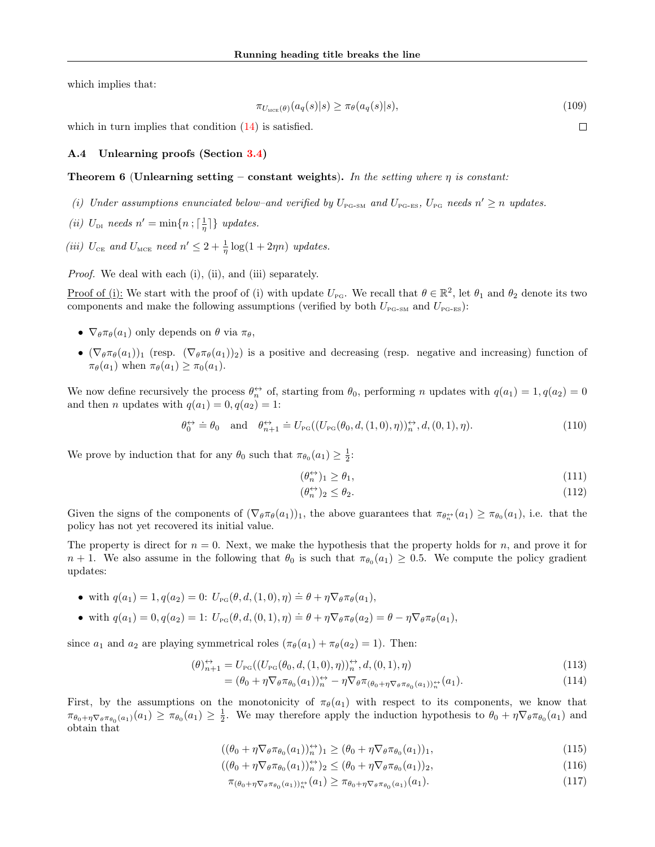which implies that:

$$
\pi_{U_{\text{MCE}}(\theta)}(a_q(s)|s) \ge \pi_{\theta}(a_q(s)|s),\tag{109}
$$

which in turn implies that condition  $(14)$  is satisfied.

### A.4 Unlearning proofs (Section [3.4\)](#page-4-0)

#### **Theorem 6 (Unlearning setting – constant weights).** In the setting where  $\eta$  is constant:

- (i) Under assumptions enunciated below-and verified by  $U_{P_{\text{G-SM}}}$  and  $U_{P_{\text{G-ES}}}$ ,  $U_{P_{\text{G}}}$  needs  $n' \geq n$  updates.
- (*ii*)  $U_{\text{DI}}$  needs  $n' = \min\{n; \lceil \frac{1}{\eta} \rceil\}$  updates.
- (iii)  $U_{CE}$  and  $U_{MCE}$  need  $n' \leq 2 + \frac{1}{\eta} \log(1 + 2\eta n)$  updates.

Proof. We deal with each (i), (ii), and (iii) separately.

Proof of (i): We start with the proof of (i) with update  $U_{\text{PG}}$ . We recall that  $\theta \in \mathbb{R}^2$ , let  $\theta_1$  and  $\theta_2$  denote its two components and make the following assumptions (verified by both  $U_{\text{PG-SM}}$  and  $U_{\text{PG-ES}}$ ):

- $\nabla_{\theta} \pi_{\theta}(a_1)$  only depends on  $\theta$  via  $\pi_{\theta}$ ,
- $(\nabla_{\theta} \pi_{\theta}(a_1))_1$  (resp.  $(\nabla_{\theta} \pi_{\theta}(a_1))_2$ ) is a positive and decreasing (resp. negative and increasing) function of  $\pi_{\theta}(a_1)$  when  $\pi_{\theta}(a_1) \geq \pi_0(a_1)$ .

We now define recursively the process  $\theta_n^{\leftrightarrow}$  of, starting from  $\theta_0$ , performing n updates with  $q(a_1) = 1, q(a_2) = 0$ and then *n* updates with  $q(a_1) = 0, q(a_2) = 1$ :

$$
\theta_0^{\leftrightarrow} \doteq \theta_0 \quad \text{and} \quad \theta_{n+1}^{\leftrightarrow} \doteq U_{\text{PG}}((U_{\text{PG}}(\theta_0, d, (1,0), \eta))_n^{\leftrightarrow}, d, (0,1), \eta). \tag{110}
$$

We prove by induction that for any  $\theta_0$  such that  $\pi_{\theta_0}(a_1) \geq \frac{1}{2}$ :

$$
(\theta_n^{\leftrightarrow})_1 \ge \theta_1,\tag{111}
$$

$$
(\theta_n^{\leftrightarrow})_2 \le \theta_2. \tag{112}
$$

Given the signs of the components of  $(\nabla_{\theta} \pi_{\theta}(a_1))_1$ , the above guarantees that  $\pi_{\theta_n^{\leftrightarrow}}(a_1) \geq \pi_{\theta_0}(a_1)$ , i.e. that the policy has not yet recovered its initial value.

The property is direct for  $n = 0$ . Next, we make the hypothesis that the property holds for n, and prove it for  $n + 1$ . We also assume in the following that  $\theta_0$  is such that  $\pi_{\theta_0}(a_1) \geq 0.5$ . We compute the policy gradient updates:

- with  $q(a_1) = 1, q(a_2) = 0$ :  $U_{\text{PG}}(\theta, d, (1, 0), \eta) \doteq \theta + \eta \nabla_{\theta} \pi_{\theta}(a_1)$ ,
- with  $q(a_1) = 0, q(a_2) = 1$ :  $U_{\text{PG}}(\theta, d, (0, 1), \eta) \doteq \theta + \eta \nabla_{\theta} \pi_{\theta}(a_2) = \theta \eta \nabla_{\theta} \pi_{\theta}(a_1)$ ,

since  $a_1$  and  $a_2$  are playing symmetrical roles  $(\pi_\theta(a_1) + \pi_\theta(a_2) = 1)$ . Then:

$$
(\theta)_{n+1}^{\leftrightarrow} = U_{\text{PG}}((U_{\text{PG}}(\theta_0, d, (1,0), \eta))_n^{\leftrightarrow}, d, (0,1), \eta)
$$
\n
$$
(113)
$$

$$
= (\theta_0 + \eta \nabla_{\theta} \pi_{\theta_0}(a_1))_n^{\leftrightarrow} - \eta \nabla_{\theta} \pi_{(\theta_0 + \eta \nabla_{\theta} \pi_{\theta_0}(a_1))_n^{\leftrightarrow}}(a_1).
$$
\n(114)

First, by the assumptions on the monotonicity of  $\pi_{\theta}(a_1)$  with respect to its components, we know that  $\pi_{\theta_0+\eta\nabla_\theta\pi_{\theta_0}(a_1)}(a_1) \geq \pi_{\theta_0}(a_1) \geq \frac{1}{2}$ . We may therefore apply the induction hypothesis to  $\theta_0 + \eta\nabla_\theta\pi_{\theta_0}(a_1)$  and obtain that

$$
((\theta_0 + \eta \nabla_{\theta} \pi_{\theta_0}(a_1))_n^{\leftrightarrow})_1 \ge (\theta_0 + \eta \nabla_{\theta} \pi_{\theta_0}(a_1))_1,
$$
\n(115)

$$
((\theta_0 + \eta \nabla_{\theta} \pi_{\theta_0}(a_1))_n^{\leftrightarrow})_2 \leq (\theta_0 + \eta \nabla_{\theta} \pi_{\theta_0}(a_1))_2,
$$
\n(116)

$$
\pi_{(\theta_0 + \eta \nabla_{\theta} \pi_{\theta_0}(a_1))_n^{+}}(a_1) \geq \pi_{\theta_0 + \eta \nabla_{\theta} \pi_{\theta_0}(a_1)}(a_1). \tag{117}
$$

 $\Box$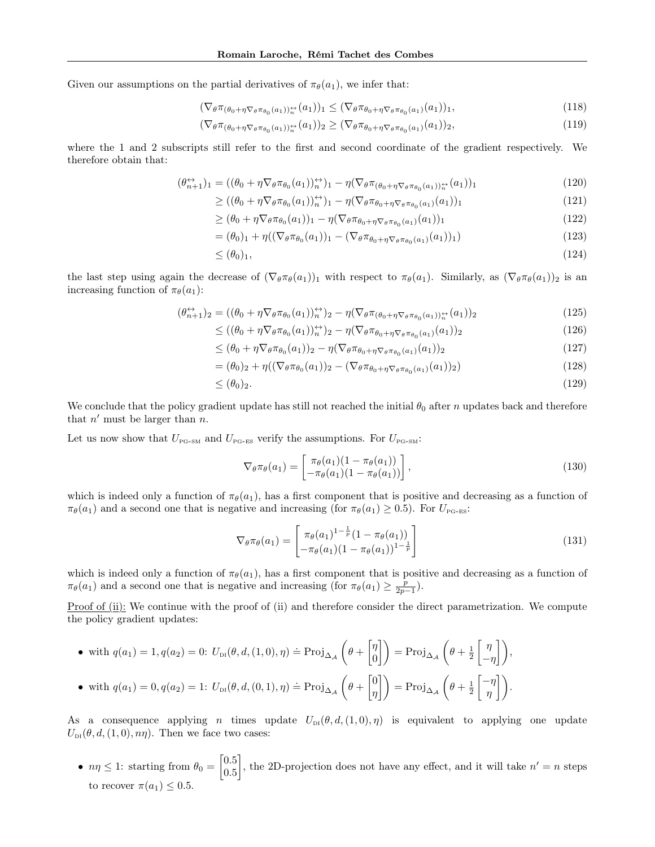Given our assumptions on the partial derivatives of  $\pi_{\theta}(a_1)$ , we infer that:

$$
(\nabla_{\theta}\pi_{(\theta_0+\eta\nabla_{\theta}\pi_{\theta_0}(a_1))_{n}^{+}}(a_1))_1 \leq (\nabla_{\theta}\pi_{\theta_0+\eta\nabla_{\theta}\pi_{\theta_0}(a_1)}(a_1))_1,
$$
\n(118)

$$
(\nabla_{\theta}\pi_{(\theta_0+\eta\nabla_{\theta}\pi_{\theta_0}(a_1))_{n}^{+}}(a_1))_2 \geq (\nabla_{\theta}\pi_{\theta_0+\eta\nabla_{\theta}\pi_{\theta_0}(a_1)}(a_1))_2,
$$
\n(119)

where the 1 and 2 subscripts still refer to the first and second coordinate of the gradient respectively. We therefore obtain that:

$$
(\theta_{n+1}^{\leftrightarrow})_1 = ((\theta_0 + \eta \nabla_{\theta} \pi_{\theta_0}(a_1))_n^{\leftrightarrow})_1 - \eta (\nabla_{\theta} \pi_{(\theta_0 + \eta \nabla_{\theta} \pi_{\theta_0}(a_1))_n^{\leftrightarrow}}(a_1))_1
$$
\n(120)

$$
\geq ((\theta_0 + \eta \nabla_{\theta} \pi_{\theta_0}(a_1))_n^{\leftrightarrow})_1 - \eta (\nabla_{\theta} \pi_{\theta_0 + \eta \nabla_{\theta} \pi_{\theta_0}(a_1)}(a_1))_1
$$
\n(121)

$$
\geq (\theta_0 + \eta \nabla_{\theta} \pi_{\theta_0}(a_1))_1 - \eta (\nabla_{\theta} \pi_{\theta_0 + \eta \nabla_{\theta} \pi_{\theta_0}(a_1)}(a_1))_1 \tag{122}
$$

$$
= (\theta_0)_1 + \eta ((\nabla_{\theta} \pi_{\theta_0}(a_1))_1 - (\nabla_{\theta} \pi_{\theta_0 + \eta} \nabla_{\theta} \pi_{\theta_0}(a_1)(a_1))_1)
$$
(123)

$$
\leq (\theta_0)_1,\tag{124}
$$

the last step using again the decrease of  $(\nabla_{\theta} \pi_{\theta}(a_1))_1$  with respect to  $\pi_{\theta}(a_1)$ . Similarly, as  $(\nabla_{\theta} \pi_{\theta}(a_1))_2$  is an increasing function of  $\pi_{\theta}(a_1)$ :

$$
(\theta_{n+1}^{\leftrightarrow})_2 = ((\theta_0 + \eta \nabla_{\theta} \pi_{\theta_0}(a_1))_n^{\leftrightarrow})_2 - \eta (\nabla_{\theta} \pi_{(\theta_0 + \eta \nabla_{\theta} \pi_{\theta_0}(a_1))_n^{\leftrightarrow}}(a_1))_2
$$
\n(125)

$$
\leq ((\theta_0 + \eta \nabla_{\theta} \pi_{\theta_0}(a_1))_n^{\leftrightarrow})_2 - \eta (\nabla_{\theta} \pi_{\theta_0 + \eta \nabla_{\theta} \pi_{\theta_0}(a_1)}(a_1))_2
$$
\n(126)

$$
\leq (\theta_0 + \eta \nabla_{\theta} \pi_{\theta_0}(a_1))_2 - \eta (\nabla_{\theta} \pi_{\theta_0 + \eta \nabla_{\theta} \pi_{\theta_0}(a_1)}(a_1))_2 \tag{127}
$$

$$
= (\theta_0)_2 + \eta ((\nabla_{\theta} \pi_{\theta_0}(a_1))_2 - (\nabla_{\theta} \pi_{\theta_0 + \eta} \nabla_{\theta} \pi_{\theta_0}(a_1)(a_1))_2)
$$
\n(128)

$$
\leq (\theta_0)_2. \tag{129}
$$

We conclude that the policy gradient update has still not reached the initial  $\theta_0$  after n updates back and therefore that  $n'$  must be larger than  $n$ .

Let us now show that  $U_{\text{PG-SM}}$  and  $U_{\text{PG-ES}}$  verify the assumptions. For  $U_{\text{PG-SM}}$ :

$$
\nabla_{\theta} \pi_{\theta}(a_1) = \begin{bmatrix} \pi_{\theta}(a_1)(1 - \pi_{\theta}(a_1)) \\ -\pi_{\theta}(a_1)(1 - \pi_{\theta}(a_1)) \end{bmatrix},
$$
\n(130)

which is indeed only a function of  $\pi_{\theta}(a_1)$ , has a first component that is positive and decreasing as a function of  $\pi_{\theta}(a_1)$  and a second one that is negative and increasing (for  $\pi_{\theta}(a_1) \geq 0.5$ ). For  $U_{\text{PG-ES}}$ :

$$
\nabla_{\theta} \pi_{\theta}(a_1) = \begin{bmatrix} \pi_{\theta}(a_1)^{1-\frac{1}{p}} (1 - \pi_{\theta}(a_1)) \\ -\pi_{\theta}(a_1)(1 - \pi_{\theta}(a_1))^{1-\frac{1}{p}} \end{bmatrix}
$$
(131)

which is indeed only a function of  $\pi_{\theta}(a_1)$ , has a first component that is positive and decreasing as a function of  $\pi_{\theta}(a_1)$  and a second one that is negative and increasing (for  $\pi_{\theta}(a_1) \geq \frac{p}{2p-1}$ ).

Proof of (ii): We continue with the proof of (ii) and therefore consider the direct parametrization. We compute the policy gradient updates:

\n- with 
$$
q(a_1) = 1, q(a_2) = 0
$$
:  $U_{\text{DI}}(\theta, d, (1, 0), \eta) \doteq \text{Proj}_{\Delta_{\mathcal{A}}}\left(\theta + \begin{bmatrix} \eta \\ 0 \end{bmatrix}\right) = \text{Proj}_{\Delta_{\mathcal{A}}}\left(\theta + \frac{1}{2}\begin{bmatrix} \eta \\ -\eta \end{bmatrix}\right),$   $\bullet$  with  $q(a_1) = 0, q(a_2) = 1$ :  $U_{\text{DI}}(\theta, d, (0, 1), \eta) \doteq \text{Proj}_{\Delta_{\mathcal{A}}}\left(\theta + \begin{bmatrix} 0 \\ \eta \end{bmatrix}\right) = \text{Proj}_{\Delta_{\mathcal{A}}}\left(\theta + \frac{1}{2}\begin{bmatrix} -\eta \\ \eta \end{bmatrix}\right).$
\n

As a consequence applying *n* times update  $U_{\text{DI}}(\theta, d, (1, 0), \eta)$  is equivalent to applying one update  $U_{\text{DI}}(\theta, d, (1, 0), n\eta)$ . Then we face two cases:

•  $n\eta \leq 1$ : starting from  $\theta_0 = \begin{bmatrix} 0.5 \\ 0.5 \end{bmatrix}$ 0.5 , the 2D-projection does not have any effect, and it will take  $n' = n$  steps to recover  $\pi(a_1) \leq 0.5$ .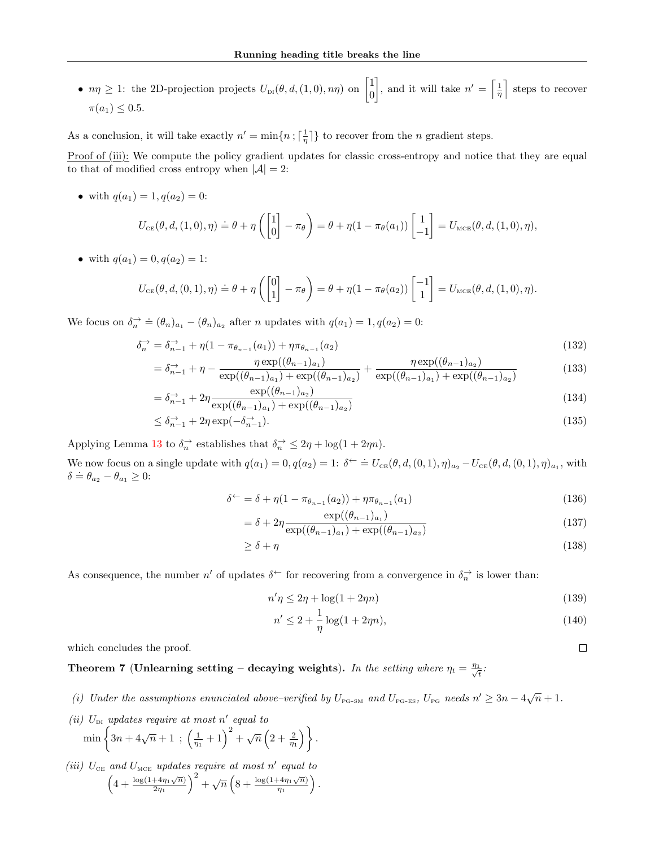•  $n\eta \geq 1$ : the 2D-projection projects  $U_{\text{DI}}(\theta, d, (1, 0), n\eta)$  on  $\begin{bmatrix} 1 \\ 0 \end{bmatrix}$  $\theta$ , and it will take  $n' = \left\lceil \frac{1}{n} \right\rceil$  steps to recover  $\pi(a_1) \leq 0.5$ .

As a conclusion, it will take exactly  $n' = \min\{n; \lceil \frac{1}{\eta} \rceil\}$  to recover from the n gradient steps.

Proof of (iii): We compute the policy gradient updates for classic cross-entropy and notice that they are equal to that of modified cross entropy when  $|\mathcal{A}| = 2$ :

• with  $q(a_1) = 1, q(a_2) = 0$ :

$$
U_{\text{CE}}(\theta, d, (1,0), \eta) \doteq \theta + \eta \left( \begin{bmatrix} 1 \\ 0 \end{bmatrix} - \pi_{\theta} \right) = \theta + \eta (1 - \pi_{\theta}(a_1)) \begin{bmatrix} 1 \\ -1 \end{bmatrix} = U_{\text{MCE}}(\theta, d, (1,0), \eta),
$$

• with  $q(a_1) = 0, q(a_2) = 1$ :

$$
U_{\text{CE}}(\theta, d, (0, 1), \eta) \doteq \theta + \eta \left( \begin{bmatrix} 0 \\ 1 \end{bmatrix} - \pi_{\theta} \right) = \theta + \eta (1 - \pi_{\theta}(a_2)) \begin{bmatrix} -1 \\ 1 \end{bmatrix} = U_{\text{MCE}}(\theta, d, (1, 0), \eta).
$$

We focus on  $\delta_n^{\rightarrow} \doteq (\theta_n)_{a_1} - (\theta_n)_{a_2}$  after *n* updates with  $q(a_1) = 1, q(a_2) = 0$ :

$$
\delta_n^{\to} = \delta_{n-1}^{\to} + \eta (1 - \pi_{\theta_{n-1}}(a_1)) + \eta \pi_{\theta_{n-1}}(a_2)
$$
\n(132)

$$
= \delta_{n-1}^{\to} + \eta - \frac{\eta \exp((\theta_{n-1})_{a_1})}{\exp((\theta_{n-1})_{a_1}) + \exp((\theta_{n-1})_{a_2})} + \frac{\eta \exp((\theta_{n-1})_{a_2})}{\exp((\theta_{n-1})_{a_1}) + \exp((\theta_{n-1})_{a_2})}
$$
(133)

$$
= \delta_{n-1}^{\to} + 2\eta \frac{\exp((\theta_{n-1})_{a_2})}{\exp((\theta_{n-1})_{a_1}) + \exp((\theta_{n-1})_{a_2})}
$$
(134)

$$
\leq \delta_{n-1}^{\to} + 2\eta \exp(-\delta_{n-1}^{\to}).\tag{135}
$$

Applying Lemma [13](#page-25-1) to  $\delta_n^{\rightarrow}$  establishes that  $\delta_n^{\rightarrow} \leq 2\eta + \log(1 + 2\eta n)$ .

We now focus on a single update with  $q(a_1) = 0, q(a_2) = 1$ :  $\delta^{\leftarrow} \doteq U_{CE}(\theta, d, (0, 1), \eta)_{a_2} - U_{CE}(\theta, d, (0, 1), \eta)_{a_1}$ , with  $\delta \doteq \theta_{a_2} - \theta_{a_1} \geq 0$ :

$$
\delta^{\leftarrow} = \delta + \eta (1 - \pi_{\theta_{n-1}}(a_2)) + \eta \pi_{\theta_{n-1}}(a_1)
$$
\n(136)

$$
= \delta + 2\eta \frac{\exp((\theta_{n-1})_{a_1})}{\exp((\theta_{n-1})_{a_1}) + \exp((\theta_{n-1})_{a_2})}
$$
(137)

$$
\geq \delta + \eta \tag{138}
$$

As consequence, the number  $n'$  of updates  $\delta^{\leftarrow}$  for recovering from a convergence in  $\delta_n^{\rightarrow}$  is lower than:

$$
n'\eta \le 2\eta + \log(1 + 2\eta n) \tag{139}
$$

$$
n' \le 2 + \frac{1}{\eta} \log(1 + 2\eta n),\tag{140}
$$

which concludes the proof.

Theorem 7 (Unlearning setting – decaying weights). In the setting where  $\eta_t = \frac{\eta_1}{\sqrt{2}}$  $\frac{1}{t}$ :

- (i) Under the assumptions enunciated above–verified by  $U_{P_{\text{G-SM}}}$  and  $U_{P_{\text{G-ES}}}$ ,  $U_{P_{\text{G}}}$  needs  $n' \geq 3n 4\sqrt{n} + 1$ .
- (ii)  $U_{\text{DI}}$  updates require at most n' equal to  $\min\left\{3n+4\sqrt{n}+1\right.\,;\,\left(\frac{1}{\eta_1}+1\right)^2+\sqrt{n}\left(2+\frac{2}{\eta_1}\right)\right\}.$
- (iii)  $U_{CE}$  and  $U_{MCE}$  updates require at most n' equal to  $\left(4+\frac{\log(1+4\eta_1\sqrt{n})}{2n}\right)$  $\frac{1+4\eta_1\sqrt{n})}{2\eta_1}^2+\sqrt{n}\left(8+\frac{\log(1+4\eta_1\sqrt{n})}{\eta_1}\right)$  $\frac{-4\eta_1\sqrt{n}}{\eta_1}\bigg)$ .

 $\Box$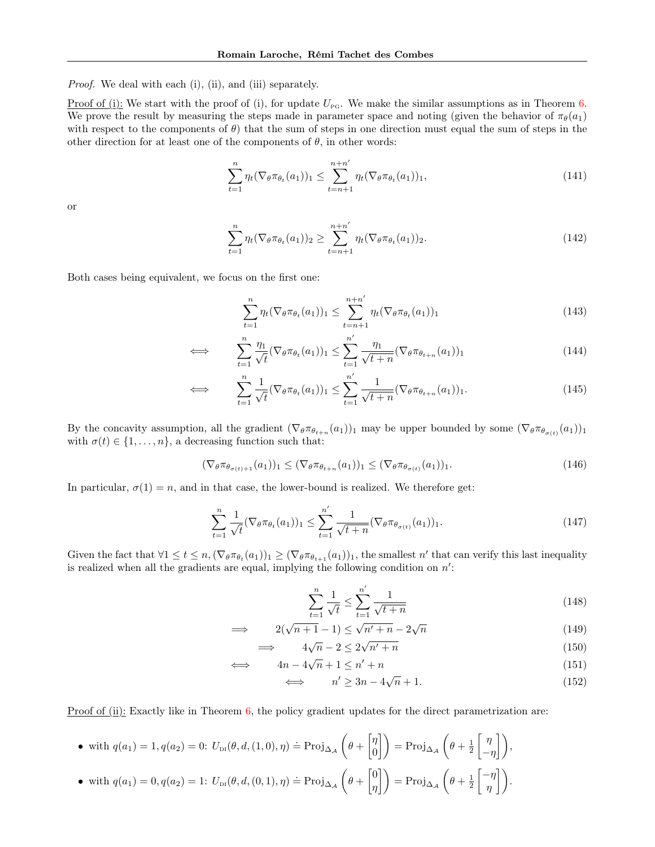Proof. We deal with each (i), (ii), and (iii) separately.

<u>Proof of (i):</u> We start with the proof of (i), for update  $U_{\text{pc}}$ . We make the similar assumptions as in Theorem [6.](#page-4-1) We prove the result by measuring the steps made in parameter space and noting (given the behavior of  $\pi_{\theta}(a_1)$ ) with respect to the components of  $\theta$ ) that the sum of steps in one direction must equal the sum of steps in the other direction for at least one of the components of  $\theta$ , in other words:

$$
\sum_{t=1}^{n} \eta_t (\nabla_{\theta} \pi_{\theta_t}(a_1))_1 \leq \sum_{t=n+1}^{n+n'} \eta_t (\nabla_{\theta} \pi_{\theta_t}(a_1))_1,
$$
\n(141)

or

$$
\sum_{t=1}^{n} \eta_t (\nabla_{\theta} \pi_{\theta_t}(a_1))_2 \ge \sum_{t=n+1}^{n+n'} \eta_t (\nabla_{\theta} \pi_{\theta_t}(a_1))_2.
$$
 (142)

Both cases being equivalent, we focus on the first one:

$$
\sum_{t=1}^{n} \eta_t (\nabla_{\theta} \pi_{\theta_t}(a_1))_1 \le \sum_{t=n+1}^{n+n'} \eta_t (\nabla_{\theta} \pi_{\theta_t}(a_1))_1
$$
\n(143)

$$
\iff \sum_{t=1}^{n} \frac{\eta_1}{\sqrt{t}} (\nabla_{\theta} \pi_{\theta_t}(a_1))_1 \le \sum_{t=1}^{n'} \frac{\eta_1}{\sqrt{t+n}} (\nabla_{\theta} \pi_{\theta_{t+n}}(a_1))_1 \tag{144}
$$

$$
\iff \sum_{t=1}^{n} \frac{1}{\sqrt{t}} (\nabla_{\theta} \pi_{\theta_t}(a_1))_1 \leq \sum_{t=1}^{n'} \frac{1}{\sqrt{t+n}} (\nabla_{\theta} \pi_{\theta_{t+n}}(a_1))_1. \tag{145}
$$

By the concavity assumption, all the gradient  $(\nabla_{\theta} \pi_{\theta_{t+n}}(a_1))_1$  may be upper bounded by some  $(\nabla_{\theta} \pi_{\theta_{\sigma(t)}}(a_1))_1$ with  $\sigma(t) \in \{1, \ldots, n\}$ , a decreasing function such that:

$$
(\nabla_{\theta}\pi_{\theta_{\sigma(t)+1}}(a_1))_1 \leq (\nabla_{\theta}\pi_{\theta_{t+n}}(a_1))_1 \leq (\nabla_{\theta}\pi_{\theta_{\sigma(t)}}(a_1))_1.
$$
\n(146)

In particular,  $\sigma(1) = n$ , and in that case, the lower-bound is realized. We therefore get:

$$
\sum_{t=1}^{n} \frac{1}{\sqrt{t}} (\nabla_{\theta} \pi_{\theta_t}(a_1))_1 \le \sum_{t=1}^{n'} \frac{1}{\sqrt{t+n}} (\nabla_{\theta} \pi_{\theta_{\sigma(t)}}(a_1))_1.
$$
\n(147)

Given the fact that  $\forall 1 \leq t \leq n, (\nabla_{\theta} \pi_{\theta_t}(a_1))_1 \geq (\nabla_{\theta} \pi_{\theta_{t+1}}(a_1))_1$ , the smallest n' that can verify this last inequality is realized when all the gradients are equal, implying the following condition on  $n'$ :

$$
\sum_{t=1}^{n} \frac{1}{\sqrt{t}} \le \sum_{t=1}^{n'} \frac{1}{\sqrt{t+n}}\tag{148}
$$

$$
\implies \qquad 2(\sqrt{n+1}-1) \le \sqrt{n'+n} - 2\sqrt{n} \tag{149}
$$
\n
$$
\implies \qquad 4\sqrt{n}, \qquad 2 \le 2\sqrt{n'+n} \tag{150}
$$

$$
\implies \qquad 4\sqrt{n} - 2 \le 2\sqrt{n'+n} \tag{150}
$$

$$
\iff \qquad 4n - 4\sqrt{n} + 1 \le n' + n \tag{151}
$$

$$
\iff \qquad n' \ge 3n - 4\sqrt{n} + 1. \tag{152}
$$

Proof of (ii): Exactly like in Theorem [6,](#page-4-1) the policy gradient updates for the direct parametrization are:

\n- with 
$$
q(a_1) = 1, q(a_2) = 0
$$
:  $U_{\text{DI}}(\theta, d, (1, 0), \eta) \doteq \text{Proj}_{\Delta_{\mathcal{A}}}\left(\theta + \begin{bmatrix} \eta \\ 0 \end{bmatrix}\right) = \text{Proj}_{\Delta_{\mathcal{A}}}\left(\theta + \frac{1}{2}\begin{bmatrix} \eta \\ -\eta \end{bmatrix}\right),$   $\bullet$  with  $q(a_1) = 0, q(a_2) = 1$ :  $U_{\text{DI}}(\theta, d, (0, 1), \eta) \doteq \text{Proj}_{\Delta_{\mathcal{A}}}\left(\theta + \begin{bmatrix} 0 \\ \eta \end{bmatrix}\right) = \text{Proj}_{\Delta_{\mathcal{A}}}\left(\theta + \frac{1}{2}\begin{bmatrix} -\eta \\ \eta \end{bmatrix}\right).$
\n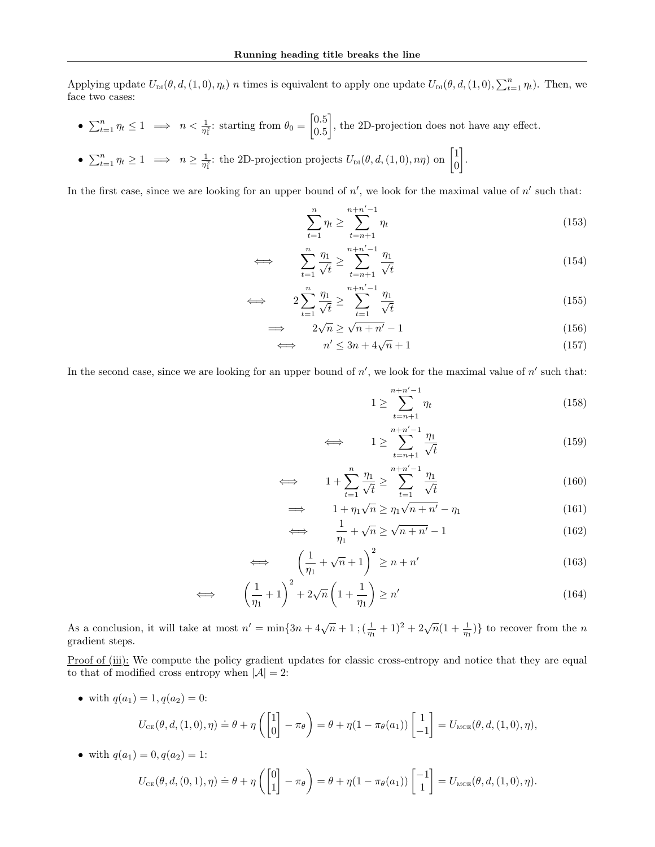Applying update  $U_{\text{DI}}(\theta, d, (1, 0), \eta_t)$  n times is equivalent to apply one update  $U_{\text{DI}}(\theta, d, (1, 0), \sum_{t=1}^n \eta_t)$ . Then, we face two cases:

- $\sum_{t=1}^{n} \eta_t \leq 1 \implies n < \frac{1}{\eta_1^2}$ : starting from  $\theta_0 = \begin{bmatrix} 0.5 \\ 0.5 \end{bmatrix}$ 0.5 , the 2D-projection does not have any effect.
- $\sum_{t=1}^{n} \eta_t \ge 1 \implies n \ge \frac{1}{\eta_1^2}$ : the 2D-projection projects  $U_{\text{DI}}(\theta, d, (1,0), n\eta)$  on  $\begin{bmatrix} 1 \\ 0 \end{bmatrix}$ 0 .

In the first case, since we are looking for an upper bound of  $n'$ , we look for the maximal value of  $n'$  such that:

$$
\sum_{t=1}^{n} \eta_t \ge \sum_{t=n+1}^{n+n'-1} \eta_t \tag{153}
$$

$$
\iff \sum_{t=1}^{n} \frac{\eta_1}{\sqrt{t}} \ge \sum_{t=n+1}^{n+n'-1} \frac{\eta_1}{\sqrt{t}} \tag{154}
$$

$$
\iff \qquad 2\sum_{t=1}^{n} \frac{\eta_1}{\sqrt{t}} \ge \sum_{t=1}^{n+n'-1} \frac{\eta_1}{\sqrt{t}} \tag{155}
$$

$$
\implies \qquad 2\sqrt{n} \ge \sqrt{n+n'-1} \tag{156}
$$

$$
\iff \qquad n' \le 3n + 4\sqrt{n} + 1 \tag{157}
$$

In the second case, since we are looking for an upper bound of  $n'$ , we look for the maximal value of  $n'$  such that:

$$
1 \ge \sum_{t=n+1}^{n+n'-1} \eta_t \tag{158}
$$

$$
\iff \qquad 1 \ge \sum_{t=n+1}^{n+n'-1} \frac{\eta_1}{\sqrt{t}} \tag{159}
$$

$$
\iff \qquad 1 + \sum_{t=1}^{n} \frac{\eta_1}{\sqrt{t}} \ge \sum_{t=1}^{n+n'-1} \frac{\eta_1}{\sqrt{t}} \tag{160}
$$

$$
\implies \qquad 1 + \eta_1 \sqrt{n} \ge \eta_1 \sqrt{n + n'} - \eta_1 \tag{161}
$$

$$
\iff \frac{1}{\eta_1} + \sqrt{n} \ge \sqrt{n+n'} - 1 \tag{162}
$$

$$
\iff \left(\frac{1}{\eta_1} + \sqrt{n} + 1\right)^2 \ge n + n' \tag{163}
$$

$$
\iff \qquad \left(\frac{1}{\eta_1} + 1\right)^2 + 2\sqrt{n}\left(1 + \frac{1}{\eta_1}\right) \ge n' \tag{164}
$$

As a conclusion, it will take at most  $n' = \min\{3n + 4\sqrt{n} + 1\; (\frac{1}{n_1} + 1)^2 + 2\sqrt{n}(1 + \frac{1}{n_1})\}$  to recover from the n gradient steps.

Proof of (iii): We compute the policy gradient updates for classic cross-entropy and notice that they are equal to that of modified cross entropy when  $|\mathcal{A}| = 2$ :

• with  $q(a_1) = 1, q(a_2) = 0$ :

$$
U_{\text{CE}}(\theta, d, (1,0), \eta) \doteq \theta + \eta \left( \begin{bmatrix} 1 \\ 0 \end{bmatrix} - \pi_{\theta} \right) = \theta + \eta (1 - \pi_{\theta}(a_1)) \begin{bmatrix} 1 \\ -1 \end{bmatrix} = U_{\text{MCE}}(\theta, d, (1,0), \eta),
$$

• with  $q(a_1) = 0, q(a_2) = 1$ :

$$
U_{\text{CE}}(\theta, d, (0,1), \eta) \doteq \theta + \eta \left( \begin{bmatrix} 0 \\ 1 \end{bmatrix} - \pi_{\theta} \right) = \theta + \eta (1 - \pi_{\theta}(a_1)) \begin{bmatrix} -1 \\ 1 \end{bmatrix} = U_{\text{MCE}}(\theta, d, (1,0), \eta).
$$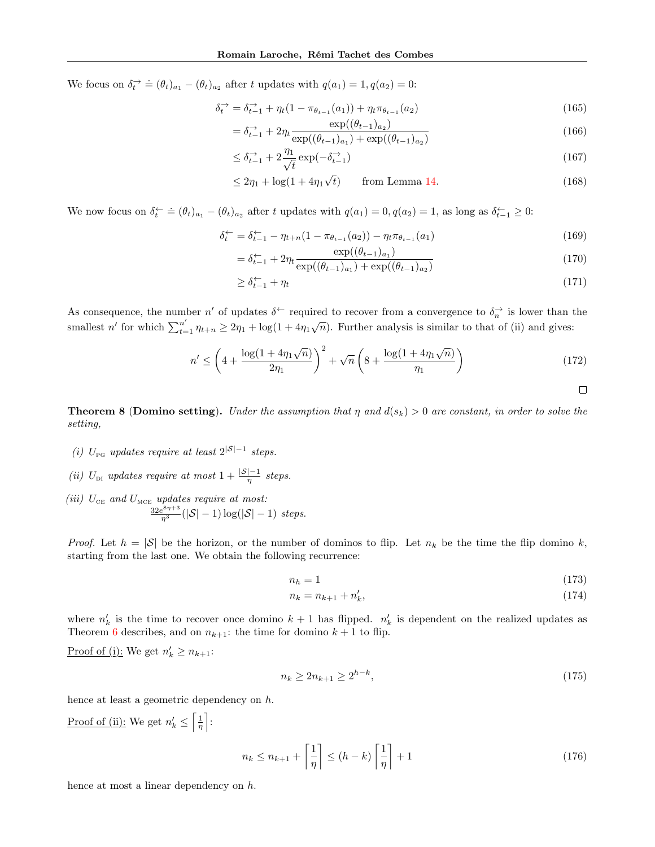We focus on  $\delta_t^{\rightarrow} \doteq (\theta_t)_{a_1} - (\theta_t)_{a_2}$  after t updates with  $q(a_1) = 1, q(a_2) = 0$ :

$$
\delta_t^{\to} = \delta_{t-1}^{\to} + \eta_t (1 - \pi_{\theta_{t-1}}(a_1)) + \eta_t \pi_{\theta_{t-1}}(a_2)
$$
\n(165)

$$
= \delta_{t-1}^{\to} + 2\eta_t \frac{\exp((\theta_{t-1})_{a_2})}{\exp((\theta_{t-1})_{a_1}) + \exp((\theta_{t-1})_{a_2})}
$$
(166)

$$
\leq \delta_{t-1}^{\to} + 2\frac{\eta_1}{\sqrt{t}} \exp(-\delta_{t-1}^{\to})
$$
\n(167)

$$
\leq 2\eta_1 + \log(1 + 4\eta_1\sqrt{t}) \qquad \text{from Lemma 14.} \tag{168}
$$

We now focus on  $\delta_t^{\leftarrow} \doteq (\theta_t)_{a_1} - (\theta_t)_{a_2}$  after t updates with  $q(a_1) = 0, q(a_2) = 1$ , as long as  $\delta_{t-1}^{\leftarrow} \geq 0$ :

$$
\delta_t^{\leftarrow} = \delta_{t-1}^{\leftarrow} - \eta_{t+n} (1 - \pi_{\theta_{t-1}}(a_2)) - \eta_t \pi_{\theta_{t-1}}(a_1)
$$
\n(169)

$$
= \delta_{t-1}^{\leftarrow} + 2\eta_t \frac{\exp((\theta_{t-1})_{a_1})}{\exp((\theta_{t-1})_{a_1}) + \exp((\theta_{t-1})_{a_2})}
$$
(170)

$$
\geq \delta_{t-1}^{\leftarrow} + \eta_t \tag{171}
$$

As consequence, the number n' of updates  $\delta^{\leftarrow}$  required to recover from a convergence to  $\delta_n^{\rightarrow}$  is lower than the smallest n' for which  $\sum_{t=1}^{n'} \eta_{t+n} \geq 2\eta_1 + \log(1+4\eta_1\sqrt{n})$ . Further analysis is similar to that of (ii) and gives:

$$
n' \le \left(4 + \frac{\log(1 + 4\eta_1\sqrt{n})}{2\eta_1}\right)^2 + \sqrt{n}\left(8 + \frac{\log(1 + 4\eta_1\sqrt{n})}{\eta_1}\right) \tag{172}
$$

**Theorem 8 (Domino setting).** Under the assumption that  $\eta$  and  $d(s_k) > 0$  are constant, in order to solve the setting,

- (i)  $U_{\text{PG}}$  updates require at least  $2^{|S|-1}$  steps.
- (ii)  $U_{\text{DI}}$  updates require at most  $1 + \frac{|\mathcal{S}| 1}{\eta}$  steps.
- (iii)  $U_{CE}$  and  $U_{MCE}$  updates require at most:  $\frac{32e^{8\eta+3}}{\eta^3}(|\mathcal{S}|-1)\log(|\mathcal{S}|-1)$  steps.

*Proof.* Let  $h = |\mathcal{S}|$  be the horizon, or the number of dominos to flip. Let  $n_k$  be the time the flip domino k, starting from the last one. We obtain the following recurrence:

$$
n_h = 1\tag{173}
$$

$$
n_k = n_{k+1} + n'_k,\tag{174}
$$

where  $n'_k$  is the time to recover once domino  $k+1$  has flipped.  $n'_k$  is dependent on the realized updates as Theorem [6](#page-4-1) describes, and on  $n_{k+1}$ : the time for domino  $k+1$  to flip.

Proof of (i): We get  $n'_k \geq n_{k+1}$ :

$$
n_k \ge 2n_{k+1} \ge 2^{h-k},\tag{175}
$$

hence at least a geometric dependency on h.

Proof of (ii): We get  $n'_k \leq \left\lceil \frac{1}{\eta} \right\rceil$ :

$$
n_k \le n_{k+1} + \left\lceil \frac{1}{\eta} \right\rceil \le (h - k) \left\lceil \frac{1}{\eta} \right\rceil + 1 \tag{176}
$$

hence at most a linear dependency on h.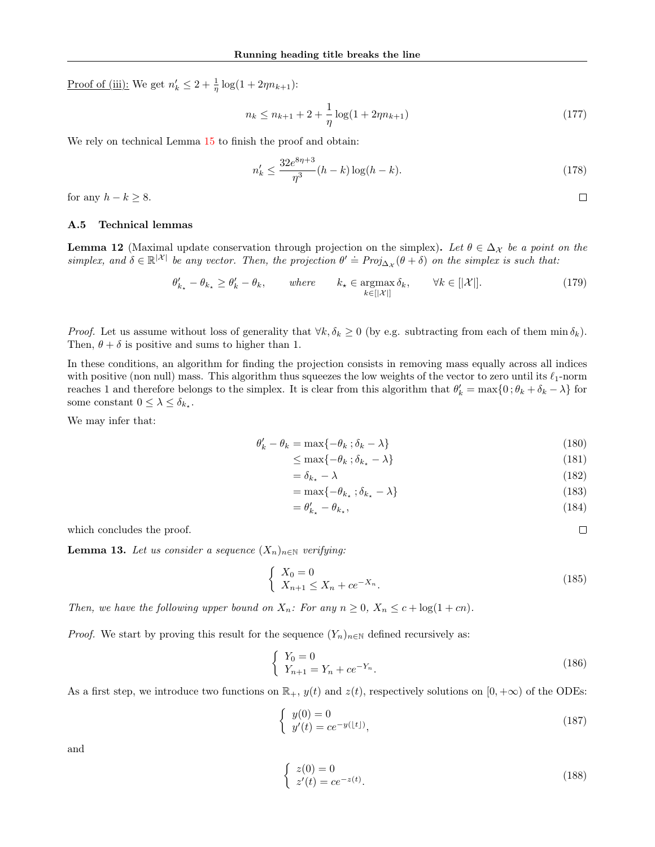Proof of (iii): We get  $n'_k \leq 2 + \frac{1}{\eta} \log(1 + 2\eta n_{k+1})$ :

$$
n_k \le n_{k+1} + 2 + \frac{1}{\eta} \log(1 + 2\eta n_{k+1})
$$
\n(177)

We rely on technical Lemma  $15$  to finish the proof and obtain:

$$
n'_{k} \le \frac{32e^{8\eta+3}}{\eta^{3}}(h-k)\log(h-k). \tag{178}
$$

<span id="page-25-0"></span> $\Box$ 

<span id="page-25-1"></span> $\Box$ 

for any  $h - k \geq 8$ .

### A.5 Technical lemmas

**Lemma 12** (Maximal update conservation through projection on the simplex). Let  $\theta \in \Delta_{\mathcal{X}}$  be a point on the **EXECUTE:** Simplex, and  $\delta \in \mathbb{R}^{|\mathcal{X}|}$  be any vector. Then, the projection  $\theta' \doteq Proj_{\Delta_{\mathcal{X}}}(\theta + \delta)$  on the simplex is such that:

$$
\theta'_{k_{\star}} - \theta_{k_{\star}} \ge \theta'_{k} - \theta_{k}, \qquad \text{where} \qquad k_{\star} \in \operatorname*{argmax}_{k \in [|\mathcal{X}|]} \delta_{k}, \qquad \forall k \in [|\mathcal{X}|]. \tag{179}
$$

*Proof.* Let us assume without loss of generality that  $\forall k, \delta_k \geq 0$  (by e.g. subtracting from each of them min  $\delta_k$ ). Then,  $\theta + \delta$  is positive and sums to higher than 1.

In these conditions, an algorithm for finding the projection consists in removing mass equally across all indices with positive (non null) mass. This algorithm thus squeezes the low weights of the vector to zero until its  $\ell_1$ -norm reaches 1 and therefore belongs to the simplex. It is clear from this algorithm that  $\theta'_k = \max\{0; \theta_k + \delta_k - \lambda\}$  for some constant  $0 \leq \lambda \leq \delta_{k_\star}$ .

We may infer that:

$$
\theta'_k - \theta_k = \max\{-\theta_k \; ; \delta_k - \lambda\} \tag{180}
$$

$$
\leq \max\{-\theta_k \, ; \delta_{k_\star} - \lambda\} \tag{181}
$$

$$
=\delta_{k_{\star}}-\lambda\tag{182}
$$

$$
= \max\{-\theta_{k_{\star}} \, ; \delta_{k_{\star}} - \lambda\} \tag{183}
$$

$$
=\theta'_{k_{\star}}-\theta_{k_{\star}},\tag{184}
$$

which concludes the proof.

**Lemma 13.** Let us consider a sequence  $(X_n)_{n\in\mathbb{N}}$  verifying:

$$
\begin{cases} X_0 = 0\\ X_{n+1} \le X_n + ce^{-X_n}.\end{cases}
$$
\n(185)

Then, we have the following upper bound on  $X_n$ : For any  $n \geq 0$ ,  $X_n \leq c + \log(1 + cn)$ .

*Proof.* We start by proving this result for the sequence  $(Y_n)_{n\in\mathbb{N}}$  defined recursively as:

$$
\begin{cases} Y_0 = 0\\ Y_{n+1} = Y_n + ce^{-Y_n}.\end{cases}
$$
\n(186)

As a first step, we introduce two functions on  $\mathbb{R}_+$ ,  $y(t)$  and  $z(t)$ , respectively solutions on  $[0, +\infty)$  of the ODEs:

$$
\begin{cases}\ny(0) = 0\ny'(t) = ce^{-y(\lfloor t \rfloor)},\n\end{cases}
$$
\n(187)

and

$$
\begin{cases}\nz(0) = 0\n\dot{z}'(t) = ce^{-z(t)}.\n\end{cases}
$$
\n(188)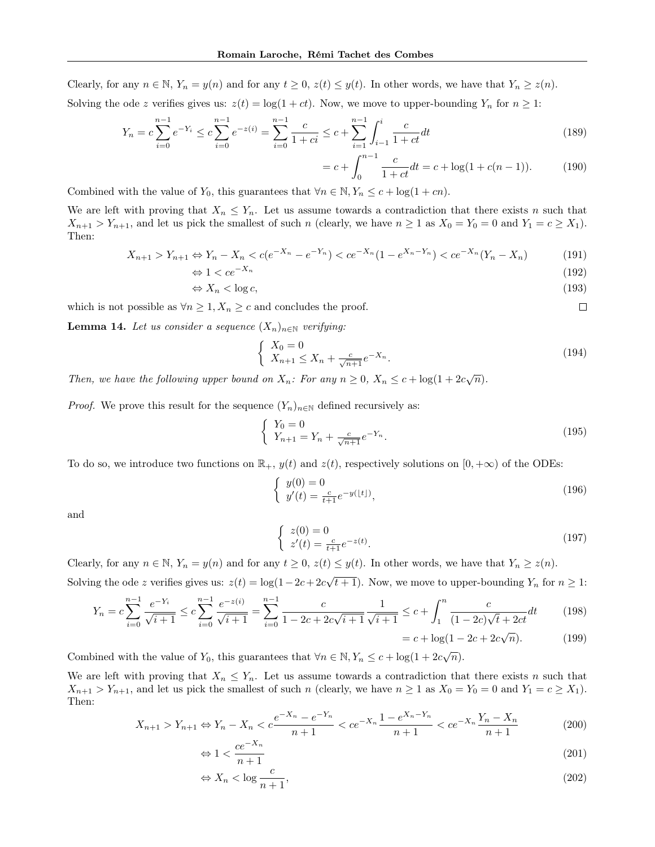Clearly, for any  $n \in \mathbb{N}$ ,  $Y_n = y(n)$  and for any  $t \geq 0$ ,  $z(t) \leq y(t)$ . In other words, we have that  $Y_n \geq z(n)$ . Solving the ode z verifies gives us:  $z(t) = \log(1 + ct)$ . Now, we move to upper-bounding  $Y_n$  for  $n \geq 1$ :

$$
Y_n = c \sum_{i=0}^{n-1} e^{-Y_i} \le c \sum_{i=0}^{n-1} e^{-z(i)} = \sum_{i=0}^{n-1} \frac{c}{1+ci} \le c + \sum_{i=1}^{n-1} \int_{i-1}^i \frac{c}{1+ct} dt
$$
\n(189)

$$
= c + \int_0^{n-1} \frac{c}{1+ct} dt = c + \log(1 + c(n-1)).
$$
 (190)

<span id="page-26-0"></span> $\Box$ 

Combined with the value of  $Y_0$ , this guarantees that  $\forall n \in \mathbb{N}, Y_n \leq c + \log(1 + cn)$ .

We are left with proving that  $X_n \leq Y_n$ . Let us assume towards a contradiction that there exists n such that  $X_{n+1} > Y_{n+1}$ , and let us pick the smallest of such n (clearly, we have  $n \geq 1$  as  $X_0 = Y_0 = 0$  and  $Y_1 = c \geq X_1$ ). Then:

$$
X_{n+1} > Y_{n+1} \Leftrightarrow Y_n - X_n < c(e^{-X_n} - e^{-Y_n}) < ce^{-X_n}(1 - e^{X_n - Y_n}) < ce^{-X_n}(Y_n - X_n)
$$
(191)

$$
\Leftrightarrow 1 < ce^{-X_n} \tag{192}
$$
\n
$$
\Leftrightarrow Y < \log e \tag{193}
$$

$$
\Leftrightarrow X_n < \log c,\tag{193}
$$

which is not possible as  $\forall n \geq 1, X_n \geq c$  and concludes the proof.

**Lemma 14.** Let us consider a sequence  $(X_n)_{n\in\mathbb{N}}$  verifying:

$$
\begin{cases} X_0 = 0\\ X_{n+1} \le X_n + \frac{c}{\sqrt{n+1}} e^{-X_n} .\end{cases}
$$
\n(194)

Then, we have the following upper bound on  $X_n$ : For any  $n \geq 0$ ,  $X_n \leq c + \log(1 + 2c\sqrt{n})$ .

*Proof.* We prove this result for the sequence  $(Y_n)_{n\in\mathbb{N}}$  defined recursively as:

$$
\begin{cases}\nY_0 = 0 \\
Y_{n+1} = Y_n + \frac{c}{\sqrt{n+1}} e^{-Y_n}.\n\end{cases}
$$
\n(195)

To do so, we introduce two functions on  $\mathbb{R}_+$ ,  $y(t)$  and  $z(t)$ , respectively solutions on  $[0, +\infty)$  of the ODEs:

$$
\begin{cases}\ny(0) = 0 \\
y'(t) = \frac{c}{t+1}e^{-y(\lfloor t \rfloor)},\n\end{cases} \tag{196}
$$

and

$$
\begin{cases} z(0) = 0\\ z'(t) = \frac{c}{t+1}e^{-z(t)}.\end{cases}
$$
\n(197)

Clearly, for any  $n \in \mathbb{N}$ ,  $Y_n = y(n)$  and for any  $t \geq 0$ ,  $z(t) \leq y(t)$ . In other words, we have that  $Y_n \geq z(n)$ . Solving the ode z verifies gives us:  $z(t) = \log(1 - 2c + 2c\sqrt{t+1})$ . Now, we move to upper-bounding  $Y_n$  for  $n \ge 1$ :

$$
Y_n = c \sum_{i=0}^{n-1} \frac{e^{-Y_i}}{\sqrt{i+1}} \le c \sum_{i=0}^{n-1} \frac{e^{-z(i)}}{\sqrt{i+1}} = \sum_{i=0}^{n-1} \frac{c}{1 - 2c + 2c\sqrt{i+1}} \frac{1}{\sqrt{i+1}} \le c + \int_1^n \frac{c}{(1 - 2c)\sqrt{t+2ct}} dt
$$
(198)  
= c + log(1 - 2c + 2c $\sqrt{n}$ ). (199)

Combined with the value of 
$$
Y_0
$$
, this guarantees that  $\forall n \in \mathbb{N}, Y_n \leq c + \log(1 + 2c\sqrt{n}).$ 

We are left with proving that  $X_n \leq Y_n$ . Let us assume towards a contradiction that there exists n such that  $X_{n+1} > Y_{n+1}$ , and let us pick the smallest of such n (clearly, we have  $n \geq 1$  as  $X_0 = Y_0 = 0$  and  $Y_1 = c \geq X_1$ ). Then:

$$
X_{n+1} > Y_{n+1} \Leftrightarrow Y_n - X_n < c \frac{e^{-X_n} - e^{-Y_n}}{n+1} < ce^{-X_n} \frac{1 - e^{X_n - Y_n}}{n+1} < ce^{-X_n} \frac{Y_n - X_n}{n+1}
$$
(200)

$$
\Leftrightarrow 1 < \frac{ce^{-X_n}}{n+1} \tag{201}
$$

$$
\Leftrightarrow X_n < \log \frac{c}{n+1},\tag{202}
$$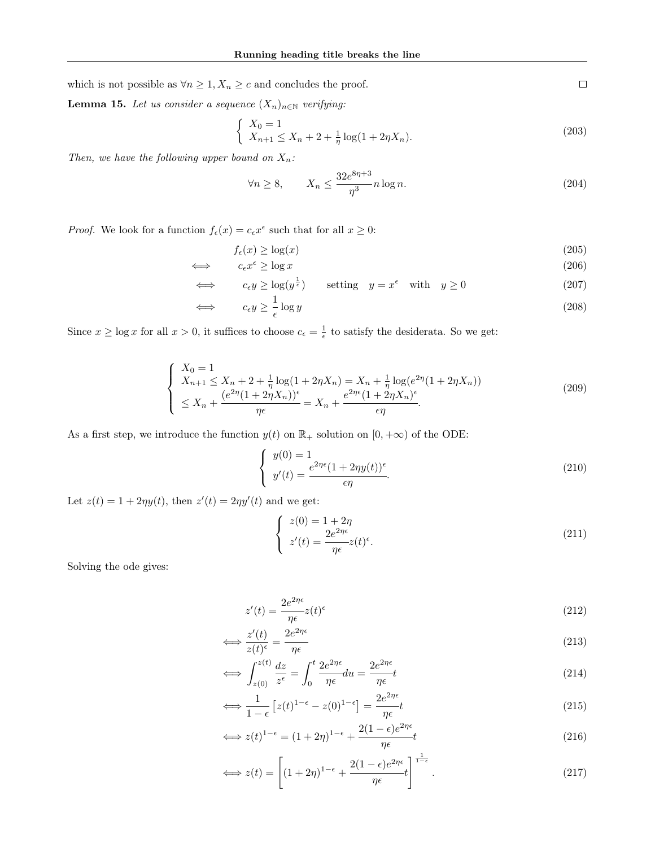which is not possible as  $\forall n\geq 1, X_n\geq c$  and concludes the proof.

**Lemma 15.** Let us consider a sequence  $(X_n)_{n\in\mathbb{N}}$  verifying:

$$
\begin{cases}\nX_0 = 1 \\
X_{n+1} \le X_n + 2 + \frac{1}{\eta} \log(1 + 2\eta X_n).\n\end{cases}
$$
\n(203)

Then, we have the following upper bound on  $X_n$ :

$$
\forall n \ge 8, \qquad X_n \le \frac{32e^{8\eta + 3}}{\eta^3} n \log n. \tag{204}
$$

*Proof.* We look for a function  $f_{\epsilon}(x) = c_{\epsilon}x^{\epsilon}$  such that for all  $x \ge 0$ :

$$
f_{\epsilon}(x) \ge \log(x) \tag{205}
$$

$$
\iff \qquad c_{\epsilon}x^{\epsilon} \ge \log x \tag{206}
$$

$$
\iff c_{\epsilon} y \ge \log(y^{\frac{1}{\epsilon}}) \quad \text{setting} \quad y = x^{\epsilon} \quad \text{with} \quad y \ge 0 \tag{207}
$$

$$
\iff c_{\epsilon} y \ge \frac{1}{\epsilon} \log y \tag{208}
$$

Since  $x \ge \log x$  for all  $x > 0$ , it suffices to choose  $c_{\epsilon} = \frac{1}{\epsilon}$  to satisfy the desiderata. So we get:

$$
\begin{cases}\nX_0 = 1 \\
X_{n+1} \le X_n + 2 + \frac{1}{\eta} \log(1 + 2\eta X_n) = X_n + \frac{1}{\eta} \log(e^{2\eta}(1 + 2\eta X_n)) \\
\le X_n + \frac{(e^{2\eta}(1 + 2\eta X_n))^{\epsilon}}{\eta \epsilon} = X_n + \frac{e^{2\eta \epsilon}(1 + 2\eta X_n)^{\epsilon}}{\epsilon \eta}.\n\end{cases} \tag{209}
$$

As a first step, we introduce the function  $y(t)$  on  $\mathbb{R}_+$  solution on  $[0, +\infty)$  of the ODE:

$$
\begin{cases}\ny(0) = 1 \\
y'(t) = \frac{e^{2\eta\epsilon}(1 + 2\eta y(t))^\epsilon}{\epsilon\eta}.\n\end{cases}
$$
\n(210)

Let  $z(t) = 1 + 2\eta y(t)$ , then  $z'(t) = 2\eta y'(t)$  and we get:

$$
\begin{cases}\nz(0) = 1 + 2\eta \\
z'(t) = \frac{2e^{2\eta\epsilon}}{\eta\epsilon}z(t)^{\epsilon}.\n\end{cases}
$$
\n(211)

Solving the ode gives:

$$
z'(t) = \frac{2e^{2\eta\epsilon}}{\eta\epsilon}z(t)^{\epsilon}
$$
\n(212)

$$
\iff \frac{z'(t)}{z(t)^{\epsilon}} = \frac{2e^{2\eta\epsilon}}{\eta\epsilon} \tag{213}
$$

$$
\iff \int_{z(0)}^{z(t)} \frac{dz}{z^{\epsilon}} = \int_0^t \frac{2e^{2\eta \epsilon}}{\eta \epsilon} du = \frac{2e^{2\eta \epsilon}}{\eta \epsilon} t \tag{214}
$$

$$
\iff \frac{1}{1-\epsilon} \left[ z(t)^{1-\epsilon} - z(0)^{1-\epsilon} \right] = \frac{2e^{2\eta\epsilon}}{\eta\epsilon} t \tag{215}
$$

$$
\iff z(t)^{1-\epsilon} = (1+2\eta)^{1-\epsilon} + \frac{2(1-\epsilon)e^{2\eta\epsilon}}{\eta\epsilon}t
$$
\n(216)

$$
\iff z(t) = \left[ (1+2\eta)^{1-\epsilon} + \frac{2(1-\epsilon)e^{2\eta\epsilon}}{\eta\epsilon} t \right]^{\frac{1}{1-\epsilon}}.
$$
\n(217)

<span id="page-27-0"></span> $\Box$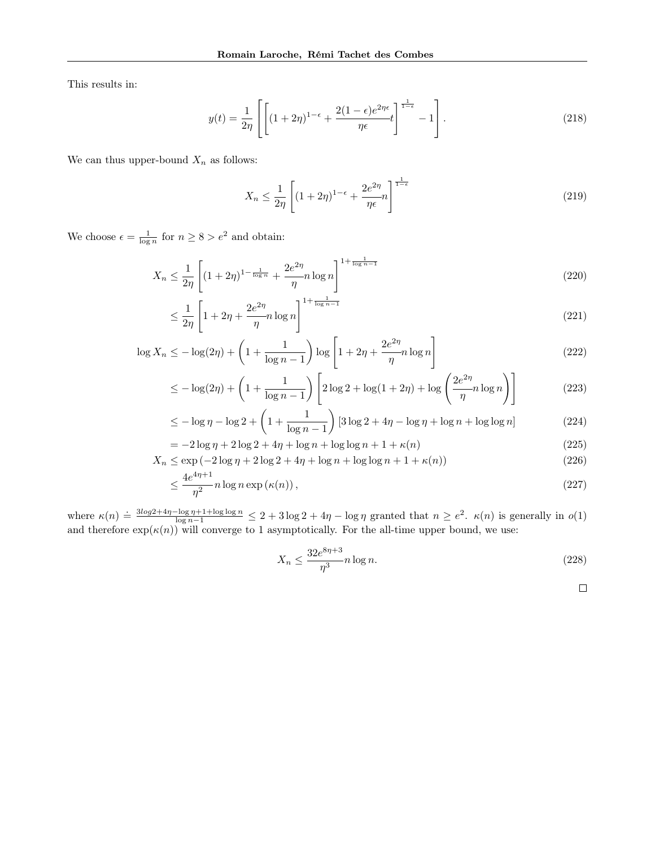This results in:

$$
y(t) = \frac{1}{2\eta} \left[ \left[ (1+2\eta)^{1-\epsilon} + \frac{2(1-\epsilon)e^{2\eta\epsilon}}{\eta\epsilon} t \right]^{\frac{1}{1-\epsilon}} - 1 \right].
$$
 (218)

We can thus upper-bound  $\mathcal{X}_n$  as follows:

$$
X_n \le \frac{1}{2\eta} \left[ (1+2\eta)^{1-\epsilon} + \frac{2e^{2\eta}}{\eta \epsilon} n \right]^{\frac{1}{1-\epsilon}} \tag{219}
$$

We choose  $\epsilon = \frac{1}{\log n}$  for  $n \ge 8 > e^2$  and obtain:

$$
X_n \le \frac{1}{2\eta} \left[ (1+2\eta)^{1-\frac{1}{\log n}} + \frac{2e^{2\eta}}{\eta} n \log n \right]^{1+\frac{1}{\log n - 1}} \tag{220}
$$

$$
\leq \frac{1}{2\eta} \left[ 1 + 2\eta + \frac{2e^{2\eta}}{\eta} n \log n \right]^{1 + \frac{1}{\log n - 1}} \tag{221}
$$

$$
\log X_n \le -\log(2\eta) + \left(1 + \frac{1}{\log n - 1}\right) \log \left[1 + 2\eta + \frac{2e^{2\eta}}{\eta} n \log n\right]
$$
\n(222)

$$
\leq -\log(2\eta) + \left(1 + \frac{1}{\log n - 1}\right) \left[2\log 2 + \log(1 + 2\eta) + \log\left(\frac{2e^{2\eta}}{\eta}n\log n\right)\right]
$$
(223)

$$
\leq -\log \eta - \log 2 + \left(1 + \frac{1}{\log n - 1}\right) \left[3 \log 2 + 4\eta - \log \eta + \log n + \log \log n\right] \tag{224}
$$

$$
= -2\log \eta + 2\log 2 + 4\eta + \log n + \log \log n + 1 + \kappa(n)
$$
\n(225)

$$
X_n \le \exp\left(-2\log\eta + 2\log 2 + 4\eta + \log n + \log \log n + 1 + \kappa(n)\right) \tag{226}
$$

$$
\leq \frac{4e^{4\eta + 1}}{\eta^2} n \log n \exp\left(\kappa(n)\right),\tag{227}
$$

where  $\kappa(n) = \frac{3\log 2 + 4\eta - \log \eta + 1 + \log \log n}{\log n - 1} \leq 2 + 3\log 2 + 4\eta - \log \eta$  granted that  $n \geq e^2$ .  $\kappa(n)$  is generally in  $o(1)$ and therefore  $exp(\kappa(n))$  will converge to 1 asymptotically. For the all-time upper bound, we use:

$$
X_n \le \frac{32e^{8\eta + 3}}{\eta^3} n \log n. \tag{228}
$$

$$
\qquad \qquad \Box
$$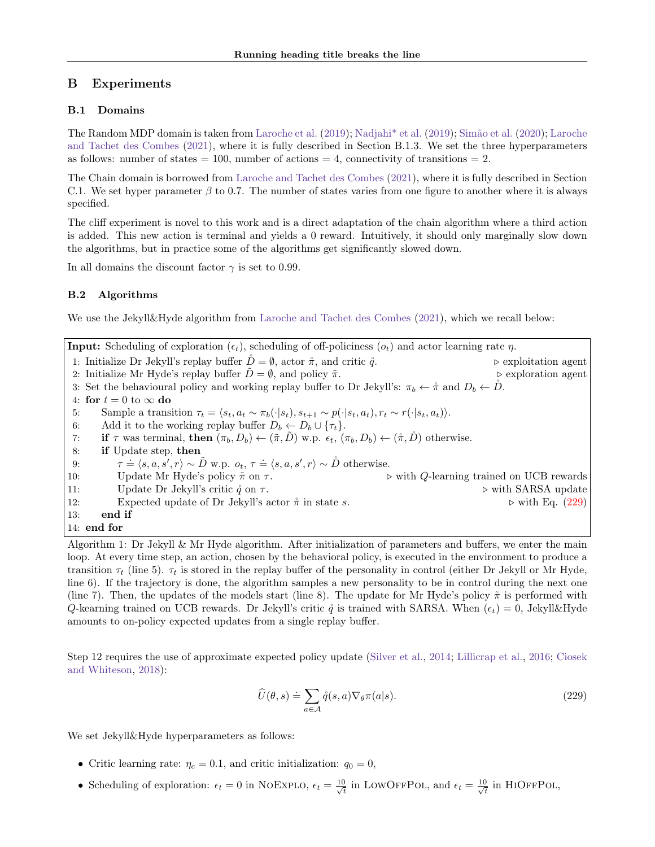# <span id="page-29-0"></span>B Experiments

## B.1 Domains

The Random MDP domain is taken from [Laroche et al.](#page-9-18) [\(2019\)](#page-9-18); [Nadjahi\\* et al.](#page-9-19) [\(2019\)](#page-9-19); [Simão et al.](#page-10-16) [\(2020\)](#page-10-16); [Laroche](#page-9-6) [and Tachet des Combes](#page-9-6) [\(2021\)](#page-9-6), where it is fully described in Section B.1.3. We set the three hyperparameters as follows: number of states  $= 100$ , number of actions  $= 4$ , connectivity of transitions  $= 2$ .

The Chain domain is borrowed from [Laroche and Tachet des Combes](#page-9-6) [\(2021\)](#page-9-6), where it is fully described in Section C.1. We set hyper parameter  $\beta$  to 0.7. The number of states varies from one figure to another where it is always specified.

The cliff experiment is novel to this work and is a direct adaptation of the chain algorithm where a third action is added. This new action is terminal and yields a 0 reward. Intuitively, it should only marginally slow down the algorithms, but in practice some of the algorithms get significantly slowed down.

In all domains the discount factor  $\gamma$  is set to 0.99.

# <span id="page-29-1"></span>B.2 Algorithms

We use the Jekyll&Hyde algorithm from [Laroche and Tachet des Combes](#page-9-6) [\(2021\)](#page-9-6), which we recall below:

**Input:** Scheduling of exploration  $(\epsilon_t)$ , scheduling of off-policiness  $(o_t)$  and actor learning rate  $\eta$ . 1: Initialize Dr Jekyll's replay buffer  $\hat{D} = \emptyset$ , actor  $\hat{\pi}$ , and critic  $\hat{q}$ .  $\triangleright$  exploitation agent 2: Initialize Mr Hyde's replay buffer  $\tilde{D} = \emptyset$ , and policy  $\tilde{\pi}$ .  $\triangleright$  exploration agent 2: Initialize Mr Hyde's replay buffer  $D = \emptyset$ , and policy  $\tilde{\pi}$ . 3: Set the behavioural policy and working replay buffer to Dr Jekyll's:  $\pi_b \leftarrow \hat{\pi}$  and  $D_b \leftarrow \hat{D}$ . 4: for  $t = 0$  to  $\infty$  do<br>5: Sample a trans Sample a transition  $\tau_t = \langle s_t, a_t \sim \pi_b(\cdot|s_t), s_{t+1} \sim p(\cdot|s_t, a_t), r_t \sim r(\cdot|s_t, a_t)\rangle.$ 6: Add it to the working replay buffer  $D_b \leftarrow D_b \cup \{\tau_t\}$ .<br>7: **if**  $\tau$  was terminal, **then**  $(\pi_b, D_b) \leftarrow (\tilde{\pi}, \tilde{D})$  w.p.  $\epsilon_t$ , ( $\tau$ 7: **if**  $\tau$  was terminal, **then**  $(\pi_b, D_b) \leftarrow (\tilde{\pi}, \tilde{D})$  w.p.  $\epsilon_t$ ,  $(\pi_b, D_b) \leftarrow (\tilde{\pi}, \tilde{D})$  otherwise.<br>8: **if** Update step, **then** if Update step, then 9:  $\dot{=} \langle s, a, s', r \rangle \sim \tilde{D}$  w.p.  $o_t, \tau \doteq \langle s, a, s', r \rangle \sim \tilde{D}$  otherwise. 10: Update Mr Hyde's policy  $\tilde{\pi}$  on  $\tau$ .  $\triangleright$  with Q-learning trained on UCB rewards 11: Update Dr Jekyll's critic  $\hat{q}$  on  $\tau$ .  $\triangleright$  with SARSA update 12: Expected update of Dr Jekyll's actor  $\pi$  in state s.  $\triangleright$  with Eq. [\(229\)](#page-29-2) 13: end if 14: end for

Algorithm 1: Dr Jekyll & Mr Hyde algorithm. After initialization of parameters and buffers, we enter the main loop. At every time step, an action, chosen by the behavioral policy, is executed in the environment to produce a transition  $\tau_t$  (line 5).  $\tau_t$  is stored in the replay buffer of the personality in control (either Dr Jekyll or Mr Hyde, line 6). If the trajectory is done, the algorithm samples a new personality to be in control during the next one (line 7). Then, the updates of the models start (line 8). The update for Mr Hyde's policy  $\tilde{\pi}$  is performed with Q-kearning trained on UCB rewards. Dr Jekyll's critic  $\mathring{q}$  is trained with SARSA. When  $(\epsilon_t) = 0$ , Jekyll&Hyde amounts to on-policy expected updates from a single replay buffer.

Step 12 requires the use of approximate expected policy update [\(Silver et al.,](#page-10-17) [2014;](#page-10-17) [Lillicrap et al.,](#page-9-20) [2016;](#page-9-20) [Ciosek](#page-9-13) [and Whiteson,](#page-9-13) [2018\)](#page-9-13):

<span id="page-29-2"></span>
$$
\widehat{U}(\theta, s) \doteq \sum_{a \in \mathcal{A}} \mathring{q}(s, a) \nabla_{\theta} \pi(a|s).
$$
\n(229)

We set Jekyll&Hyde hyperparameters as follows:

- Critic learning rate:  $\eta_c = 0.1$ , and critic initialization:  $q_0 = 0$ ,
- Scheduling of exploration:  $\epsilon_t = 0$  in NOEXPLO,  $\epsilon_t = \frac{10}{\sqrt{4}}$  $\frac{1}{\overline{t}}$  in LOWOFFPOL, and  $\epsilon_t = \frac{10}{\sqrt{t}}$  $\frac{1}{t}$  in HIOFFPOL,